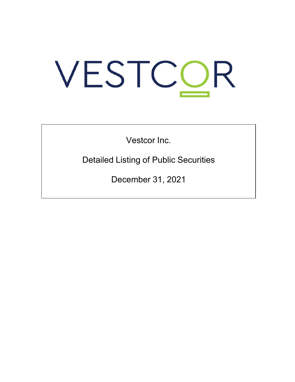# VESTCOR

Vestcor Inc.

Detailed Listing of Public Securities

December 31, 2021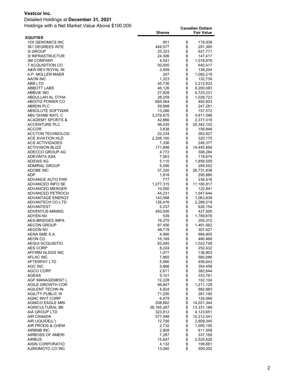Detailed Holdings at **December 31, 2021**

|                                   | <b>Shares</b>     |          | <b>Fair Value</b>    |
|-----------------------------------|-------------------|----------|----------------------|
| <b>EQUITIES</b>                   |                   |          |                      |
| 10X GENOMICS INC                  | 951               | \$       | 178,939              |
| 361 DEGREES INTE                  | 449,577           | \$       | 291,360              |
| 31 GROUP                          | 25,323            | \$       | 627,771              |
| 3I INFRASTRUCTUR                  | 24,306            | \$       | 147,417              |
| <b>3M COMPANY</b>                 | 4,541             | \$       | 1,018,879            |
| 7 ACQUISITION CO                  | 50,000            | \$       | 640,417              |
| A&W REV ROYAL IN                  | 3,459             | \$       | 138,204              |
| A.P. MOLLER-MAER                  | 247               | \$       | 1,092,218            |
| AAON INC                          | 1,323             | \$       | 132,739              |
| ABB LTD                           | 45,736            | \$       | 2,212,833            |
| ABBOTT LABS                       | 46,126            | \$       | 8,200,083            |
| ABBVIE INC<br>ABDULLAH AL OTHA    | 27,628            | \$<br>\$ | 4,725,231            |
| ABOITIZ POWER CO                  | 28,259<br>669,564 | \$       | 1,028,723<br>492,603 |
| <b>ABRDN PLC</b>                  | 59,998            | \$       | 247,281              |
| ABSOLUTE SOFTWAR                  | 13,286            | \$       | 157,572              |
| ABU DHABI NATL C                  | 3,276,675         | \$       | 4,811,598            |
| <b>ACADEMY SPORTS &amp;</b>       | 42,866            | \$       | 2,377,018            |
| <b>ACCENTURE PLC</b>              | 56,035            | \$       | 29,342,102           |
| <b>ACCOR</b>                      | 3,838             | \$       | 156,848              |
| <b>ACCTON TECHNOLOG</b>           | 22,234            | \$       | 263,927              |
| ACE AVIATION HLD                  | 2,208,100         | \$       | 320,175              |
| <b>ACS ACTIVIDADES</b>            | 7,336             | \$       | 248,377              |
| <b>ACTIVISION BLIZZ</b>           | 171,898           | \$       | 14,445,856           |
| ADECCO GROUP AG                   | 4,772             | \$       | 308,284              |
| ADEVINTA ASA                      | 7,063             | \$       | 118,674              |
| ADIDAS AG                         | 5,110             | \$       | 1,858,559            |
| <b>ADMIRAL GROUP</b>              | 5,546             | \$       | 299,552              |
| ADOBE INC                         | 37,320            | \$       | 26,731,638           |
| ADP                               | 1,818             | \$       | 295,880              |
| ADVANCE AUTO PAR                  | 777               | \$       | 236,416              |
| ADVANCED INFO SE                  | 1,277,315         | \$       | 11,180,817           |
| ADVANCED MERGER                   | 10,000            | \$       | 122,841              |
| ADVANCED PETROCH                  | 44,231            | \$       | 1,047,644            |
| ADVANTAGE ENERGY                  | 143,568           | \$       | 1,063,839            |
| ADVANTECH CO LTD                  | 126,476           | \$       | 2,289,519            |
| ADVANTEST                         | 5,237             | \$       | 626,154              |
| ADVENTUS MINING                   | 450,000           | \$       | 427,500              |
| ADYEN NV<br>AEA-BRIDGES IMPA      | 539               | \$<br>\$ | 1,789,676            |
| <b>AECON GROUP</b>                | 16,275<br>87,456  | \$       | 205,372<br>1,491,562 |
| <b>AEGON NV</b>                   | 48,718            | \$       | 307,427              |
| AENA SME S.A.                     | 4,990             | \$       | 994,905              |
| AEON CO                           | 16,169            | \$       | 480,468              |
| AEQUI ACQUISITIO                  | 83,045            | \$       | 1,022,758            |
| <b>AES CORP</b>                   | 8,224             | \$       | 252,432              |
| AFFIRM HLDGS INC                  | 1,077             | \$       | 136,803              |
| AFLAC INC                         | 7,865             |          | 580,086              |
| AFTERPAY LTD                      | 5,990             | \$\$     | 456,643              |
| AGC INC                           | 5,886             |          | 354,458              |
| AGCO CORP                         | 2,611             |          | 382,644              |
| AGEAS                             | 5,101             | \$       | 333,761              |
| AGF MANAGEMENT L                  | 12,228            | \$       | 102,104              |
| AGILE GROWTH COR                  | 98,847            | \$       | 1,211,128            |
| <b>AGILENT TECHN IN</b>           | 4,924             | \$       | 992,983              |
| <b>AGILITY PUBLIC W</b>           | 71,200            | \$       | 281,190              |
| AGNC INVT CORP                    | 6,479             | \$       | 124,069              |
| <b>AGNICO EAGLE MIN</b>           | 208,682           | \$       | 14,021,344           |
| <b>AGRICULTURAL BK</b>            | 26,165,267        | \$       | 13,331,189           |
| AIA GROUP LTD                     | 323,812           | \$       | 4,123,651            |
| AIR CANADA                        | 577,948           | \$       | 12,212,041           |
| AIR LIQUIDE(L')                   | 12,756            | \$       | 2,809,345            |
| AIR PRODS & CHEM                  | 2,732             | \$       | 1,055,155            |
| AIRBNB INC                        | 2,908             | \$       | 611,558              |
| AIRBOSS OF AMERI                  | 7,287             | \$       | 337,169              |
| <b>AIRBUS</b><br>AISIN CORPORATIO | 15,647<br>4,132   | \$<br>\$ | 2,525,426<br>199,881 |
| AJINOMOTO CO INC                  | 13,040            | \$       | 500,202              |
|                                   |                   |          |                      |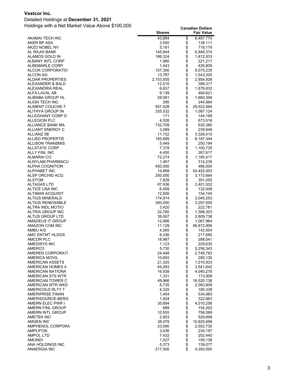#### Detailed Holdings at **December 31, 2021**

| 43,884<br>\$<br>6,487,770<br>AKAMAI TECH INC<br>\$<br>AKER BP ASA<br>3,550<br>138,111<br>\$<br>AKZO NOBEL NV<br>5,181<br>718,179<br>\$<br>AL RAJHI BANK<br>145,644<br>6,948,374<br>\$<br>ALAMOS GOLD IN<br>186,324<br>1,812,933<br>\$<br><b>ALBANY INTL CORP</b><br>1,980<br>221,217<br>\$<br>ALBEMARLE CORP<br>1,443<br>426,809<br>\$<br>ALCOA CORPORATIO<br>107,300<br>8,075,235<br>\$<br>ALCON AG<br>13,787<br>1,543,205<br>\$<br>\$<br>2,153,505<br><b>ALDAR PROPERTIES</b><br>2,954,928<br>ALEXANDER & BALD<br>12,510<br>399,317<br>\$<br>ALEXANDRIA REAL<br>6,637<br>1,878,832<br>\$<br>ALFA LAVAL AB<br>9,139<br>464,621<br>\$<br>ALIBABA GROUP HL<br>28,081<br>1,660,348<br>\$<br>295<br>ALIGN TECH INC<br>244,884<br>\$<br>ALIMENT COUCHE-T<br>557,028<br>29,522,484<br>\$<br>ALITHYA GROUP IN<br>335,532<br>1,087,124<br>\$<br>ALLEGHANY CORP D<br>171<br>144,199<br>\$<br><b>ALLEGION PLC</b><br>4,026<br>673,516<br>\$<br>ALLIANCE BANK MA<br>732,709<br>635,380<br>\$<br>ALLIANT ENERGY C<br>3,089<br>239,848<br>\$<br>11,152<br><b>ALLIANZ SE</b><br>3,326,415<br><b>ALLIED PROPERTIE</b><br>185,689<br>8,187,344<br>\$<br><b>ALLISON TRANSMIS</b><br>5,449<br>250,194<br>\$<br><b>ALLSTATE CORP</b><br>7,378<br>1,100,735<br>\$<br><b>ALLY FINL INC</b><br>4,450<br>267,617<br>\$<br>72,274<br>ALMARAI CO<br>1,185,417<br>\$<br>ALNYLAM PHARMACU<br>1,467<br>314,239<br>\$<br>ALPHA COGNITION<br>450,000<br>486,000<br>\$<br><b>ALPHABET INC</b><br>14,889<br>54,452,003<br>\$<br>ALSP ORCHID ACQ<br>250,000<br>3,173,664<br>\$<br><b>ALSTOM</b><br>7,828<br>351,055<br>\$<br>ALTAGAS LTD<br>87,936<br>2,401,532<br>$\ddot{\theta}$<br>ALTICE USA INC<br>6,459<br>132,008<br>ALTIMAR ACQUISIT<br>12,500<br>154,104<br>\$<br>ALTIUS MINERALS<br>174,914<br>3,045,253<br>\$<br><b>ALTIUS RENEWABLE</b><br>300,000<br>3,297,000<br>\$<br>ALTRA INDL MOTIO<br>3,420<br>222,781<br>\$<br>ALTRIA GROUP INC<br>22,760<br>1,388,303<br>\$<br>ALTUS GROUP LTD<br>39,507<br>2,809,738<br>\$<br>\$<br>AMADEUS IT GROUP<br>12,466<br>1,067,964<br>AMAZON COM INC<br>11,129<br>46,872,806<br>\$<br>AMBU A/S<br>4,265<br>142,504<br>\$<br>AMC ENTMT HLDGS<br>6,336<br>217,690<br>\$<br>AMCOR PLC<br>18,987<br>288,041<br>\$<br>AMEDISYS INC<br>1,123<br>229,630<br><b>AMERCO</b><br>5,730<br>\$<br>\$<br>5,256,343<br>24,448<br>AMEREN CORPORATI<br>2,748,762<br>\$<br>AMERICA MOVIL<br>10,693<br>285,130<br>\$<br><b>AMERICAN ASSETS</b><br>21,325<br>1,010,933<br>64,293<br>AMERICAN HOMES 4<br>3,541,642<br>\$<br>AMERICAN NATIONA<br>16,938<br>4,040,276<br>\$<br>1,331<br>AMERICAN STS WTR<br>173,909<br>\$<br>49,966<br>18,520,138<br>AMERICAN TOWER C<br>AMERICAN WTR WKS<br>8,735<br>2,083,809<br>\$<br>4,325<br>AMERICOLD RLTY T<br>180,338<br>\$<br>1,404<br><b>AMERIPRISE FINAN</b><br>534,983<br>\$\$<br>1,924<br>AMERISOURCE-BERG<br>322,963<br>AMERN ELEC PWR I<br>35,684<br>4,010,256<br>889<br>154,202<br>AMERN FINL GROUP<br>\$<br>758,089<br>AMERN INTL GROUP<br>10,555<br>\$<br>\$<br>529,898<br><b>AMETEK INC</b><br>2,853<br>38,078<br>10,820,658<br>AMGEN INC<br>\$<br>AMPHENOL CORPORA<br>23,090<br>2,552,735<br>\$\$<br>AMPLIFON<br>3,436<br>234,197<br><b>AMPOL LTD</b><br>202,440<br>7,432<br>1,527<br>AMUNDI<br>159,136<br>\$<br>5,273<br>139,077<br>ANA HOLDINGS INC<br>\$<br>4,393,500<br>ANAERGIA INC<br>217,500 | <b>Shares</b> | <b>Fair Value</b> |
|-------------------------------------------------------------------------------------------------------------------------------------------------------------------------------------------------------------------------------------------------------------------------------------------------------------------------------------------------------------------------------------------------------------------------------------------------------------------------------------------------------------------------------------------------------------------------------------------------------------------------------------------------------------------------------------------------------------------------------------------------------------------------------------------------------------------------------------------------------------------------------------------------------------------------------------------------------------------------------------------------------------------------------------------------------------------------------------------------------------------------------------------------------------------------------------------------------------------------------------------------------------------------------------------------------------------------------------------------------------------------------------------------------------------------------------------------------------------------------------------------------------------------------------------------------------------------------------------------------------------------------------------------------------------------------------------------------------------------------------------------------------------------------------------------------------------------------------------------------------------------------------------------------------------------------------------------------------------------------------------------------------------------------------------------------------------------------------------------------------------------------------------------------------------------------------------------------------------------------------------------------------------------------------------------------------------------------------------------------------------------------------------------------------------------------------------------------------------------------------------------------------------------------------------------------------------------------------------------------------------------------------------------------------------------------------------------------------------------------------------------------------------------------------------------------------------------------------------------------------------------------------------------------------------------------------------------------------------------------------------------------------------------------------------------------------------------------------------------------------------------------------------------------------------------------------------------------------------------------------------------------------------------------------------------------------------------------------------------|---------------|-------------------|
|                                                                                                                                                                                                                                                                                                                                                                                                                                                                                                                                                                                                                                                                                                                                                                                                                                                                                                                                                                                                                                                                                                                                                                                                                                                                                                                                                                                                                                                                                                                                                                                                                                                                                                                                                                                                                                                                                                                                                                                                                                                                                                                                                                                                                                                                                                                                                                                                                                                                                                                                                                                                                                                                                                                                                                                                                                                                                                                                                                                                                                                                                                                                                                                                                                                                                                                                                 |               |                   |
|                                                                                                                                                                                                                                                                                                                                                                                                                                                                                                                                                                                                                                                                                                                                                                                                                                                                                                                                                                                                                                                                                                                                                                                                                                                                                                                                                                                                                                                                                                                                                                                                                                                                                                                                                                                                                                                                                                                                                                                                                                                                                                                                                                                                                                                                                                                                                                                                                                                                                                                                                                                                                                                                                                                                                                                                                                                                                                                                                                                                                                                                                                                                                                                                                                                                                                                                                 |               |                   |
|                                                                                                                                                                                                                                                                                                                                                                                                                                                                                                                                                                                                                                                                                                                                                                                                                                                                                                                                                                                                                                                                                                                                                                                                                                                                                                                                                                                                                                                                                                                                                                                                                                                                                                                                                                                                                                                                                                                                                                                                                                                                                                                                                                                                                                                                                                                                                                                                                                                                                                                                                                                                                                                                                                                                                                                                                                                                                                                                                                                                                                                                                                                                                                                                                                                                                                                                                 |               |                   |
|                                                                                                                                                                                                                                                                                                                                                                                                                                                                                                                                                                                                                                                                                                                                                                                                                                                                                                                                                                                                                                                                                                                                                                                                                                                                                                                                                                                                                                                                                                                                                                                                                                                                                                                                                                                                                                                                                                                                                                                                                                                                                                                                                                                                                                                                                                                                                                                                                                                                                                                                                                                                                                                                                                                                                                                                                                                                                                                                                                                                                                                                                                                                                                                                                                                                                                                                                 |               |                   |
|                                                                                                                                                                                                                                                                                                                                                                                                                                                                                                                                                                                                                                                                                                                                                                                                                                                                                                                                                                                                                                                                                                                                                                                                                                                                                                                                                                                                                                                                                                                                                                                                                                                                                                                                                                                                                                                                                                                                                                                                                                                                                                                                                                                                                                                                                                                                                                                                                                                                                                                                                                                                                                                                                                                                                                                                                                                                                                                                                                                                                                                                                                                                                                                                                                                                                                                                                 |               |                   |
|                                                                                                                                                                                                                                                                                                                                                                                                                                                                                                                                                                                                                                                                                                                                                                                                                                                                                                                                                                                                                                                                                                                                                                                                                                                                                                                                                                                                                                                                                                                                                                                                                                                                                                                                                                                                                                                                                                                                                                                                                                                                                                                                                                                                                                                                                                                                                                                                                                                                                                                                                                                                                                                                                                                                                                                                                                                                                                                                                                                                                                                                                                                                                                                                                                                                                                                                                 |               |                   |
|                                                                                                                                                                                                                                                                                                                                                                                                                                                                                                                                                                                                                                                                                                                                                                                                                                                                                                                                                                                                                                                                                                                                                                                                                                                                                                                                                                                                                                                                                                                                                                                                                                                                                                                                                                                                                                                                                                                                                                                                                                                                                                                                                                                                                                                                                                                                                                                                                                                                                                                                                                                                                                                                                                                                                                                                                                                                                                                                                                                                                                                                                                                                                                                                                                                                                                                                                 |               |                   |
|                                                                                                                                                                                                                                                                                                                                                                                                                                                                                                                                                                                                                                                                                                                                                                                                                                                                                                                                                                                                                                                                                                                                                                                                                                                                                                                                                                                                                                                                                                                                                                                                                                                                                                                                                                                                                                                                                                                                                                                                                                                                                                                                                                                                                                                                                                                                                                                                                                                                                                                                                                                                                                                                                                                                                                                                                                                                                                                                                                                                                                                                                                                                                                                                                                                                                                                                                 |               |                   |
|                                                                                                                                                                                                                                                                                                                                                                                                                                                                                                                                                                                                                                                                                                                                                                                                                                                                                                                                                                                                                                                                                                                                                                                                                                                                                                                                                                                                                                                                                                                                                                                                                                                                                                                                                                                                                                                                                                                                                                                                                                                                                                                                                                                                                                                                                                                                                                                                                                                                                                                                                                                                                                                                                                                                                                                                                                                                                                                                                                                                                                                                                                                                                                                                                                                                                                                                                 |               |                   |
|                                                                                                                                                                                                                                                                                                                                                                                                                                                                                                                                                                                                                                                                                                                                                                                                                                                                                                                                                                                                                                                                                                                                                                                                                                                                                                                                                                                                                                                                                                                                                                                                                                                                                                                                                                                                                                                                                                                                                                                                                                                                                                                                                                                                                                                                                                                                                                                                                                                                                                                                                                                                                                                                                                                                                                                                                                                                                                                                                                                                                                                                                                                                                                                                                                                                                                                                                 |               |                   |
|                                                                                                                                                                                                                                                                                                                                                                                                                                                                                                                                                                                                                                                                                                                                                                                                                                                                                                                                                                                                                                                                                                                                                                                                                                                                                                                                                                                                                                                                                                                                                                                                                                                                                                                                                                                                                                                                                                                                                                                                                                                                                                                                                                                                                                                                                                                                                                                                                                                                                                                                                                                                                                                                                                                                                                                                                                                                                                                                                                                                                                                                                                                                                                                                                                                                                                                                                 |               |                   |
|                                                                                                                                                                                                                                                                                                                                                                                                                                                                                                                                                                                                                                                                                                                                                                                                                                                                                                                                                                                                                                                                                                                                                                                                                                                                                                                                                                                                                                                                                                                                                                                                                                                                                                                                                                                                                                                                                                                                                                                                                                                                                                                                                                                                                                                                                                                                                                                                                                                                                                                                                                                                                                                                                                                                                                                                                                                                                                                                                                                                                                                                                                                                                                                                                                                                                                                                                 |               |                   |
|                                                                                                                                                                                                                                                                                                                                                                                                                                                                                                                                                                                                                                                                                                                                                                                                                                                                                                                                                                                                                                                                                                                                                                                                                                                                                                                                                                                                                                                                                                                                                                                                                                                                                                                                                                                                                                                                                                                                                                                                                                                                                                                                                                                                                                                                                                                                                                                                                                                                                                                                                                                                                                                                                                                                                                                                                                                                                                                                                                                                                                                                                                                                                                                                                                                                                                                                                 |               |                   |
|                                                                                                                                                                                                                                                                                                                                                                                                                                                                                                                                                                                                                                                                                                                                                                                                                                                                                                                                                                                                                                                                                                                                                                                                                                                                                                                                                                                                                                                                                                                                                                                                                                                                                                                                                                                                                                                                                                                                                                                                                                                                                                                                                                                                                                                                                                                                                                                                                                                                                                                                                                                                                                                                                                                                                                                                                                                                                                                                                                                                                                                                                                                                                                                                                                                                                                                                                 |               |                   |
|                                                                                                                                                                                                                                                                                                                                                                                                                                                                                                                                                                                                                                                                                                                                                                                                                                                                                                                                                                                                                                                                                                                                                                                                                                                                                                                                                                                                                                                                                                                                                                                                                                                                                                                                                                                                                                                                                                                                                                                                                                                                                                                                                                                                                                                                                                                                                                                                                                                                                                                                                                                                                                                                                                                                                                                                                                                                                                                                                                                                                                                                                                                                                                                                                                                                                                                                                 |               |                   |
|                                                                                                                                                                                                                                                                                                                                                                                                                                                                                                                                                                                                                                                                                                                                                                                                                                                                                                                                                                                                                                                                                                                                                                                                                                                                                                                                                                                                                                                                                                                                                                                                                                                                                                                                                                                                                                                                                                                                                                                                                                                                                                                                                                                                                                                                                                                                                                                                                                                                                                                                                                                                                                                                                                                                                                                                                                                                                                                                                                                                                                                                                                                                                                                                                                                                                                                                                 |               |                   |
|                                                                                                                                                                                                                                                                                                                                                                                                                                                                                                                                                                                                                                                                                                                                                                                                                                                                                                                                                                                                                                                                                                                                                                                                                                                                                                                                                                                                                                                                                                                                                                                                                                                                                                                                                                                                                                                                                                                                                                                                                                                                                                                                                                                                                                                                                                                                                                                                                                                                                                                                                                                                                                                                                                                                                                                                                                                                                                                                                                                                                                                                                                                                                                                                                                                                                                                                                 |               |                   |
|                                                                                                                                                                                                                                                                                                                                                                                                                                                                                                                                                                                                                                                                                                                                                                                                                                                                                                                                                                                                                                                                                                                                                                                                                                                                                                                                                                                                                                                                                                                                                                                                                                                                                                                                                                                                                                                                                                                                                                                                                                                                                                                                                                                                                                                                                                                                                                                                                                                                                                                                                                                                                                                                                                                                                                                                                                                                                                                                                                                                                                                                                                                                                                                                                                                                                                                                                 |               |                   |
|                                                                                                                                                                                                                                                                                                                                                                                                                                                                                                                                                                                                                                                                                                                                                                                                                                                                                                                                                                                                                                                                                                                                                                                                                                                                                                                                                                                                                                                                                                                                                                                                                                                                                                                                                                                                                                                                                                                                                                                                                                                                                                                                                                                                                                                                                                                                                                                                                                                                                                                                                                                                                                                                                                                                                                                                                                                                                                                                                                                                                                                                                                                                                                                                                                                                                                                                                 |               |                   |
|                                                                                                                                                                                                                                                                                                                                                                                                                                                                                                                                                                                                                                                                                                                                                                                                                                                                                                                                                                                                                                                                                                                                                                                                                                                                                                                                                                                                                                                                                                                                                                                                                                                                                                                                                                                                                                                                                                                                                                                                                                                                                                                                                                                                                                                                                                                                                                                                                                                                                                                                                                                                                                                                                                                                                                                                                                                                                                                                                                                                                                                                                                                                                                                                                                                                                                                                                 |               |                   |
|                                                                                                                                                                                                                                                                                                                                                                                                                                                                                                                                                                                                                                                                                                                                                                                                                                                                                                                                                                                                                                                                                                                                                                                                                                                                                                                                                                                                                                                                                                                                                                                                                                                                                                                                                                                                                                                                                                                                                                                                                                                                                                                                                                                                                                                                                                                                                                                                                                                                                                                                                                                                                                                                                                                                                                                                                                                                                                                                                                                                                                                                                                                                                                                                                                                                                                                                                 |               |                   |
|                                                                                                                                                                                                                                                                                                                                                                                                                                                                                                                                                                                                                                                                                                                                                                                                                                                                                                                                                                                                                                                                                                                                                                                                                                                                                                                                                                                                                                                                                                                                                                                                                                                                                                                                                                                                                                                                                                                                                                                                                                                                                                                                                                                                                                                                                                                                                                                                                                                                                                                                                                                                                                                                                                                                                                                                                                                                                                                                                                                                                                                                                                                                                                                                                                                                                                                                                 |               |                   |
|                                                                                                                                                                                                                                                                                                                                                                                                                                                                                                                                                                                                                                                                                                                                                                                                                                                                                                                                                                                                                                                                                                                                                                                                                                                                                                                                                                                                                                                                                                                                                                                                                                                                                                                                                                                                                                                                                                                                                                                                                                                                                                                                                                                                                                                                                                                                                                                                                                                                                                                                                                                                                                                                                                                                                                                                                                                                                                                                                                                                                                                                                                                                                                                                                                                                                                                                                 |               |                   |
|                                                                                                                                                                                                                                                                                                                                                                                                                                                                                                                                                                                                                                                                                                                                                                                                                                                                                                                                                                                                                                                                                                                                                                                                                                                                                                                                                                                                                                                                                                                                                                                                                                                                                                                                                                                                                                                                                                                                                                                                                                                                                                                                                                                                                                                                                                                                                                                                                                                                                                                                                                                                                                                                                                                                                                                                                                                                                                                                                                                                                                                                                                                                                                                                                                                                                                                                                 |               |                   |
|                                                                                                                                                                                                                                                                                                                                                                                                                                                                                                                                                                                                                                                                                                                                                                                                                                                                                                                                                                                                                                                                                                                                                                                                                                                                                                                                                                                                                                                                                                                                                                                                                                                                                                                                                                                                                                                                                                                                                                                                                                                                                                                                                                                                                                                                                                                                                                                                                                                                                                                                                                                                                                                                                                                                                                                                                                                                                                                                                                                                                                                                                                                                                                                                                                                                                                                                                 |               |                   |
|                                                                                                                                                                                                                                                                                                                                                                                                                                                                                                                                                                                                                                                                                                                                                                                                                                                                                                                                                                                                                                                                                                                                                                                                                                                                                                                                                                                                                                                                                                                                                                                                                                                                                                                                                                                                                                                                                                                                                                                                                                                                                                                                                                                                                                                                                                                                                                                                                                                                                                                                                                                                                                                                                                                                                                                                                                                                                                                                                                                                                                                                                                                                                                                                                                                                                                                                                 |               |                   |
|                                                                                                                                                                                                                                                                                                                                                                                                                                                                                                                                                                                                                                                                                                                                                                                                                                                                                                                                                                                                                                                                                                                                                                                                                                                                                                                                                                                                                                                                                                                                                                                                                                                                                                                                                                                                                                                                                                                                                                                                                                                                                                                                                                                                                                                                                                                                                                                                                                                                                                                                                                                                                                                                                                                                                                                                                                                                                                                                                                                                                                                                                                                                                                                                                                                                                                                                                 |               |                   |
|                                                                                                                                                                                                                                                                                                                                                                                                                                                                                                                                                                                                                                                                                                                                                                                                                                                                                                                                                                                                                                                                                                                                                                                                                                                                                                                                                                                                                                                                                                                                                                                                                                                                                                                                                                                                                                                                                                                                                                                                                                                                                                                                                                                                                                                                                                                                                                                                                                                                                                                                                                                                                                                                                                                                                                                                                                                                                                                                                                                                                                                                                                                                                                                                                                                                                                                                                 |               |                   |
|                                                                                                                                                                                                                                                                                                                                                                                                                                                                                                                                                                                                                                                                                                                                                                                                                                                                                                                                                                                                                                                                                                                                                                                                                                                                                                                                                                                                                                                                                                                                                                                                                                                                                                                                                                                                                                                                                                                                                                                                                                                                                                                                                                                                                                                                                                                                                                                                                                                                                                                                                                                                                                                                                                                                                                                                                                                                                                                                                                                                                                                                                                                                                                                                                                                                                                                                                 |               |                   |
|                                                                                                                                                                                                                                                                                                                                                                                                                                                                                                                                                                                                                                                                                                                                                                                                                                                                                                                                                                                                                                                                                                                                                                                                                                                                                                                                                                                                                                                                                                                                                                                                                                                                                                                                                                                                                                                                                                                                                                                                                                                                                                                                                                                                                                                                                                                                                                                                                                                                                                                                                                                                                                                                                                                                                                                                                                                                                                                                                                                                                                                                                                                                                                                                                                                                                                                                                 |               |                   |
|                                                                                                                                                                                                                                                                                                                                                                                                                                                                                                                                                                                                                                                                                                                                                                                                                                                                                                                                                                                                                                                                                                                                                                                                                                                                                                                                                                                                                                                                                                                                                                                                                                                                                                                                                                                                                                                                                                                                                                                                                                                                                                                                                                                                                                                                                                                                                                                                                                                                                                                                                                                                                                                                                                                                                                                                                                                                                                                                                                                                                                                                                                                                                                                                                                                                                                                                                 |               |                   |
|                                                                                                                                                                                                                                                                                                                                                                                                                                                                                                                                                                                                                                                                                                                                                                                                                                                                                                                                                                                                                                                                                                                                                                                                                                                                                                                                                                                                                                                                                                                                                                                                                                                                                                                                                                                                                                                                                                                                                                                                                                                                                                                                                                                                                                                                                                                                                                                                                                                                                                                                                                                                                                                                                                                                                                                                                                                                                                                                                                                                                                                                                                                                                                                                                                                                                                                                                 |               |                   |
|                                                                                                                                                                                                                                                                                                                                                                                                                                                                                                                                                                                                                                                                                                                                                                                                                                                                                                                                                                                                                                                                                                                                                                                                                                                                                                                                                                                                                                                                                                                                                                                                                                                                                                                                                                                                                                                                                                                                                                                                                                                                                                                                                                                                                                                                                                                                                                                                                                                                                                                                                                                                                                                                                                                                                                                                                                                                                                                                                                                                                                                                                                                                                                                                                                                                                                                                                 |               |                   |
|                                                                                                                                                                                                                                                                                                                                                                                                                                                                                                                                                                                                                                                                                                                                                                                                                                                                                                                                                                                                                                                                                                                                                                                                                                                                                                                                                                                                                                                                                                                                                                                                                                                                                                                                                                                                                                                                                                                                                                                                                                                                                                                                                                                                                                                                                                                                                                                                                                                                                                                                                                                                                                                                                                                                                                                                                                                                                                                                                                                                                                                                                                                                                                                                                                                                                                                                                 |               |                   |
|                                                                                                                                                                                                                                                                                                                                                                                                                                                                                                                                                                                                                                                                                                                                                                                                                                                                                                                                                                                                                                                                                                                                                                                                                                                                                                                                                                                                                                                                                                                                                                                                                                                                                                                                                                                                                                                                                                                                                                                                                                                                                                                                                                                                                                                                                                                                                                                                                                                                                                                                                                                                                                                                                                                                                                                                                                                                                                                                                                                                                                                                                                                                                                                                                                                                                                                                                 |               |                   |
|                                                                                                                                                                                                                                                                                                                                                                                                                                                                                                                                                                                                                                                                                                                                                                                                                                                                                                                                                                                                                                                                                                                                                                                                                                                                                                                                                                                                                                                                                                                                                                                                                                                                                                                                                                                                                                                                                                                                                                                                                                                                                                                                                                                                                                                                                                                                                                                                                                                                                                                                                                                                                                                                                                                                                                                                                                                                                                                                                                                                                                                                                                                                                                                                                                                                                                                                                 |               |                   |
|                                                                                                                                                                                                                                                                                                                                                                                                                                                                                                                                                                                                                                                                                                                                                                                                                                                                                                                                                                                                                                                                                                                                                                                                                                                                                                                                                                                                                                                                                                                                                                                                                                                                                                                                                                                                                                                                                                                                                                                                                                                                                                                                                                                                                                                                                                                                                                                                                                                                                                                                                                                                                                                                                                                                                                                                                                                                                                                                                                                                                                                                                                                                                                                                                                                                                                                                                 |               |                   |
|                                                                                                                                                                                                                                                                                                                                                                                                                                                                                                                                                                                                                                                                                                                                                                                                                                                                                                                                                                                                                                                                                                                                                                                                                                                                                                                                                                                                                                                                                                                                                                                                                                                                                                                                                                                                                                                                                                                                                                                                                                                                                                                                                                                                                                                                                                                                                                                                                                                                                                                                                                                                                                                                                                                                                                                                                                                                                                                                                                                                                                                                                                                                                                                                                                                                                                                                                 |               |                   |
|                                                                                                                                                                                                                                                                                                                                                                                                                                                                                                                                                                                                                                                                                                                                                                                                                                                                                                                                                                                                                                                                                                                                                                                                                                                                                                                                                                                                                                                                                                                                                                                                                                                                                                                                                                                                                                                                                                                                                                                                                                                                                                                                                                                                                                                                                                                                                                                                                                                                                                                                                                                                                                                                                                                                                                                                                                                                                                                                                                                                                                                                                                                                                                                                                                                                                                                                                 |               |                   |
|                                                                                                                                                                                                                                                                                                                                                                                                                                                                                                                                                                                                                                                                                                                                                                                                                                                                                                                                                                                                                                                                                                                                                                                                                                                                                                                                                                                                                                                                                                                                                                                                                                                                                                                                                                                                                                                                                                                                                                                                                                                                                                                                                                                                                                                                                                                                                                                                                                                                                                                                                                                                                                                                                                                                                                                                                                                                                                                                                                                                                                                                                                                                                                                                                                                                                                                                                 |               |                   |
|                                                                                                                                                                                                                                                                                                                                                                                                                                                                                                                                                                                                                                                                                                                                                                                                                                                                                                                                                                                                                                                                                                                                                                                                                                                                                                                                                                                                                                                                                                                                                                                                                                                                                                                                                                                                                                                                                                                                                                                                                                                                                                                                                                                                                                                                                                                                                                                                                                                                                                                                                                                                                                                                                                                                                                                                                                                                                                                                                                                                                                                                                                                                                                                                                                                                                                                                                 |               |                   |
|                                                                                                                                                                                                                                                                                                                                                                                                                                                                                                                                                                                                                                                                                                                                                                                                                                                                                                                                                                                                                                                                                                                                                                                                                                                                                                                                                                                                                                                                                                                                                                                                                                                                                                                                                                                                                                                                                                                                                                                                                                                                                                                                                                                                                                                                                                                                                                                                                                                                                                                                                                                                                                                                                                                                                                                                                                                                                                                                                                                                                                                                                                                                                                                                                                                                                                                                                 |               |                   |
|                                                                                                                                                                                                                                                                                                                                                                                                                                                                                                                                                                                                                                                                                                                                                                                                                                                                                                                                                                                                                                                                                                                                                                                                                                                                                                                                                                                                                                                                                                                                                                                                                                                                                                                                                                                                                                                                                                                                                                                                                                                                                                                                                                                                                                                                                                                                                                                                                                                                                                                                                                                                                                                                                                                                                                                                                                                                                                                                                                                                                                                                                                                                                                                                                                                                                                                                                 |               |                   |
|                                                                                                                                                                                                                                                                                                                                                                                                                                                                                                                                                                                                                                                                                                                                                                                                                                                                                                                                                                                                                                                                                                                                                                                                                                                                                                                                                                                                                                                                                                                                                                                                                                                                                                                                                                                                                                                                                                                                                                                                                                                                                                                                                                                                                                                                                                                                                                                                                                                                                                                                                                                                                                                                                                                                                                                                                                                                                                                                                                                                                                                                                                                                                                                                                                                                                                                                                 |               |                   |
|                                                                                                                                                                                                                                                                                                                                                                                                                                                                                                                                                                                                                                                                                                                                                                                                                                                                                                                                                                                                                                                                                                                                                                                                                                                                                                                                                                                                                                                                                                                                                                                                                                                                                                                                                                                                                                                                                                                                                                                                                                                                                                                                                                                                                                                                                                                                                                                                                                                                                                                                                                                                                                                                                                                                                                                                                                                                                                                                                                                                                                                                                                                                                                                                                                                                                                                                                 |               |                   |
|                                                                                                                                                                                                                                                                                                                                                                                                                                                                                                                                                                                                                                                                                                                                                                                                                                                                                                                                                                                                                                                                                                                                                                                                                                                                                                                                                                                                                                                                                                                                                                                                                                                                                                                                                                                                                                                                                                                                                                                                                                                                                                                                                                                                                                                                                                                                                                                                                                                                                                                                                                                                                                                                                                                                                                                                                                                                                                                                                                                                                                                                                                                                                                                                                                                                                                                                                 |               |                   |
|                                                                                                                                                                                                                                                                                                                                                                                                                                                                                                                                                                                                                                                                                                                                                                                                                                                                                                                                                                                                                                                                                                                                                                                                                                                                                                                                                                                                                                                                                                                                                                                                                                                                                                                                                                                                                                                                                                                                                                                                                                                                                                                                                                                                                                                                                                                                                                                                                                                                                                                                                                                                                                                                                                                                                                                                                                                                                                                                                                                                                                                                                                                                                                                                                                                                                                                                                 |               |                   |
|                                                                                                                                                                                                                                                                                                                                                                                                                                                                                                                                                                                                                                                                                                                                                                                                                                                                                                                                                                                                                                                                                                                                                                                                                                                                                                                                                                                                                                                                                                                                                                                                                                                                                                                                                                                                                                                                                                                                                                                                                                                                                                                                                                                                                                                                                                                                                                                                                                                                                                                                                                                                                                                                                                                                                                                                                                                                                                                                                                                                                                                                                                                                                                                                                                                                                                                                                 |               |                   |
|                                                                                                                                                                                                                                                                                                                                                                                                                                                                                                                                                                                                                                                                                                                                                                                                                                                                                                                                                                                                                                                                                                                                                                                                                                                                                                                                                                                                                                                                                                                                                                                                                                                                                                                                                                                                                                                                                                                                                                                                                                                                                                                                                                                                                                                                                                                                                                                                                                                                                                                                                                                                                                                                                                                                                                                                                                                                                                                                                                                                                                                                                                                                                                                                                                                                                                                                                 |               |                   |
|                                                                                                                                                                                                                                                                                                                                                                                                                                                                                                                                                                                                                                                                                                                                                                                                                                                                                                                                                                                                                                                                                                                                                                                                                                                                                                                                                                                                                                                                                                                                                                                                                                                                                                                                                                                                                                                                                                                                                                                                                                                                                                                                                                                                                                                                                                                                                                                                                                                                                                                                                                                                                                                                                                                                                                                                                                                                                                                                                                                                                                                                                                                                                                                                                                                                                                                                                 |               |                   |
|                                                                                                                                                                                                                                                                                                                                                                                                                                                                                                                                                                                                                                                                                                                                                                                                                                                                                                                                                                                                                                                                                                                                                                                                                                                                                                                                                                                                                                                                                                                                                                                                                                                                                                                                                                                                                                                                                                                                                                                                                                                                                                                                                                                                                                                                                                                                                                                                                                                                                                                                                                                                                                                                                                                                                                                                                                                                                                                                                                                                                                                                                                                                                                                                                                                                                                                                                 |               |                   |
|                                                                                                                                                                                                                                                                                                                                                                                                                                                                                                                                                                                                                                                                                                                                                                                                                                                                                                                                                                                                                                                                                                                                                                                                                                                                                                                                                                                                                                                                                                                                                                                                                                                                                                                                                                                                                                                                                                                                                                                                                                                                                                                                                                                                                                                                                                                                                                                                                                                                                                                                                                                                                                                                                                                                                                                                                                                                                                                                                                                                                                                                                                                                                                                                                                                                                                                                                 |               |                   |
|                                                                                                                                                                                                                                                                                                                                                                                                                                                                                                                                                                                                                                                                                                                                                                                                                                                                                                                                                                                                                                                                                                                                                                                                                                                                                                                                                                                                                                                                                                                                                                                                                                                                                                                                                                                                                                                                                                                                                                                                                                                                                                                                                                                                                                                                                                                                                                                                                                                                                                                                                                                                                                                                                                                                                                                                                                                                                                                                                                                                                                                                                                                                                                                                                                                                                                                                                 |               |                   |
|                                                                                                                                                                                                                                                                                                                                                                                                                                                                                                                                                                                                                                                                                                                                                                                                                                                                                                                                                                                                                                                                                                                                                                                                                                                                                                                                                                                                                                                                                                                                                                                                                                                                                                                                                                                                                                                                                                                                                                                                                                                                                                                                                                                                                                                                                                                                                                                                                                                                                                                                                                                                                                                                                                                                                                                                                                                                                                                                                                                                                                                                                                                                                                                                                                                                                                                                                 |               |                   |
|                                                                                                                                                                                                                                                                                                                                                                                                                                                                                                                                                                                                                                                                                                                                                                                                                                                                                                                                                                                                                                                                                                                                                                                                                                                                                                                                                                                                                                                                                                                                                                                                                                                                                                                                                                                                                                                                                                                                                                                                                                                                                                                                                                                                                                                                                                                                                                                                                                                                                                                                                                                                                                                                                                                                                                                                                                                                                                                                                                                                                                                                                                                                                                                                                                                                                                                                                 |               |                   |
|                                                                                                                                                                                                                                                                                                                                                                                                                                                                                                                                                                                                                                                                                                                                                                                                                                                                                                                                                                                                                                                                                                                                                                                                                                                                                                                                                                                                                                                                                                                                                                                                                                                                                                                                                                                                                                                                                                                                                                                                                                                                                                                                                                                                                                                                                                                                                                                                                                                                                                                                                                                                                                                                                                                                                                                                                                                                                                                                                                                                                                                                                                                                                                                                                                                                                                                                                 |               |                   |
|                                                                                                                                                                                                                                                                                                                                                                                                                                                                                                                                                                                                                                                                                                                                                                                                                                                                                                                                                                                                                                                                                                                                                                                                                                                                                                                                                                                                                                                                                                                                                                                                                                                                                                                                                                                                                                                                                                                                                                                                                                                                                                                                                                                                                                                                                                                                                                                                                                                                                                                                                                                                                                                                                                                                                                                                                                                                                                                                                                                                                                                                                                                                                                                                                                                                                                                                                 |               |                   |
|                                                                                                                                                                                                                                                                                                                                                                                                                                                                                                                                                                                                                                                                                                                                                                                                                                                                                                                                                                                                                                                                                                                                                                                                                                                                                                                                                                                                                                                                                                                                                                                                                                                                                                                                                                                                                                                                                                                                                                                                                                                                                                                                                                                                                                                                                                                                                                                                                                                                                                                                                                                                                                                                                                                                                                                                                                                                                                                                                                                                                                                                                                                                                                                                                                                                                                                                                 |               |                   |
|                                                                                                                                                                                                                                                                                                                                                                                                                                                                                                                                                                                                                                                                                                                                                                                                                                                                                                                                                                                                                                                                                                                                                                                                                                                                                                                                                                                                                                                                                                                                                                                                                                                                                                                                                                                                                                                                                                                                                                                                                                                                                                                                                                                                                                                                                                                                                                                                                                                                                                                                                                                                                                                                                                                                                                                                                                                                                                                                                                                                                                                                                                                                                                                                                                                                                                                                                 |               |                   |
|                                                                                                                                                                                                                                                                                                                                                                                                                                                                                                                                                                                                                                                                                                                                                                                                                                                                                                                                                                                                                                                                                                                                                                                                                                                                                                                                                                                                                                                                                                                                                                                                                                                                                                                                                                                                                                                                                                                                                                                                                                                                                                                                                                                                                                                                                                                                                                                                                                                                                                                                                                                                                                                                                                                                                                                                                                                                                                                                                                                                                                                                                                                                                                                                                                                                                                                                                 |               |                   |
|                                                                                                                                                                                                                                                                                                                                                                                                                                                                                                                                                                                                                                                                                                                                                                                                                                                                                                                                                                                                                                                                                                                                                                                                                                                                                                                                                                                                                                                                                                                                                                                                                                                                                                                                                                                                                                                                                                                                                                                                                                                                                                                                                                                                                                                                                                                                                                                                                                                                                                                                                                                                                                                                                                                                                                                                                                                                                                                                                                                                                                                                                                                                                                                                                                                                                                                                                 |               |                   |
|                                                                                                                                                                                                                                                                                                                                                                                                                                                                                                                                                                                                                                                                                                                                                                                                                                                                                                                                                                                                                                                                                                                                                                                                                                                                                                                                                                                                                                                                                                                                                                                                                                                                                                                                                                                                                                                                                                                                                                                                                                                                                                                                                                                                                                                                                                                                                                                                                                                                                                                                                                                                                                                                                                                                                                                                                                                                                                                                                                                                                                                                                                                                                                                                                                                                                                                                                 |               |                   |
|                                                                                                                                                                                                                                                                                                                                                                                                                                                                                                                                                                                                                                                                                                                                                                                                                                                                                                                                                                                                                                                                                                                                                                                                                                                                                                                                                                                                                                                                                                                                                                                                                                                                                                                                                                                                                                                                                                                                                                                                                                                                                                                                                                                                                                                                                                                                                                                                                                                                                                                                                                                                                                                                                                                                                                                                                                                                                                                                                                                                                                                                                                                                                                                                                                                                                                                                                 |               |                   |
|                                                                                                                                                                                                                                                                                                                                                                                                                                                                                                                                                                                                                                                                                                                                                                                                                                                                                                                                                                                                                                                                                                                                                                                                                                                                                                                                                                                                                                                                                                                                                                                                                                                                                                                                                                                                                                                                                                                                                                                                                                                                                                                                                                                                                                                                                                                                                                                                                                                                                                                                                                                                                                                                                                                                                                                                                                                                                                                                                                                                                                                                                                                                                                                                                                                                                                                                                 |               |                   |
|                                                                                                                                                                                                                                                                                                                                                                                                                                                                                                                                                                                                                                                                                                                                                                                                                                                                                                                                                                                                                                                                                                                                                                                                                                                                                                                                                                                                                                                                                                                                                                                                                                                                                                                                                                                                                                                                                                                                                                                                                                                                                                                                                                                                                                                                                                                                                                                                                                                                                                                                                                                                                                                                                                                                                                                                                                                                                                                                                                                                                                                                                                                                                                                                                                                                                                                                                 |               |                   |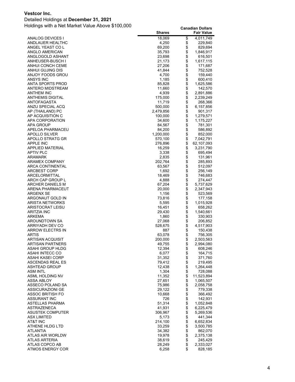#### Detailed Holdings at **December 31, 2021**

|                                     | <b>Shares</b>     |          | <b>Fair Value</b>    |
|-------------------------------------|-------------------|----------|----------------------|
| ANALOG DEVICES I                    | 18,069            | \$       | 4,011,749            |
| ANDLAUER HEALTHC                    | 4,250             | \$       | 229,840              |
| ANGEL YEAST CO L                    | 69,200            | \$       | 829,694              |
| ANGLO AMERICAN                      | 35,793            | \$       | 1,846,917            |
| ANGLOGOLD ASHANT                    | 23,698            | \$       | 616,501              |
| ANHEUSER-BUSCH I                    | 21,173            | \$       | 1,617,115            |
| ANHUI CONCH CEME                    | 27,206            | \$       | 171,687              |
| ANHUI GUJING DIS                    | 41,844            | \$       | 752,528              |
| ANJOY FOODS GROU                    | 4,700             | \$       | 159,440              |
| ANSYS INC                           | 1,185             | \$       | 600,410              |
| ANTA SPORTS PROD                    | 85,828            | \$       | 1,625,586            |
| ANTERO MIDSTREAM                    | 11,660            | \$       | 142,570              |
| ANTHEM INC                          | 4,939             | \$       | 2,891,886            |
| ANTHEMIS DIGITAL                    | 175,000           | \$       | 2,239,249            |
| ANTOFAGASTA                         | 11,719            | \$       | 268,366              |
| ANZU SPECIAL ACQ                    | 500,000           | \$       | 6,157,856            |
| AP (THAILAND) PC                    | 2,479,856         | \$       | 901,317              |
| AP ACQUISITION C                    | 100,000           | \$       | 1,279,571            |
| APA CORPORATION                     | 34,600            | \$       | 1,175,227            |
| APA GROUP                           | 84,567            | \$       | 781,301              |
| APELOA PHARMACEU                    | 84,200            | \$       | 586,892              |
| APOLLO SILVER                       | 1,200,000         | \$       | 852,000              |
| APOLLO STRATG GR                    | 570,100           | \$       | 7,042,791            |
| APPLE INC                           | 276,896           | \$       | 62,107,093           |
| <b>APPLIED MATERIAL</b>             | 16,259            | \$       | 3,231,790            |
| <b>APTIV PLC</b>                    | 3,338             | \$       | 695,494              |
| ARAMARK                             | 2,835             | \$       | 131,961              |
| ARAMEX COMPANY                      | 202,764           | \$       | 285,893              |
| ARCA CONTINENTAL                    | 63,567            | \$       | 512,097              |
| ARCBEST CORP                        | 1,692             | \$       | 256,149              |
| ARCELORMITTAL                       | 18,469            | \$       | 746,683              |
| ARCH CAP GROUP L                    | 4,888             | \$       | 274,447              |
| ARCHER DANIELS M                    | 67,204            | \$       | 5,737,629            |
| ARENA PHARMACEUT                    | 20,000            | \$       | 2,347,943            |
| ARGENX SE                           | 1,156             | \$       | 523,569              |
| ARGONAUT GOLD IN                    | 73,816            | \$       | 177,158              |
| ARISTA NETWORKS                     | 5,595             | \$       | 1,015,928            |
| ARISTOCRAT LEISU                    | 16,451            | \$       | 658,262              |
| ARITZIA INC                         | 29,430            | \$       | 1,540,661            |
| ARKEMA                              | 1,860             | \$       | 330,903              |
| AROUNDTOWN SA                       | 27,068<br>528,675 | \$<br>\$ | 206,852              |
| ARRIYADH DEV CO<br>ARROW ELECTRS IN | 887               | \$       | 4,517,903<br>150,438 |
| <b>ARTIS</b>                        | 63,078            | \$       | 756,305              |
| <b>ARTISAN ACQUISIT</b>             | 200,000           | \$       | 2,503,563            |
| ARTISAN PARTNERS                    | 49,755            | \$       | 2,994,080            |
| ASAHI GROUP HLDG                    | 12,394            | \$       | 608,246              |
| ASAHI INTECC CO                     | 6,077             | \$       | 164,715              |
| ASAHI KASEI CORP                    | 31,352            | \$       | 371,760              |
| ASCENDAS REAL ES                    | 79,412            | \$       | 219,495              |
| <b>ASHTEAD GROUP</b>                | 12,438            | \$       | 1,264,448            |
| ASM INTL                            | 1,304             | \$       | 728,088              |
| ASML HOLDING NV                     | 11,352            | \$       | 11,523,894           |
| ASSA ABLOY                          | 27,651            | \$       | 1,065,507            |
| ASSECO POLAND SA                    | 75,986            | \$       | 2,058,758            |
| ASSICURAZIONI GE                    | 29,122            | \$       | 779,338              |
| ASSOC BRITISH FO                    | 10,668            | \$       | 366,492              |
| ASSURANT INC                        | 726               | \$       | 142,931              |
| ASTELLAS PHARMA                     | 51,314            | \$       | 1,052,848            |
| <b>ASTRAZENECA</b>                  | 41,931            | \$       | 6,225,479            |
| <b>ASUSTEK COMPUTER</b>             | 306,967           | \$       | 5,269,536            |
| ASX LIMITED                         | 5,173             | \$       | 441,344              |
| AT&T INC                            | 214,100           | \$       | 6,652,834            |
| ATHENE HLDG LTD                     | 33,259            | \$       | 3,500,785            |
| ATLANTIA                            | 34,382            | \$       | 862,070              |
| ATLAS AIR WORLDW                    | 19,978            | \$       | 2,375,138            |
| ATLAS ARTERIA                       | 38,619            | \$       | 245,429              |
| ATLAS COPCO AB                      | 28,249            | \$       | 2,333,027            |
| <b>ATMOS ENERGY COR</b>             | 6,258             | \$       | 828,185              |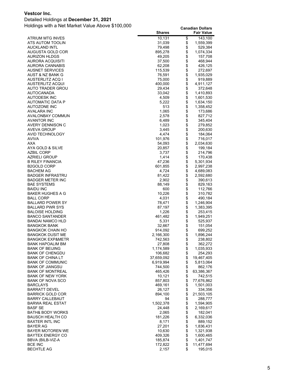#### Detailed Holdings at **December 31, 2021**

|                                             | <b>Shares</b>     |            | <b>Fair Value</b>       |
|---------------------------------------------|-------------------|------------|-------------------------|
| ATRIUM MTG INVES                            | 10,131            | \$         | 143,100                 |
| ATS AUTOM TOOLIN                            | 31,039            | \$         | 1,559,399               |
| <b>AUCKLAND INTL</b>                        | 79,498            | \$         | 529,384                 |
| AUGUSTA GOLD COR                            | 895,278           | \$         | 1,074,334               |
| <b>AURIZON HLDGS</b>                        | 49,205            | \$         | 157,708                 |
| AURORA ACQUISITI                            | 37,500            | \$         | 468,944                 |
| AURORA CANNABIS                             | 62,208            | \$         | 426,125                 |
| <b>AUSNET SERVICES</b>                      | 115,539           | \$         | 272,697                 |
| AUST & NZ BANK G                            | 76,591            | \$         | 1,935,029               |
| AUSTERLITZ ACQ I                            | 75,000            | \$         | 919,889                 |
| <b>AUSTERLITZ ACQUI</b>                     | 400,000           | \$<br>\$   | 4,911,127               |
| AUTO TRADER GROU<br>AUTOCANADA              | 29,434<br>33,042  | \$         | 372,648<br>1,410,893    |
| AUTODESK INC                                | 4,509             | \$         | 1,601,530               |
| AUTOMATIC DATA P                            | 5,222             | \$         | 1,634,150               |
| AUTOZONE INC                                | 513               | \$         | 1,358,452               |
| AVALARA INC                                 | 1,065             | \$         | 173,686                 |
| AVALONBAY COMMUN                            | 2,578             | \$         | 827,712                 |
| <b>AVANTOR INC</b>                          | 6,489             |            | 345,404                 |
| AVERY DENNISON C                            | 1,023             | \$         | 279,852                 |
| AVEVA GROUP                                 | 3,445             | \$         | 200,630                 |
| AVID TECHNOLOGY                             | 4,474             | \$\$       | 184,064                 |
| <b>AVIVA</b>                                | 101,976           |            | 716,017                 |
| <b>AXA</b>                                  | 54,093            |            | 2,034,630               |
| AYA GOLD & SILVE                            | 20,857            | \$         | 199,184                 |
| AZBIL CORP                                  | 3,737             | \$         | 214,796                 |
| AZRIELI GROUP                               | 1,414             | \$         | 170,438                 |
| <b>B RILEY FINANCIA</b>                     | 47,236            | \$         | 5,301,934               |
| <b>B2GOLD CORP</b>                          | 601,855           | \$         | 2,997,238               |
| <b>BACHEM AG</b>                            | 4,724             | \$         | 4,689,083               |
| BADGER INFRASTRU                            | 81,422            | \$         | 2,592,680               |
| BADGER METER INC                            | 2,902             | \$         | 390,613                 |
| BAE SYSTEMS                                 | 88,149            | \$         | 829,163                 |
| <b>BAIDU INC</b><br>BAKER HUGHES A G        | 600<br>10,226     | \$         | 112,766<br>310,782      |
| BALL CORP                                   | 4,031             | \$         | 490,184                 |
| BALLARD POWER SY                            | 78,471            | \$         | 1,246,904               |
| BALLARD PWR SYS                             | 87,197            | \$         | 1,383,395               |
| BALOISE HOLDING                             | 1,226             | \$         | 253,415                 |
| <b>BANCO SANTANDER</b>                      | 461,482           | \$         | 1,949,251               |
| BANDAI NAMCO HLD                            | 5,331             |            | 525,937                 |
| BANGKOK BANK                                | 32,667            | \$<br>\$   | 151,054                 |
| <b>BANGKOK CHAIN HO</b>                     | 914,092           | \$         | 699,252                 |
| BANGKOK DUSIT ME                            | 2,166,300         | \$         | 1,896,244               |
| <b>BANGKOK EXP&amp;METR</b>                 | 742,563           | \$         | 238,802                 |
| BANK HAPOALIM BM                            | 27,808            | \$         | 362,272                 |
| <b>BANK OF BEIJING</b>                      | 1,174,589         | \$         | 1,035,933               |
| <b>BANK OF CHENGDU</b>                      | 106,682           | \$         | 254,293                 |
| <b>BANK OF CHINA LT</b>                     | 37,659,092        | \$         | 19,467,405              |
| <b>BANK OF COMMUNIC</b>                     | 6,919,994         | \$         | 5,813,064               |
| <b>BANK OF JIANGSU</b>                      | 744,500           |            | 862,176                 |
| <b>BANK OF MONTREAL</b>                     | 465,426           |            | 63,386,367              |
| BANK OF NEW YORK<br><b>BANK OF NOVA SCO</b> | 10,121<br>857,803 | \$\$\$\$\$ | 742,515                 |
| <b>BARCLAYS</b>                             | 469,161           |            | 77,676,862<br>1,501,003 |
| <b>BARRATT DEVEL</b>                        | 26,127            | \$         | 334,356                 |
| <b>BARRICK GOLD COR</b>                     | 894,100           |            | 21,503,105              |
| BARRY CALLEBAUT                             | 94                | \$         | 288,777                 |
| <b>BARWA REAL ESTAT</b>                     | 1,502,378         |            | 1,594,905               |
| <b>BASF SE</b>                              | 24,448            | \$         | 2,169,617               |
| <b>BATH&amp; BODY WORKS</b>                 | 2,065             |            | 182,041                 |
| BAUSCH HEALTH CO                            | 181,226           | \$         | 6,332,036               |
| BAXTER INTL INC                             | 8,171             | \$         | 889,152                 |
| BAYER AG                                    | 27,201            | \$         | 1,836,431               |
| BAYER MOTOREN WE                            | 10,630            |            | 1,321,938               |
| <b>BAYTEX ENERGY CO</b>                     | 409,326           | \$\$       | 1,600,465               |
| BBVA (BILB-VIZ-A                            | 185,874           |            | 1,401,747               |
| <b>BCE INC</b>                              | 172,822           | \$         | 11,477,694              |
| <b>BECHTLE AG</b>                           | 2,157             | \$         | 195,015                 |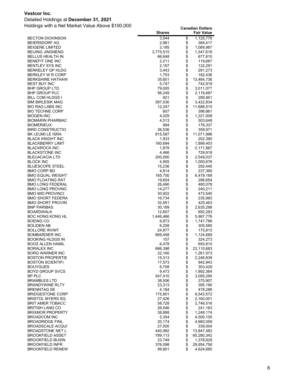#### Detailed Holdings at **December 31, 2021**

|                                                   | <b>Shares</b>    |          | <b>Fair Value</b>       |
|---------------------------------------------------|------------------|----------|-------------------------|
| <b>BECTON DICKINSON</b>                           | 3,544            | \$       | 1,125,776               |
| BEIERSDORF AG                                     | 2,961            | \$       | 384,417                 |
| <b>BEIGENE LIMITED</b>                            | 3,185            | \$       | 1,089,987               |
| <b>BEIJING JINGNENG</b>                           | 3,775,515        | \$       | 1,547,616               |
| <b>BELLUS HEALTH IN</b>                           | 66,648           | \$       | 677,810                 |
| BENEFIT ONE INC                                   | 2,211            | \$       | 119,687                 |
| BENTLEY SYS INC                                   | 2,167            | \$       | 132,291                 |
| BERKELEY GP HLDG                                  | 3,443            | \$       | 281,273                 |
| <b>BERKLEY W R CORP</b>                           | 1,753            | \$       | 182,436                 |
| <b>BERKSHIRE HATHAW</b>                           | 35,651           | \$       | 13,464,736              |
| <b>BEST BUY INC</b><br><b>BHP GROUP LTD</b>       | 5,747<br>79,005  | \$<br>\$ | 742,919<br>3,011,077    |
| BHP GROUP PLC                                     | 56,249           | \$       | 2,116,687               |
| BILL COM HLDGS I                                  | 921              | \$       | 289,851                 |
| <b>BIM BIRLESIK MAG</b>                           | 587,030          | \$       | 3,422,834               |
| <b>BIO RAD LABS INC</b>                           | 12,247           | \$       | 11,688,515              |
| <b>BIO TECHNE CORP</b>                            | 607              | \$       | 396,661                 |
| <b>BIOGEN INC</b>                                 | 4,029            | \$       | 1,221,008               |
| BIOMARIN PHARMAC                                  | 4,513            | \$       | 503,648                 |
| <b>BIOMERIEUX</b>                                 | 994              | \$       | 178,337                 |
| BIRD CONSTRUCTIO                                  | 36,536           | \$       | 359,971                 |
| BK LEUMI LE ISRA                                  | 815,587          | \$       | 11,071,996              |
| BLACK KNIGHT INC                                  | 1,933            | \$       | 202,390                 |
| BLACKBERRY LIMIT                                  | 160,694          | \$       | 1,899,403               |
| <b>BLACKROCK INC</b>                              | 1,878            | \$       | 2,171,887               |
| <b>BLACKSTONE INC</b>                             | 4,466            | \$       | 729,918                 |
| BLEUACACIA LTD                                    | 200,000          | \$       | 2,549,037               |
| <b>BLOCK INC</b>                                  | 4,905            | \$       | 1,000,676               |
| BLUESCOPE STEEL                                   | 15,236           | \$       | 292,440                 |
| BMO CORP BD                                       | 4,614            | \$       | 237,390                 |
| <b>BMO EQUAL WEIGHT</b>                           | 165,750          | \$       | 6,479,168               |
| BMO FLOATING RAT<br><b>BMO LONG FEDERAL</b>       | 19,654           | \$<br>\$ | 286,654                 |
| <b>BMO LONG PROVINC</b>                           | 26,490<br>14,277 |          | 480,078<br>240,211      |
| <b>BMO MID PROVINCI</b>                           | 30,922           | \$       | 473,540                 |
| BMO SHORT FEDERA                                  | 16,734           | \$       | 235,983                 |
| <b>BMO SHORT PROVIN</b>                           | 32,951           | \$       | 425,463                 |
| <b>BNP PARIBAS</b>                                | 30,189           | \$       | 2,635,298               |
| BOARDWALK                                         | 12,607           | \$       | 692,293                 |
| <b>BOC HONG KONG HL</b>                           | 1,446,466        | \$       | 5,987,776               |
| <b>BOEING CO</b>                                  | 6,873            | \$       | 1,747,786               |
| BOLIDEN AB                                        | 6,258            | \$       | 305,580                 |
| <b>BOLLORE INVMT</b>                              | 24,877           | \$       | 175,815                 |
| <b>BOMBARDIER INC</b>                             | 669,458          | \$       | 1,124,689               |
| BOOKING HLDGS IN                                  | 107              | \$       | 324,273                 |
| BOOZ ALLEN HAMIL                                  | 6,478            | \$       | 693,810                 |
| <b>BORALEX INC</b>                                | 666,398          | \$       | 23,110,683              |
| BORG WARNER INC<br><b>BOSTON PROPERTIE</b>        | 22,160           | \$       | 1,261,573               |
| <b>BOSTON SCIENTIFI</b>                           | 15,313           | \$<br>\$ | 2,246,838<br>942,943    |
| <b>BOUYGUES</b>                                   | 17,573<br>6,708  | \$       | 303,429                 |
| <b>BOYD GROUP SVCS</b>                            | 9,473            |          | 1,892,364               |
| BP PLC                                            | 547,410          | \$       | 3,095,295               |
| <b>BRAMBLES LTD</b>                               | 38,506           | \$       | 375,907                 |
| BRANDYWINE RLTY                                   | 23,313           | \$       | 395,190                 |
| <b>BRENNTAG SE</b>                                | 4,184            | \$       | 478,286                 |
| <b>BRIDGESTONE CORP</b>                           | 175,801          | \$       | 9,543,572               |
| <b>BRISTOL MYERS SQ</b>                           | 27,426           | \$       | 2,160,001               |
| BRIT AMER TOBACC                                  | 58,728           | \$       | 2,746,516               |
| <b>BRITISH LAND CO</b>                            | 26,546           | \$       | 241,163                 |
| <b>BRIXMOR PROPERTY</b>                           | 38,888           | \$       | 1,248,174               |
| <b>BROADCOM INC</b>                               | 5,354            | \$       | 4,500,105               |
| <b>BROADRIDGE FINL</b>                            | 20,174           | \$       | 4,660,059               |
| BROADSCALE ACQUI                                  | 27,000           | \$       | 339,004                 |
| <b>BROADSTONE NET L</b>                           | 440,982          | \$       | 13,847,482              |
| <b>BROOKFIELD ASSET</b>                           | 789,113          | \$       | 60,280,342              |
| <b>BROOKFIELD BUSIN</b>                           | 23,749           | \$       | 1,378,629               |
| <b>BROOKFIELD INFR</b><br><b>BROOKFIELD RENEW</b> | 376,098          | \$<br>\$ | 28,954,756<br>4,624,685 |
|                                                   | 99,901           |          |                         |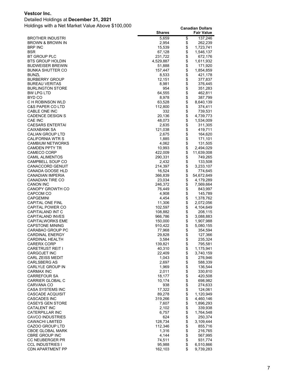#### Detailed Holdings at **December 31, 2021**

|                                                 | <b>Shares</b>     |          | <b>Fair Value</b>  |
|-------------------------------------------------|-------------------|----------|--------------------|
| <b>BROTHER INDUSTRI</b>                         | 5,659             | \$       | 137,246            |
| BROWN & BROWN IN                                | 2,954             | \$       | 262,239            |
| <b>BRP INC</b>                                  | 15,539            | \$       | 1,723,741          |
| <b>BSR</b>                                      | 67,128            | \$       | 1,546,137          |
| BT GROUP PLC                                    | 231,722           | \$       | 672,176            |
| <b>BTS GROUP HOLDIN</b>                         | 4,529,887         | \$       | 1,611,932          |
| <b>BUDWEISER BREWIN</b>                         | 51,888            | \$       | 171,920            |
| <b>BUNKA SHUTTER CO</b>                         | 157,447           | \$       | 1,854,859          |
| <b>BUNZL</b>                                    | 8,533             | \$       | 421,178            |
| <b>BURBERRY GROUP</b>                           | 12,151            | \$       | 377,837            |
| <b>BUREAU VERITAS</b>                           | 8,981             | \$       | 376,445            |
| <b>BURLINGTON STORE</b>                         | 954               | \$       | 351,283            |
| BW LPG LTD                                      | 64,555            | \$       | 462,811            |
| BYD CO                                          | 8,978             | \$       | 387,799            |
| C H ROBINSON WLD<br><b>C&amp;S PAPER CO LTD</b> | 63,528<br>112,800 | \$\$     | 8,640,139          |
| CABLE ONE INC                                   | 332               |          | 374,411<br>739,531 |
| <b>CADENCE DESIGN S</b>                         | 20,136            | \$       | 4,739,773          |
| <b>CAE INC</b>                                  | 48,073            | \$       | 1,534,009          |
| <b>CAESARS ENTERTAI</b>                         | 2,635             | \$       | 311,305            |
| CAIXABANK SA                                    | 121,038           | \$       | 419,711            |
| CALIAN GROUP LTD                                | 2,675             | \$       | 164,620            |
| CALIFORNIA WTR S                                | 1,885             | \$       | 171,101            |
| <b>CAMBIUM NETWORKS</b>                         | 4,062             | \$       | 131,505            |
| CAMDEN PPTY TR                                  | 10,993            | \$       | 2,494,029          |
| CAMECO CORP                                     | 422,009           | \$       | 11,639,008         |
| <b>CAMIL ALIMENTOS</b>                          | 290,331           | \$       | 749,265            |
| CAMPBELL SOUP CO                                | 2,432             | \$       | 133,508            |
| <b>CANACCORD GENUIT</b>                         | 214,397           | \$       | 3,233,107          |
| CANADA GOOSE HLD                                | 16,524            | \$       | 774,645            |
| <b>CANADIAN IMPERIA</b>                         | 366,839           | \$       | 54,672,649         |
| <b>CANADIAN TIRE CO</b>                         | 23,034            | \$       | 4,179,289          |
| <b>CANON INC</b>                                | 246,372           | \$       | 7,569,664          |
| <b>CANOPY GROWTH CO</b>                         | 76,449            | \$       | 843,997            |
| CAPCOM CO                                       | 4,908             | \$       | 145,789            |
| <b>CAPGEMINI</b>                                | 4,454             | \$       | 1,378,762          |
| CAPITAL ONE FINL                                | 11,306            | \$       | 2,072,056          |
| CAPITAL POWER CO                                | 102,597           | \$       | 4,104,649          |
| CAPITALAND INT C                                | 108,882           | \$       | 208,115            |
| <b>CAPITALAND INVES</b>                         | 966,786           | \$       | 3,088,883          |
| <b>CAPITALWORKS EME</b>                         | 150,000           | \$       | 1,907,988          |
| <b>CAPSTONE MINING</b><br>CARABAO GROUP PC      | 910,422           | \$<br>\$ | 5,080,155          |
| <b>CARDINAL ENERGY</b>                          | 77,968<br>29,828  | \$       | 354,594<br>127,366 |
| <b>CARDINAL HEALTH</b>                          | 3,584             | \$       | 235,324            |
| <b>CARERX CORP</b>                              | 139,821           | \$       | 795,581            |
| <b>CARETRUST REIT I</b>                         | 40,310            |          | 1,175,941          |
| <b>CARGOJET INC</b>                             | 22,409            | \$<br>\$ | 3,740,159          |
| <b>CARL ZEISS MEDIT</b>                         | 1,043             | \$       | 276,946            |
| <b>CARLSBERG AS</b>                             | 2,697             |          | 588,339            |
| CARLYLE GROUP IN                                | 1,969             | \$       | 136,544            |
| <b>CARMAX INC</b>                               | 2,011             |          | 330,810            |
| <b>CARREFOUR SA</b>                             | 18,177            | \$\$     | 420,508            |
| <b>CARRIER GLOBAL C</b>                         | 10,174            |          | 698,982            |
| <b>CARVANA CO</b>                               | 938               | \$       | 274,633            |
| CASA SYSTEMS INC                                | 17,322            | \$       | 124,061            |
| <b>CASCADE ACQUISIT</b>                         | 89,278            | \$       | 1,120,949          |
| <b>CASCADES INC</b>                             | 319,266           | \$       | 4,460,146          |
| <b>CASEYS GEN STORE</b>                         | 7,607             | \$       | 1,896,293          |
| <b>CATALENT INC</b>                             | 2,102             | \$       | 339,938            |
| <b>CATERPILLAR INC</b>                          | 6,757             | \$       | 1,764,548          |
| <b>CAVCO INDUSTRIES</b>                         | 624               | \$       | 250,374            |
| <b>CAWACHI LIMITED</b>                          | 128,734           | \$       | 3,109,444          |
| CAZOO GROUP LTD                                 | 112,346           | \$       | 855,716            |
| <b>CBOE GLOBAL MARK</b>                         | 1,316             | \$       | 216,765            |
| <b>CBRE GROUP INC</b>                           | 4,144             |          | 567,995            |
| CC NEUBERGER PR                                 | 74,511            | \$       | 931,774            |
| <b>CCL INDUSTRIES I</b>                         | 95,988            | \$       | 6,510,866          |
| <b>CDN APARTMENT PP</b>                         | 162,103           | \$       | 9,739,283          |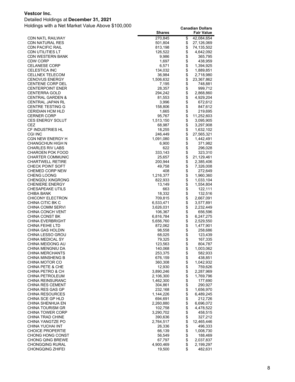#### Detailed Holdings at **December 31, 2021**

| \$<br>270,845<br>42,084,654<br><b>CDN NATL RAILWAY</b><br>\$<br><b>CDN NATURAL RES</b><br>501,804<br>27,126,069<br>\$<br>CDN PACIFIC RAIL<br>813,198<br>74,135,502<br>\$<br>CDN UTILITIES LT<br>126,522<br>4,642,092<br>\$<br>CDN WESTERN BANK<br>9,986<br>365,795<br>\$<br>1,697<br>CDW CORP<br>438,959<br>\$<br><b>CELANESE CORP</b><br>6,571<br>1,394,925<br>\$<br><b>CELESTICA INC</b><br>134,032<br>1,889,851<br>\$<br><b>CELLNEX TELECOM</b><br>36,984<br>2,718,980<br>\$<br><b>CENOVUS ENERGY</b><br>1,506,632<br>23,367,862<br>\$<br><b>CENTENE CORP DEL</b><br>7,195<br>748,881<br>\$<br><b>CENTERPOINT ENER</b><br>28,357<br>999,712<br>\$<br>294,242<br><b>CENTERRA GOLD</b><br>2,868,860<br>\$<br><b>CENTRAL GARDEN &amp;</b><br>81,553<br>4,929,204<br>\$<br>CENTRAL JAPAN RL<br>3,996<br>672,612<br>\$<br><b>CENTRE TESTING G</b><br>158,806<br>847,612<br>\$<br><b>CERIDIAN HCM HLD</b><br>1,665<br>219,695<br>\$<br><b>CERNER CORP</b><br>95,767<br>11,252,603<br>\$<br><b>CES ENERGY SOLUT</b><br>1,513,150<br>3,095,905<br>\$<br><b>CEZ</b><br>68,987<br>3,297,908<br>\$<br>CF INDUSTRIES HL<br>18,255<br>1,632,102<br>\$<br><b>CGI INC</b><br>246,449<br>27,565,321<br>\$<br><b>CGN NEW ENERGY H</b><br>1,091,080<br>1,442,491<br>\$<br><b>CHANGCHUN HIGH N</b><br>371,982<br>6,900<br>\$<br><b>CHARLES RIV LABS</b><br>622<br>296,028<br>\$<br>CHAROEN POK FOOD<br>333,143<br>323,310<br>\$<br><b>CHARTER COMMUNIC</b><br>21,129,461<br>25,657<br>\$<br><b>CHARTWELL RETIRE</b><br>200,944<br>2,385,406<br>\$<br><b>CHECK POINT SOFT</b><br>49,758<br>7,326,008<br>\$<br><b>CHEMED CORP NEW</b><br>408<br>272,649<br>\$<br><b>CHENG LOONG</b><br>1,216,377<br>1,960,360<br>\$<br><b>CHENGDU XINGRONG</b><br>822,933<br>1,033,104<br>\$<br><b>CHENIERE ENERGY</b><br>13,149<br>1,554,804<br>\$<br><b>CHESAPEAKE UTILS</b><br>663<br>122,111<br>\$<br>CHIBA BANK<br>18,332<br>132,516<br>\$<br>2,667,091<br><b>CHICONY ELECTRON</b><br>709,815<br>\$<br>CHINA CITIC BK C<br>6,533,471<br>3,577,891<br>\$<br>CHINA COMM SERVI<br>3,626,031<br>2,232,449<br>\$<br><b>CHINA CONCH VENT</b><br>106,367<br>656,596<br>\$<br>CHINA CONST BK<br>6,816,784<br>6,247,275<br>\$<br><b>CHINA EVERBRIGHT</b><br>2,529,550<br>5,656,760<br>\$<br><b>CHINA FEIHE LTD</b><br>872,062<br>1,477,901<br>\$<br>CHINA GAS HOLDIN<br>98,558<br>258,686<br>\$<br>CHINA LESSO GROU<br>68,025<br>123,439<br>\$<br>CHINA MEDICAL SY<br>167,335<br>79,325<br>\$<br>123,563<br>804,787<br>CHINA MEIDONG AU<br>CHINA MENGNIU DA<br>140,068<br>\$<br>\$<br>1,003,062<br>253,375<br>CHINA MERCHANTS<br>582,933<br>\$\$\$\$\$<br><b>CHINA MINSHENG B</b><br>676,159<br>438,851<br>CHINA MOTOR CO<br>360,308<br>1,042,932<br>CHINA PETE & CHE<br>12,930<br>759,626<br>CHINA PETRO & CH<br>3,890,246<br>2,287,969<br>CHINA PETROLEUM<br>2,106,300<br>1,769,796<br>\$<br>177,690<br><b>CHINA REINSURANC</b><br>1,462,300<br>\$\$\$\$\$\$<br><b>CHINA RES CEMENT</b><br>304,861<br>290,927<br>CHINA RES GAS GP<br>232,168<br>1,656,970<br><b>CHINA RESOURCES</b><br>1,144,226<br>6,489,245<br>CHINA SCE GP HLD<br>694,691<br>212,726<br><b>CHINA SHENHUA EN</b><br>2,260,880<br>6,696,072<br>CHINA TOURISM GR<br>102,758<br>4,478,522<br>\$<br><b>CHINA TOWER CORP</b><br>3,290,702<br>458,515<br>CHINA TRAD CHINE<br>390,636<br>327,212<br>\$<br>2,764,517<br>12,465,446<br>CHINA YANGTZE PO<br>\$<br>CHINA YUCHAI INT<br>26,336<br>496,333<br>\$\$<br><b>CHOICE PROPERTIE</b><br>66,139<br>1,008,730<br>56,549<br>188,469<br><b>CHONG HONG CONST</b><br>67,797<br><b>CHONG QING BREWE</b><br>2,037,837<br>\$<br><b>CHONGQING RURAL</b><br>4,900,469<br>2,199,297 |                         | <b>Shares</b> | <b>Fair Value</b> |
|---------------------------------------------------------------------------------------------------------------------------------------------------------------------------------------------------------------------------------------------------------------------------------------------------------------------------------------------------------------------------------------------------------------------------------------------------------------------------------------------------------------------------------------------------------------------------------------------------------------------------------------------------------------------------------------------------------------------------------------------------------------------------------------------------------------------------------------------------------------------------------------------------------------------------------------------------------------------------------------------------------------------------------------------------------------------------------------------------------------------------------------------------------------------------------------------------------------------------------------------------------------------------------------------------------------------------------------------------------------------------------------------------------------------------------------------------------------------------------------------------------------------------------------------------------------------------------------------------------------------------------------------------------------------------------------------------------------------------------------------------------------------------------------------------------------------------------------------------------------------------------------------------------------------------------------------------------------------------------------------------------------------------------------------------------------------------------------------------------------------------------------------------------------------------------------------------------------------------------------------------------------------------------------------------------------------------------------------------------------------------------------------------------------------------------------------------------------------------------------------------------------------------------------------------------------------------------------------------------------------------------------------------------------------------------------------------------------------------------------------------------------------------------------------------------------------------------------------------------------------------------------------------------------------------------------------------------------------------------------------------------------------------------------------------------------------------------------------------------------------------------------------------------------------------------------------------------------------------------------------------------------------------------------------------------------------------------------------------------------------------------------------------------------------------------------------------------------------------------------------------------------------------------------------------------------------------------------------------------------------------------------------------|-------------------------|---------------|-------------------|
|                                                                                                                                                                                                                                                                                                                                                                                                                                                                                                                                                                                                                                                                                                                                                                                                                                                                                                                                                                                                                                                                                                                                                                                                                                                                                                                                                                                                                                                                                                                                                                                                                                                                                                                                                                                                                                                                                                                                                                                                                                                                                                                                                                                                                                                                                                                                                                                                                                                                                                                                                                                                                                                                                                                                                                                                                                                                                                                                                                                                                                                                                                                                                                                                                                                                                                                                                                                                                                                                                                                                                                                                                                                   |                         |               |                   |
|                                                                                                                                                                                                                                                                                                                                                                                                                                                                                                                                                                                                                                                                                                                                                                                                                                                                                                                                                                                                                                                                                                                                                                                                                                                                                                                                                                                                                                                                                                                                                                                                                                                                                                                                                                                                                                                                                                                                                                                                                                                                                                                                                                                                                                                                                                                                                                                                                                                                                                                                                                                                                                                                                                                                                                                                                                                                                                                                                                                                                                                                                                                                                                                                                                                                                                                                                                                                                                                                                                                                                                                                                                                   |                         |               |                   |
|                                                                                                                                                                                                                                                                                                                                                                                                                                                                                                                                                                                                                                                                                                                                                                                                                                                                                                                                                                                                                                                                                                                                                                                                                                                                                                                                                                                                                                                                                                                                                                                                                                                                                                                                                                                                                                                                                                                                                                                                                                                                                                                                                                                                                                                                                                                                                                                                                                                                                                                                                                                                                                                                                                                                                                                                                                                                                                                                                                                                                                                                                                                                                                                                                                                                                                                                                                                                                                                                                                                                                                                                                                                   |                         |               |                   |
|                                                                                                                                                                                                                                                                                                                                                                                                                                                                                                                                                                                                                                                                                                                                                                                                                                                                                                                                                                                                                                                                                                                                                                                                                                                                                                                                                                                                                                                                                                                                                                                                                                                                                                                                                                                                                                                                                                                                                                                                                                                                                                                                                                                                                                                                                                                                                                                                                                                                                                                                                                                                                                                                                                                                                                                                                                                                                                                                                                                                                                                                                                                                                                                                                                                                                                                                                                                                                                                                                                                                                                                                                                                   |                         |               |                   |
|                                                                                                                                                                                                                                                                                                                                                                                                                                                                                                                                                                                                                                                                                                                                                                                                                                                                                                                                                                                                                                                                                                                                                                                                                                                                                                                                                                                                                                                                                                                                                                                                                                                                                                                                                                                                                                                                                                                                                                                                                                                                                                                                                                                                                                                                                                                                                                                                                                                                                                                                                                                                                                                                                                                                                                                                                                                                                                                                                                                                                                                                                                                                                                                                                                                                                                                                                                                                                                                                                                                                                                                                                                                   |                         |               |                   |
|                                                                                                                                                                                                                                                                                                                                                                                                                                                                                                                                                                                                                                                                                                                                                                                                                                                                                                                                                                                                                                                                                                                                                                                                                                                                                                                                                                                                                                                                                                                                                                                                                                                                                                                                                                                                                                                                                                                                                                                                                                                                                                                                                                                                                                                                                                                                                                                                                                                                                                                                                                                                                                                                                                                                                                                                                                                                                                                                                                                                                                                                                                                                                                                                                                                                                                                                                                                                                                                                                                                                                                                                                                                   |                         |               |                   |
|                                                                                                                                                                                                                                                                                                                                                                                                                                                                                                                                                                                                                                                                                                                                                                                                                                                                                                                                                                                                                                                                                                                                                                                                                                                                                                                                                                                                                                                                                                                                                                                                                                                                                                                                                                                                                                                                                                                                                                                                                                                                                                                                                                                                                                                                                                                                                                                                                                                                                                                                                                                                                                                                                                                                                                                                                                                                                                                                                                                                                                                                                                                                                                                                                                                                                                                                                                                                                                                                                                                                                                                                                                                   |                         |               |                   |
|                                                                                                                                                                                                                                                                                                                                                                                                                                                                                                                                                                                                                                                                                                                                                                                                                                                                                                                                                                                                                                                                                                                                                                                                                                                                                                                                                                                                                                                                                                                                                                                                                                                                                                                                                                                                                                                                                                                                                                                                                                                                                                                                                                                                                                                                                                                                                                                                                                                                                                                                                                                                                                                                                                                                                                                                                                                                                                                                                                                                                                                                                                                                                                                                                                                                                                                                                                                                                                                                                                                                                                                                                                                   |                         |               |                   |
|                                                                                                                                                                                                                                                                                                                                                                                                                                                                                                                                                                                                                                                                                                                                                                                                                                                                                                                                                                                                                                                                                                                                                                                                                                                                                                                                                                                                                                                                                                                                                                                                                                                                                                                                                                                                                                                                                                                                                                                                                                                                                                                                                                                                                                                                                                                                                                                                                                                                                                                                                                                                                                                                                                                                                                                                                                                                                                                                                                                                                                                                                                                                                                                                                                                                                                                                                                                                                                                                                                                                                                                                                                                   |                         |               |                   |
|                                                                                                                                                                                                                                                                                                                                                                                                                                                                                                                                                                                                                                                                                                                                                                                                                                                                                                                                                                                                                                                                                                                                                                                                                                                                                                                                                                                                                                                                                                                                                                                                                                                                                                                                                                                                                                                                                                                                                                                                                                                                                                                                                                                                                                                                                                                                                                                                                                                                                                                                                                                                                                                                                                                                                                                                                                                                                                                                                                                                                                                                                                                                                                                                                                                                                                                                                                                                                                                                                                                                                                                                                                                   |                         |               |                   |
|                                                                                                                                                                                                                                                                                                                                                                                                                                                                                                                                                                                                                                                                                                                                                                                                                                                                                                                                                                                                                                                                                                                                                                                                                                                                                                                                                                                                                                                                                                                                                                                                                                                                                                                                                                                                                                                                                                                                                                                                                                                                                                                                                                                                                                                                                                                                                                                                                                                                                                                                                                                                                                                                                                                                                                                                                                                                                                                                                                                                                                                                                                                                                                                                                                                                                                                                                                                                                                                                                                                                                                                                                                                   |                         |               |                   |
|                                                                                                                                                                                                                                                                                                                                                                                                                                                                                                                                                                                                                                                                                                                                                                                                                                                                                                                                                                                                                                                                                                                                                                                                                                                                                                                                                                                                                                                                                                                                                                                                                                                                                                                                                                                                                                                                                                                                                                                                                                                                                                                                                                                                                                                                                                                                                                                                                                                                                                                                                                                                                                                                                                                                                                                                                                                                                                                                                                                                                                                                                                                                                                                                                                                                                                                                                                                                                                                                                                                                                                                                                                                   |                         |               |                   |
|                                                                                                                                                                                                                                                                                                                                                                                                                                                                                                                                                                                                                                                                                                                                                                                                                                                                                                                                                                                                                                                                                                                                                                                                                                                                                                                                                                                                                                                                                                                                                                                                                                                                                                                                                                                                                                                                                                                                                                                                                                                                                                                                                                                                                                                                                                                                                                                                                                                                                                                                                                                                                                                                                                                                                                                                                                                                                                                                                                                                                                                                                                                                                                                                                                                                                                                                                                                                                                                                                                                                                                                                                                                   |                         |               |                   |
|                                                                                                                                                                                                                                                                                                                                                                                                                                                                                                                                                                                                                                                                                                                                                                                                                                                                                                                                                                                                                                                                                                                                                                                                                                                                                                                                                                                                                                                                                                                                                                                                                                                                                                                                                                                                                                                                                                                                                                                                                                                                                                                                                                                                                                                                                                                                                                                                                                                                                                                                                                                                                                                                                                                                                                                                                                                                                                                                                                                                                                                                                                                                                                                                                                                                                                                                                                                                                                                                                                                                                                                                                                                   |                         |               |                   |
|                                                                                                                                                                                                                                                                                                                                                                                                                                                                                                                                                                                                                                                                                                                                                                                                                                                                                                                                                                                                                                                                                                                                                                                                                                                                                                                                                                                                                                                                                                                                                                                                                                                                                                                                                                                                                                                                                                                                                                                                                                                                                                                                                                                                                                                                                                                                                                                                                                                                                                                                                                                                                                                                                                                                                                                                                                                                                                                                                                                                                                                                                                                                                                                                                                                                                                                                                                                                                                                                                                                                                                                                                                                   |                         |               |                   |
|                                                                                                                                                                                                                                                                                                                                                                                                                                                                                                                                                                                                                                                                                                                                                                                                                                                                                                                                                                                                                                                                                                                                                                                                                                                                                                                                                                                                                                                                                                                                                                                                                                                                                                                                                                                                                                                                                                                                                                                                                                                                                                                                                                                                                                                                                                                                                                                                                                                                                                                                                                                                                                                                                                                                                                                                                                                                                                                                                                                                                                                                                                                                                                                                                                                                                                                                                                                                                                                                                                                                                                                                                                                   |                         |               |                   |
|                                                                                                                                                                                                                                                                                                                                                                                                                                                                                                                                                                                                                                                                                                                                                                                                                                                                                                                                                                                                                                                                                                                                                                                                                                                                                                                                                                                                                                                                                                                                                                                                                                                                                                                                                                                                                                                                                                                                                                                                                                                                                                                                                                                                                                                                                                                                                                                                                                                                                                                                                                                                                                                                                                                                                                                                                                                                                                                                                                                                                                                                                                                                                                                                                                                                                                                                                                                                                                                                                                                                                                                                                                                   |                         |               |                   |
|                                                                                                                                                                                                                                                                                                                                                                                                                                                                                                                                                                                                                                                                                                                                                                                                                                                                                                                                                                                                                                                                                                                                                                                                                                                                                                                                                                                                                                                                                                                                                                                                                                                                                                                                                                                                                                                                                                                                                                                                                                                                                                                                                                                                                                                                                                                                                                                                                                                                                                                                                                                                                                                                                                                                                                                                                                                                                                                                                                                                                                                                                                                                                                                                                                                                                                                                                                                                                                                                                                                                                                                                                                                   |                         |               |                   |
|                                                                                                                                                                                                                                                                                                                                                                                                                                                                                                                                                                                                                                                                                                                                                                                                                                                                                                                                                                                                                                                                                                                                                                                                                                                                                                                                                                                                                                                                                                                                                                                                                                                                                                                                                                                                                                                                                                                                                                                                                                                                                                                                                                                                                                                                                                                                                                                                                                                                                                                                                                                                                                                                                                                                                                                                                                                                                                                                                                                                                                                                                                                                                                                                                                                                                                                                                                                                                                                                                                                                                                                                                                                   |                         |               |                   |
|                                                                                                                                                                                                                                                                                                                                                                                                                                                                                                                                                                                                                                                                                                                                                                                                                                                                                                                                                                                                                                                                                                                                                                                                                                                                                                                                                                                                                                                                                                                                                                                                                                                                                                                                                                                                                                                                                                                                                                                                                                                                                                                                                                                                                                                                                                                                                                                                                                                                                                                                                                                                                                                                                                                                                                                                                                                                                                                                                                                                                                                                                                                                                                                                                                                                                                                                                                                                                                                                                                                                                                                                                                                   |                         |               |                   |
|                                                                                                                                                                                                                                                                                                                                                                                                                                                                                                                                                                                                                                                                                                                                                                                                                                                                                                                                                                                                                                                                                                                                                                                                                                                                                                                                                                                                                                                                                                                                                                                                                                                                                                                                                                                                                                                                                                                                                                                                                                                                                                                                                                                                                                                                                                                                                                                                                                                                                                                                                                                                                                                                                                                                                                                                                                                                                                                                                                                                                                                                                                                                                                                                                                                                                                                                                                                                                                                                                                                                                                                                                                                   |                         |               |                   |
|                                                                                                                                                                                                                                                                                                                                                                                                                                                                                                                                                                                                                                                                                                                                                                                                                                                                                                                                                                                                                                                                                                                                                                                                                                                                                                                                                                                                                                                                                                                                                                                                                                                                                                                                                                                                                                                                                                                                                                                                                                                                                                                                                                                                                                                                                                                                                                                                                                                                                                                                                                                                                                                                                                                                                                                                                                                                                                                                                                                                                                                                                                                                                                                                                                                                                                                                                                                                                                                                                                                                                                                                                                                   |                         |               |                   |
|                                                                                                                                                                                                                                                                                                                                                                                                                                                                                                                                                                                                                                                                                                                                                                                                                                                                                                                                                                                                                                                                                                                                                                                                                                                                                                                                                                                                                                                                                                                                                                                                                                                                                                                                                                                                                                                                                                                                                                                                                                                                                                                                                                                                                                                                                                                                                                                                                                                                                                                                                                                                                                                                                                                                                                                                                                                                                                                                                                                                                                                                                                                                                                                                                                                                                                                                                                                                                                                                                                                                                                                                                                                   |                         |               |                   |
|                                                                                                                                                                                                                                                                                                                                                                                                                                                                                                                                                                                                                                                                                                                                                                                                                                                                                                                                                                                                                                                                                                                                                                                                                                                                                                                                                                                                                                                                                                                                                                                                                                                                                                                                                                                                                                                                                                                                                                                                                                                                                                                                                                                                                                                                                                                                                                                                                                                                                                                                                                                                                                                                                                                                                                                                                                                                                                                                                                                                                                                                                                                                                                                                                                                                                                                                                                                                                                                                                                                                                                                                                                                   |                         |               |                   |
|                                                                                                                                                                                                                                                                                                                                                                                                                                                                                                                                                                                                                                                                                                                                                                                                                                                                                                                                                                                                                                                                                                                                                                                                                                                                                                                                                                                                                                                                                                                                                                                                                                                                                                                                                                                                                                                                                                                                                                                                                                                                                                                                                                                                                                                                                                                                                                                                                                                                                                                                                                                                                                                                                                                                                                                                                                                                                                                                                                                                                                                                                                                                                                                                                                                                                                                                                                                                                                                                                                                                                                                                                                                   |                         |               |                   |
|                                                                                                                                                                                                                                                                                                                                                                                                                                                                                                                                                                                                                                                                                                                                                                                                                                                                                                                                                                                                                                                                                                                                                                                                                                                                                                                                                                                                                                                                                                                                                                                                                                                                                                                                                                                                                                                                                                                                                                                                                                                                                                                                                                                                                                                                                                                                                                                                                                                                                                                                                                                                                                                                                                                                                                                                                                                                                                                                                                                                                                                                                                                                                                                                                                                                                                                                                                                                                                                                                                                                                                                                                                                   |                         |               |                   |
|                                                                                                                                                                                                                                                                                                                                                                                                                                                                                                                                                                                                                                                                                                                                                                                                                                                                                                                                                                                                                                                                                                                                                                                                                                                                                                                                                                                                                                                                                                                                                                                                                                                                                                                                                                                                                                                                                                                                                                                                                                                                                                                                                                                                                                                                                                                                                                                                                                                                                                                                                                                                                                                                                                                                                                                                                                                                                                                                                                                                                                                                                                                                                                                                                                                                                                                                                                                                                                                                                                                                                                                                                                                   |                         |               |                   |
|                                                                                                                                                                                                                                                                                                                                                                                                                                                                                                                                                                                                                                                                                                                                                                                                                                                                                                                                                                                                                                                                                                                                                                                                                                                                                                                                                                                                                                                                                                                                                                                                                                                                                                                                                                                                                                                                                                                                                                                                                                                                                                                                                                                                                                                                                                                                                                                                                                                                                                                                                                                                                                                                                                                                                                                                                                                                                                                                                                                                                                                                                                                                                                                                                                                                                                                                                                                                                                                                                                                                                                                                                                                   |                         |               |                   |
|                                                                                                                                                                                                                                                                                                                                                                                                                                                                                                                                                                                                                                                                                                                                                                                                                                                                                                                                                                                                                                                                                                                                                                                                                                                                                                                                                                                                                                                                                                                                                                                                                                                                                                                                                                                                                                                                                                                                                                                                                                                                                                                                                                                                                                                                                                                                                                                                                                                                                                                                                                                                                                                                                                                                                                                                                                                                                                                                                                                                                                                                                                                                                                                                                                                                                                                                                                                                                                                                                                                                                                                                                                                   |                         |               |                   |
|                                                                                                                                                                                                                                                                                                                                                                                                                                                                                                                                                                                                                                                                                                                                                                                                                                                                                                                                                                                                                                                                                                                                                                                                                                                                                                                                                                                                                                                                                                                                                                                                                                                                                                                                                                                                                                                                                                                                                                                                                                                                                                                                                                                                                                                                                                                                                                                                                                                                                                                                                                                                                                                                                                                                                                                                                                                                                                                                                                                                                                                                                                                                                                                                                                                                                                                                                                                                                                                                                                                                                                                                                                                   |                         |               |                   |
|                                                                                                                                                                                                                                                                                                                                                                                                                                                                                                                                                                                                                                                                                                                                                                                                                                                                                                                                                                                                                                                                                                                                                                                                                                                                                                                                                                                                                                                                                                                                                                                                                                                                                                                                                                                                                                                                                                                                                                                                                                                                                                                                                                                                                                                                                                                                                                                                                                                                                                                                                                                                                                                                                                                                                                                                                                                                                                                                                                                                                                                                                                                                                                                                                                                                                                                                                                                                                                                                                                                                                                                                                                                   |                         |               |                   |
|                                                                                                                                                                                                                                                                                                                                                                                                                                                                                                                                                                                                                                                                                                                                                                                                                                                                                                                                                                                                                                                                                                                                                                                                                                                                                                                                                                                                                                                                                                                                                                                                                                                                                                                                                                                                                                                                                                                                                                                                                                                                                                                                                                                                                                                                                                                                                                                                                                                                                                                                                                                                                                                                                                                                                                                                                                                                                                                                                                                                                                                                                                                                                                                                                                                                                                                                                                                                                                                                                                                                                                                                                                                   |                         |               |                   |
|                                                                                                                                                                                                                                                                                                                                                                                                                                                                                                                                                                                                                                                                                                                                                                                                                                                                                                                                                                                                                                                                                                                                                                                                                                                                                                                                                                                                                                                                                                                                                                                                                                                                                                                                                                                                                                                                                                                                                                                                                                                                                                                                                                                                                                                                                                                                                                                                                                                                                                                                                                                                                                                                                                                                                                                                                                                                                                                                                                                                                                                                                                                                                                                                                                                                                                                                                                                                                                                                                                                                                                                                                                                   |                         |               |                   |
|                                                                                                                                                                                                                                                                                                                                                                                                                                                                                                                                                                                                                                                                                                                                                                                                                                                                                                                                                                                                                                                                                                                                                                                                                                                                                                                                                                                                                                                                                                                                                                                                                                                                                                                                                                                                                                                                                                                                                                                                                                                                                                                                                                                                                                                                                                                                                                                                                                                                                                                                                                                                                                                                                                                                                                                                                                                                                                                                                                                                                                                                                                                                                                                                                                                                                                                                                                                                                                                                                                                                                                                                                                                   |                         |               |                   |
|                                                                                                                                                                                                                                                                                                                                                                                                                                                                                                                                                                                                                                                                                                                                                                                                                                                                                                                                                                                                                                                                                                                                                                                                                                                                                                                                                                                                                                                                                                                                                                                                                                                                                                                                                                                                                                                                                                                                                                                                                                                                                                                                                                                                                                                                                                                                                                                                                                                                                                                                                                                                                                                                                                                                                                                                                                                                                                                                                                                                                                                                                                                                                                                                                                                                                                                                                                                                                                                                                                                                                                                                                                                   |                         |               |                   |
|                                                                                                                                                                                                                                                                                                                                                                                                                                                                                                                                                                                                                                                                                                                                                                                                                                                                                                                                                                                                                                                                                                                                                                                                                                                                                                                                                                                                                                                                                                                                                                                                                                                                                                                                                                                                                                                                                                                                                                                                                                                                                                                                                                                                                                                                                                                                                                                                                                                                                                                                                                                                                                                                                                                                                                                                                                                                                                                                                                                                                                                                                                                                                                                                                                                                                                                                                                                                                                                                                                                                                                                                                                                   |                         |               |                   |
|                                                                                                                                                                                                                                                                                                                                                                                                                                                                                                                                                                                                                                                                                                                                                                                                                                                                                                                                                                                                                                                                                                                                                                                                                                                                                                                                                                                                                                                                                                                                                                                                                                                                                                                                                                                                                                                                                                                                                                                                                                                                                                                                                                                                                                                                                                                                                                                                                                                                                                                                                                                                                                                                                                                                                                                                                                                                                                                                                                                                                                                                                                                                                                                                                                                                                                                                                                                                                                                                                                                                                                                                                                                   |                         |               |                   |
|                                                                                                                                                                                                                                                                                                                                                                                                                                                                                                                                                                                                                                                                                                                                                                                                                                                                                                                                                                                                                                                                                                                                                                                                                                                                                                                                                                                                                                                                                                                                                                                                                                                                                                                                                                                                                                                                                                                                                                                                                                                                                                                                                                                                                                                                                                                                                                                                                                                                                                                                                                                                                                                                                                                                                                                                                                                                                                                                                                                                                                                                                                                                                                                                                                                                                                                                                                                                                                                                                                                                                                                                                                                   |                         |               |                   |
|                                                                                                                                                                                                                                                                                                                                                                                                                                                                                                                                                                                                                                                                                                                                                                                                                                                                                                                                                                                                                                                                                                                                                                                                                                                                                                                                                                                                                                                                                                                                                                                                                                                                                                                                                                                                                                                                                                                                                                                                                                                                                                                                                                                                                                                                                                                                                                                                                                                                                                                                                                                                                                                                                                                                                                                                                                                                                                                                                                                                                                                                                                                                                                                                                                                                                                                                                                                                                                                                                                                                                                                                                                                   |                         |               |                   |
|                                                                                                                                                                                                                                                                                                                                                                                                                                                                                                                                                                                                                                                                                                                                                                                                                                                                                                                                                                                                                                                                                                                                                                                                                                                                                                                                                                                                                                                                                                                                                                                                                                                                                                                                                                                                                                                                                                                                                                                                                                                                                                                                                                                                                                                                                                                                                                                                                                                                                                                                                                                                                                                                                                                                                                                                                                                                                                                                                                                                                                                                                                                                                                                                                                                                                                                                                                                                                                                                                                                                                                                                                                                   |                         |               |                   |
|                                                                                                                                                                                                                                                                                                                                                                                                                                                                                                                                                                                                                                                                                                                                                                                                                                                                                                                                                                                                                                                                                                                                                                                                                                                                                                                                                                                                                                                                                                                                                                                                                                                                                                                                                                                                                                                                                                                                                                                                                                                                                                                                                                                                                                                                                                                                                                                                                                                                                                                                                                                                                                                                                                                                                                                                                                                                                                                                                                                                                                                                                                                                                                                                                                                                                                                                                                                                                                                                                                                                                                                                                                                   |                         |               |                   |
|                                                                                                                                                                                                                                                                                                                                                                                                                                                                                                                                                                                                                                                                                                                                                                                                                                                                                                                                                                                                                                                                                                                                                                                                                                                                                                                                                                                                                                                                                                                                                                                                                                                                                                                                                                                                                                                                                                                                                                                                                                                                                                                                                                                                                                                                                                                                                                                                                                                                                                                                                                                                                                                                                                                                                                                                                                                                                                                                                                                                                                                                                                                                                                                                                                                                                                                                                                                                                                                                                                                                                                                                                                                   |                         |               |                   |
|                                                                                                                                                                                                                                                                                                                                                                                                                                                                                                                                                                                                                                                                                                                                                                                                                                                                                                                                                                                                                                                                                                                                                                                                                                                                                                                                                                                                                                                                                                                                                                                                                                                                                                                                                                                                                                                                                                                                                                                                                                                                                                                                                                                                                                                                                                                                                                                                                                                                                                                                                                                                                                                                                                                                                                                                                                                                                                                                                                                                                                                                                                                                                                                                                                                                                                                                                                                                                                                                                                                                                                                                                                                   |                         |               |                   |
|                                                                                                                                                                                                                                                                                                                                                                                                                                                                                                                                                                                                                                                                                                                                                                                                                                                                                                                                                                                                                                                                                                                                                                                                                                                                                                                                                                                                                                                                                                                                                                                                                                                                                                                                                                                                                                                                                                                                                                                                                                                                                                                                                                                                                                                                                                                                                                                                                                                                                                                                                                                                                                                                                                                                                                                                                                                                                                                                                                                                                                                                                                                                                                                                                                                                                                                                                                                                                                                                                                                                                                                                                                                   |                         |               |                   |
|                                                                                                                                                                                                                                                                                                                                                                                                                                                                                                                                                                                                                                                                                                                                                                                                                                                                                                                                                                                                                                                                                                                                                                                                                                                                                                                                                                                                                                                                                                                                                                                                                                                                                                                                                                                                                                                                                                                                                                                                                                                                                                                                                                                                                                                                                                                                                                                                                                                                                                                                                                                                                                                                                                                                                                                                                                                                                                                                                                                                                                                                                                                                                                                                                                                                                                                                                                                                                                                                                                                                                                                                                                                   |                         |               |                   |
|                                                                                                                                                                                                                                                                                                                                                                                                                                                                                                                                                                                                                                                                                                                                                                                                                                                                                                                                                                                                                                                                                                                                                                                                                                                                                                                                                                                                                                                                                                                                                                                                                                                                                                                                                                                                                                                                                                                                                                                                                                                                                                                                                                                                                                                                                                                                                                                                                                                                                                                                                                                                                                                                                                                                                                                                                                                                                                                                                                                                                                                                                                                                                                                                                                                                                                                                                                                                                                                                                                                                                                                                                                                   |                         |               |                   |
|                                                                                                                                                                                                                                                                                                                                                                                                                                                                                                                                                                                                                                                                                                                                                                                                                                                                                                                                                                                                                                                                                                                                                                                                                                                                                                                                                                                                                                                                                                                                                                                                                                                                                                                                                                                                                                                                                                                                                                                                                                                                                                                                                                                                                                                                                                                                                                                                                                                                                                                                                                                                                                                                                                                                                                                                                                                                                                                                                                                                                                                                                                                                                                                                                                                                                                                                                                                                                                                                                                                                                                                                                                                   |                         |               |                   |
|                                                                                                                                                                                                                                                                                                                                                                                                                                                                                                                                                                                                                                                                                                                                                                                                                                                                                                                                                                                                                                                                                                                                                                                                                                                                                                                                                                                                                                                                                                                                                                                                                                                                                                                                                                                                                                                                                                                                                                                                                                                                                                                                                                                                                                                                                                                                                                                                                                                                                                                                                                                                                                                                                                                                                                                                                                                                                                                                                                                                                                                                                                                                                                                                                                                                                                                                                                                                                                                                                                                                                                                                                                                   |                         |               |                   |
|                                                                                                                                                                                                                                                                                                                                                                                                                                                                                                                                                                                                                                                                                                                                                                                                                                                                                                                                                                                                                                                                                                                                                                                                                                                                                                                                                                                                                                                                                                                                                                                                                                                                                                                                                                                                                                                                                                                                                                                                                                                                                                                                                                                                                                                                                                                                                                                                                                                                                                                                                                                                                                                                                                                                                                                                                                                                                                                                                                                                                                                                                                                                                                                                                                                                                                                                                                                                                                                                                                                                                                                                                                                   |                         |               |                   |
|                                                                                                                                                                                                                                                                                                                                                                                                                                                                                                                                                                                                                                                                                                                                                                                                                                                                                                                                                                                                                                                                                                                                                                                                                                                                                                                                                                                                                                                                                                                                                                                                                                                                                                                                                                                                                                                                                                                                                                                                                                                                                                                                                                                                                                                                                                                                                                                                                                                                                                                                                                                                                                                                                                                                                                                                                                                                                                                                                                                                                                                                                                                                                                                                                                                                                                                                                                                                                                                                                                                                                                                                                                                   |                         |               |                   |
|                                                                                                                                                                                                                                                                                                                                                                                                                                                                                                                                                                                                                                                                                                                                                                                                                                                                                                                                                                                                                                                                                                                                                                                                                                                                                                                                                                                                                                                                                                                                                                                                                                                                                                                                                                                                                                                                                                                                                                                                                                                                                                                                                                                                                                                                                                                                                                                                                                                                                                                                                                                                                                                                                                                                                                                                                                                                                                                                                                                                                                                                                                                                                                                                                                                                                                                                                                                                                                                                                                                                                                                                                                                   |                         |               |                   |
|                                                                                                                                                                                                                                                                                                                                                                                                                                                                                                                                                                                                                                                                                                                                                                                                                                                                                                                                                                                                                                                                                                                                                                                                                                                                                                                                                                                                                                                                                                                                                                                                                                                                                                                                                                                                                                                                                                                                                                                                                                                                                                                                                                                                                                                                                                                                                                                                                                                                                                                                                                                                                                                                                                                                                                                                                                                                                                                                                                                                                                                                                                                                                                                                                                                                                                                                                                                                                                                                                                                                                                                                                                                   |                         |               |                   |
|                                                                                                                                                                                                                                                                                                                                                                                                                                                                                                                                                                                                                                                                                                                                                                                                                                                                                                                                                                                                                                                                                                                                                                                                                                                                                                                                                                                                                                                                                                                                                                                                                                                                                                                                                                                                                                                                                                                                                                                                                                                                                                                                                                                                                                                                                                                                                                                                                                                                                                                                                                                                                                                                                                                                                                                                                                                                                                                                                                                                                                                                                                                                                                                                                                                                                                                                                                                                                                                                                                                                                                                                                                                   |                         |               |                   |
|                                                                                                                                                                                                                                                                                                                                                                                                                                                                                                                                                                                                                                                                                                                                                                                                                                                                                                                                                                                                                                                                                                                                                                                                                                                                                                                                                                                                                                                                                                                                                                                                                                                                                                                                                                                                                                                                                                                                                                                                                                                                                                                                                                                                                                                                                                                                                                                                                                                                                                                                                                                                                                                                                                                                                                                                                                                                                                                                                                                                                                                                                                                                                                                                                                                                                                                                                                                                                                                                                                                                                                                                                                                   |                         |               |                   |
|                                                                                                                                                                                                                                                                                                                                                                                                                                                                                                                                                                                                                                                                                                                                                                                                                                                                                                                                                                                                                                                                                                                                                                                                                                                                                                                                                                                                                                                                                                                                                                                                                                                                                                                                                                                                                                                                                                                                                                                                                                                                                                                                                                                                                                                                                                                                                                                                                                                                                                                                                                                                                                                                                                                                                                                                                                                                                                                                                                                                                                                                                                                                                                                                                                                                                                                                                                                                                                                                                                                                                                                                                                                   |                         |               |                   |
|                                                                                                                                                                                                                                                                                                                                                                                                                                                                                                                                                                                                                                                                                                                                                                                                                                                                                                                                                                                                                                                                                                                                                                                                                                                                                                                                                                                                                                                                                                                                                                                                                                                                                                                                                                                                                                                                                                                                                                                                                                                                                                                                                                                                                                                                                                                                                                                                                                                                                                                                                                                                                                                                                                                                                                                                                                                                                                                                                                                                                                                                                                                                                                                                                                                                                                                                                                                                                                                                                                                                                                                                                                                   |                         |               |                   |
|                                                                                                                                                                                                                                                                                                                                                                                                                                                                                                                                                                                                                                                                                                                                                                                                                                                                                                                                                                                                                                                                                                                                                                                                                                                                                                                                                                                                                                                                                                                                                                                                                                                                                                                                                                                                                                                                                                                                                                                                                                                                                                                                                                                                                                                                                                                                                                                                                                                                                                                                                                                                                                                                                                                                                                                                                                                                                                                                                                                                                                                                                                                                                                                                                                                                                                                                                                                                                                                                                                                                                                                                                                                   |                         |               |                   |
|                                                                                                                                                                                                                                                                                                                                                                                                                                                                                                                                                                                                                                                                                                                                                                                                                                                                                                                                                                                                                                                                                                                                                                                                                                                                                                                                                                                                                                                                                                                                                                                                                                                                                                                                                                                                                                                                                                                                                                                                                                                                                                                                                                                                                                                                                                                                                                                                                                                                                                                                                                                                                                                                                                                                                                                                                                                                                                                                                                                                                                                                                                                                                                                                                                                                                                                                                                                                                                                                                                                                                                                                                                                   |                         |               |                   |
|                                                                                                                                                                                                                                                                                                                                                                                                                                                                                                                                                                                                                                                                                                                                                                                                                                                                                                                                                                                                                                                                                                                                                                                                                                                                                                                                                                                                                                                                                                                                                                                                                                                                                                                                                                                                                                                                                                                                                                                                                                                                                                                                                                                                                                                                                                                                                                                                                                                                                                                                                                                                                                                                                                                                                                                                                                                                                                                                                                                                                                                                                                                                                                                                                                                                                                                                                                                                                                                                                                                                                                                                                                                   |                         |               |                   |
|                                                                                                                                                                                                                                                                                                                                                                                                                                                                                                                                                                                                                                                                                                                                                                                                                                                                                                                                                                                                                                                                                                                                                                                                                                                                                                                                                                                                                                                                                                                                                                                                                                                                                                                                                                                                                                                                                                                                                                                                                                                                                                                                                                                                                                                                                                                                                                                                                                                                                                                                                                                                                                                                                                                                                                                                                                                                                                                                                                                                                                                                                                                                                                                                                                                                                                                                                                                                                                                                                                                                                                                                                                                   |                         |               |                   |
|                                                                                                                                                                                                                                                                                                                                                                                                                                                                                                                                                                                                                                                                                                                                                                                                                                                                                                                                                                                                                                                                                                                                                                                                                                                                                                                                                                                                                                                                                                                                                                                                                                                                                                                                                                                                                                                                                                                                                                                                                                                                                                                                                                                                                                                                                                                                                                                                                                                                                                                                                                                                                                                                                                                                                                                                                                                                                                                                                                                                                                                                                                                                                                                                                                                                                                                                                                                                                                                                                                                                                                                                                                                   |                         |               |                   |
|                                                                                                                                                                                                                                                                                                                                                                                                                                                                                                                                                                                                                                                                                                                                                                                                                                                                                                                                                                                                                                                                                                                                                                                                                                                                                                                                                                                                                                                                                                                                                                                                                                                                                                                                                                                                                                                                                                                                                                                                                                                                                                                                                                                                                                                                                                                                                                                                                                                                                                                                                                                                                                                                                                                                                                                                                                                                                                                                                                                                                                                                                                                                                                                                                                                                                                                                                                                                                                                                                                                                                                                                                                                   |                         |               |                   |
|                                                                                                                                                                                                                                                                                                                                                                                                                                                                                                                                                                                                                                                                                                                                                                                                                                                                                                                                                                                                                                                                                                                                                                                                                                                                                                                                                                                                                                                                                                                                                                                                                                                                                                                                                                                                                                                                                                                                                                                                                                                                                                                                                                                                                                                                                                                                                                                                                                                                                                                                                                                                                                                                                                                                                                                                                                                                                                                                                                                                                                                                                                                                                                                                                                                                                                                                                                                                                                                                                                                                                                                                                                                   |                         |               |                   |
|                                                                                                                                                                                                                                                                                                                                                                                                                                                                                                                                                                                                                                                                                                                                                                                                                                                                                                                                                                                                                                                                                                                                                                                                                                                                                                                                                                                                                                                                                                                                                                                                                                                                                                                                                                                                                                                                                                                                                                                                                                                                                                                                                                                                                                                                                                                                                                                                                                                                                                                                                                                                                                                                                                                                                                                                                                                                                                                                                                                                                                                                                                                                                                                                                                                                                                                                                                                                                                                                                                                                                                                                                                                   |                         |               |                   |
|                                                                                                                                                                                                                                                                                                                                                                                                                                                                                                                                                                                                                                                                                                                                                                                                                                                                                                                                                                                                                                                                                                                                                                                                                                                                                                                                                                                                                                                                                                                                                                                                                                                                                                                                                                                                                                                                                                                                                                                                                                                                                                                                                                                                                                                                                                                                                                                                                                                                                                                                                                                                                                                                                                                                                                                                                                                                                                                                                                                                                                                                                                                                                                                                                                                                                                                                                                                                                                                                                                                                                                                                                                                   |                         |               |                   |
|                                                                                                                                                                                                                                                                                                                                                                                                                                                                                                                                                                                                                                                                                                                                                                                                                                                                                                                                                                                                                                                                                                                                                                                                                                                                                                                                                                                                                                                                                                                                                                                                                                                                                                                                                                                                                                                                                                                                                                                                                                                                                                                                                                                                                                                                                                                                                                                                                                                                                                                                                                                                                                                                                                                                                                                                                                                                                                                                                                                                                                                                                                                                                                                                                                                                                                                                                                                                                                                                                                                                                                                                                                                   | <b>CHONGQING ZHIFEI</b> | 19,500        | \$<br>482,631     |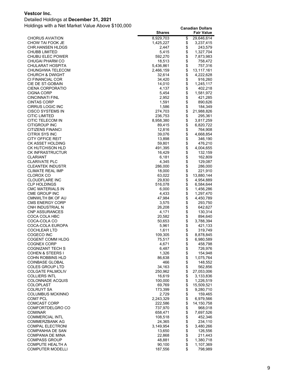#### Detailed Holdings at **December 31, 2021**

|                                          | <b>Shares</b>    |          | <b>Fair Value</b>  |
|------------------------------------------|------------------|----------|--------------------|
| CHORUS AVIATION                          | 8,929,703        | \$       | 29,646,614         |
| CHOW TAI FOOK JE                         | 1,425,227        | \$       | 3,237,415          |
| CHR.HANSEN HLDGS                         | 2,447            | \$       | 243,579            |
| CHUBB LIMITED                            | 5,415            | \$       | 1,327,704          |
| CHUBU ELEC POWER                         | 592,270          | \$       | 7,873,983          |
| CHUGAI PHARM CO                          | 18,513           |          | 758,472            |
| CHULARAT HOSPITA                         | 5,436,861        | \$       | 757,316            |
| CHUNGHWA TELECOM                         | 2,466,159        | \$       | 13,117,161         |
| CHURCH & DWIGHT                          | 32,614           |          | 4,222,628          |
| CI FINANCIAL COR                         | 34,420           | \$       | 916,260            |
| CIE DE ST-GOBAIN                         | 14,010           | \$       | 1,245,117          |
| CIENA CORPORATIO                         | 4,137            | \$       | 402,218            |
| CIGNA CORP                               | 5,454            | \$       | 1,581,972          |
| CINCINNATI FINL                          | 2,952            | \$       | 421,285            |
| CINTAS CORP                              | 1,591            | \$       | 890,626            |
| <b>CIRRUS LOGIC INC</b>                  | 1,586            | \$       | 184,349            |
| CISCO SYSTEMS IN                         | 274,703          | \$<br>\$ | 21,988,826         |
| <b>CITIC LIMITED</b>                     | 236,753          |          | 295,361            |
| CITIC TELECOM IN<br><b>CITIGROUP INC</b> | 8,958,380        | \$       | 3,817,259          |
| <b>CITIZENS FINANCI</b>                  | 89,415           | \$<br>\$ | 6,820,722          |
| CITRIX SYS INC                           | 12,816<br>39,076 | \$       | 764,908            |
| <b>CITY OFFICE REIT</b>                  |                  | \$       | 4,668,854          |
| CK ASSET HOLDING                         | 13,898           |          | 346,190<br>476,210 |
| CK HUTCHISON HLD                         | 59,801           | \$<br>\$ | 4,004,655          |
|                                          | 491,395          | \$       |                    |
| CK INFRASTRUCTUR<br>CLARIANT             | 16,429           |          | 132,159<br>162,809 |
| <b>CLARIVATE PLC</b>                     | 6,181<br>4,345   | \$<br>\$ | 129,087            |
| <b>CLEANTEK INDUSTR</b>                  | 286,000          | \$       | 286,000            |
| CLIMATE REAL IMP                         | 18,000           |          | 221,910            |
| CLOROX CO                                | 63,022           | \$       | 13,880,144         |
| <b>CLOUDFLARE INC</b>                    | 29,830           | \$       | 4,954,889          |
| <b>CLP HOLDINGS</b>                      | 516,078          | \$       | 6,584,644          |
| CMC MATERIALS IN                         | 6,000            | \$       | 1,456,286          |
| CME GROUP INC                            | 4,433            | \$       | 1,297,470          |
| CMNWLTH BK OF AU                         | 47,984           |          | 4,450,789          |
| CMS ENERGY CORP                          | 3,575            | \$       | 293,750            |
| CNH INDUSTRIAL N                         | 26,208           | \$       | 642,627            |
| <b>CNP ASSURANCES</b>                    | 4,171            | \$       | 130,314            |
| COCA COLA HBC                            | 20,582           | \$       | 894,640            |
| COCA-COLA CO                             | 50,653           | \$       | 3,788,394          |
| COCA-COLA EUROPA                         | 5,961            | \$       | 421,133            |
| COCHLEAR LTD                             | 1,611            | \$       | 319,749            |
| COGECO INC                               | 109,305          | \$       | 8,878,845          |
| COGENT COMM HLDG                         | 75,517           | \$       | 6,980,589          |
| COGNEX CORP                              | 4,671            | \$       | 458,798            |
| COGNIZANT TECH S                         | 6,487            | \$       | 726,976            |
| COHEN & STEERS I                         | 1,326            |          | 154,948            |
| COHN ROBBINS HLD                         | 86,638           | \$\$     | 1,075,764          |
| <b>COINBASE GLOBAL</b>                   | 466              |          | 148,552            |
| COLES GROUP LTD                          | 34,163           | \$       | 562,856            |
| <b>COLGATE PALMOLIV</b>                  | 250,962          | \$<br>\$ | 27,053,006         |
| COLLIERS INTL                            | 16,619           |          | 3,133,836          |
| COLONNADE ACQUIS                         | 100,000          | \$       | 1,226,519          |
| COLOPLAST                                | 69,769           | \$       | 15,509,521         |
| <b>COLRUYT SA</b>                        | 173,399          |          | 9,280,710          |
| COLUMBUS MCKINNO                         | 2,729            | \$       | 159,465            |
| COM7 PCL                                 | 2,243,329        | \$\$     | 6,979,566          |
| COMCAST CORP                             | 222,586          |          | 14, 150, 758       |
| COMFORTDELGRO CO                         | 737,970          |          | 968,018            |
| <b>COMINAR</b>                           | 658,471          | \$       | 7,697,526          |
| <b>COMMERCIAL INTL</b>                   | 108,518          |          | 452,346            |
| COMMERZBANK AG                           | 24,365           | \$       | 234,110            |
| <b>COMPAL ELECTRONI</b>                  | 3,149,954        | \$<br>\$ | 3,480,266          |
| COMPANHIA DE SAN                         | 13,650           |          | 126,556            |
| COMPANIA DE MINA                         | 22,868           | \$       | 211,443            |
| <b>COMPASS GROUP</b>                     | 48,881           | \$       | 1,380,718          |
| <b>COMPUTE HEALTH A</b>                  | 90,100           | \$       | 1,107,369          |
| COMPUTER MODELLI                         | 187,556          | \$       | 798,989            |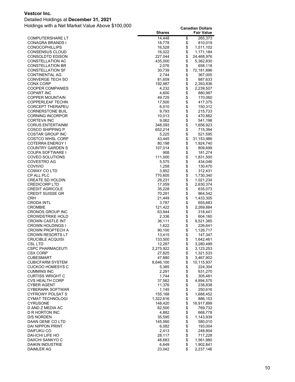#### Detailed Holdings at **December 31, 2021**

|                                               | <b>Shares</b>     |          | <b>Fair Value</b>    |
|-----------------------------------------------|-------------------|----------|----------------------|
| <b>COMPUTERSHARE LT</b>                       | 14,448            | \$       | 265,373              |
| CONAGRA BRANDS I                              | 18,778            | \$       | 810,019              |
| <b>CONOCOPHILLIPS</b>                         | 16,528            | \$       | 1,511,102            |
| CONSENSUS CLOUD                               | 16,022            | \$       | 1,171,184            |
| CONSOLDTD EDISON                              | 227,044           | \$       | 24,468,976           |
| CONSTELLATION AC                              | 435,000           | \$       | 5,362,830            |
| <b>CONSTELLATION BR</b>                       | 2,076             | \$       | 658,118              |
| <b>CONSTELLATION SF</b><br>CONTINENTAL AG     | 30,739<br>2,744   | \$<br>\$ | 72,181,696           |
| CONVERGE TECH SO                              | 81,659            | \$       | 367,005<br>887,633   |
| CONX CORP                                     | 192,987           | \$       | 2,393,836            |
| <b>COOPER COMPANIES</b>                       | 4,232             | \$       | 2,239,507            |
| <b>COPART INC</b>                             | 4,600             | \$       | 880,987              |
| COPPER MOUNTAIN                               | 49,725            | \$       | 170,060              |
| COPPERLEAF TECHN                              | 17,500            | \$       | 417,375              |
| <b>CORCEPT THERAPEU</b>                       | 6,010             | \$       | 150,312              |
| <b>CORNERSTONE BUIL</b>                       | 9,793             | \$       | 215,733              |
| <b>CORNING INCORPOR</b>                       | 10,013            | \$       | 470,882              |
| CORTEVA INC                                   | 9,062             | \$       | 541,198              |
| <b>CORUS ENTERTAINM</b>                       | 348,093           | \$       | 1,656,923            |
| COSCO SHIPPING P                              | 652,214           | \$       | 715,394              |
| COSTAR GROUP INC                              | 5,225             | \$       | 521,595              |
| <b>COSTCO WHSL CORP</b>                       | 43,445            | \$<br>\$ | 31,153,986           |
| COTERRA ENERGY I<br><b>COUNTRY GARDEN S</b>   | 80,198<br>107,014 | \$       | 1,924,740<br>809,699 |
| COUPA SOFTWARE I                              | 908               | \$       | 181,274              |
| COVEO SOLUTIONS                               | 111,000           | \$       | 1,831,500            |
| COVESTRO AG                                   | 5,575             | \$       | 434,046              |
| COVIVIO                                       | 1,258             | \$       | 130,470              |
| COWAY CO LTD                                  | 3,952             | \$       | 312,431              |
| CP ALL PLC                                    | 770,605           | \$       | 1,730,340            |
| <b>CREATE SD HOLDIN</b>                       | 29,231            | \$       | 1,021,234            |
| <b>CREDICORP LTD</b>                          | 17,059            | \$       | 2,630,374            |
| <b>CREDIT AGRICOLE</b>                        | 35,228            | \$       | 635,073              |
| <b>CREDIT SUISSE GR</b>                       | 70,291            | \$       | 864,542              |
| CRH                                           | 21,449            | \$       | 1,433,305            |
| <b>CRODA INTL</b>                             | 3,787             | \$       | 655,683              |
| <b>CROMBIE</b><br><b>CRONOS GROUP INC</b>     | 121,422<br>63,944 | \$<br>\$ | 2,269,884            |
| <b>CROWDSTRIKE HOLD</b>                       | 2,336             | \$       | 318,441<br>604,160   |
| <b>CROWN CASTLE INT</b>                       | 36,111            | \$       | 9,521,385            |
| CROWN HOLDINGS I                              | 1,622             | \$       | 226,641              |
| CROWN PROPTECH A                              | 90,100            | \$       | 1,126,717            |
| <b>CROWN RESORTS LT</b>                       | 13,415            | \$       | 147,347              |
| <b>CRUCIBLE ACQUISI</b>                       | 133,500           | \$       | 1,642,461            |
| CSL LTD                                       | 12,287            | \$       | 3,280,499            |
| <b>CSPC PHARMACEUTI</b>                       | 2,275,922         | \$       | 3,123,253            |
| CSX CORP                                      | 27,825            | \$       | 1,321,533            |
| <b>CUBESMART</b>                              | 47,880            | \$       | 3,467,902            |
| <b>CUBICFARM SYSTEM</b>                       | 8,646,100         | \$<br>\$ | 10,115,937           |
| <b>CUCKOO HOMESYS C</b><br><b>CUMMINS INC</b> | 5,385<br>2,291    | \$       | 224,304<br>631,270   |
| <b>CURTISS WRIGHT C</b>                       | 1,744             | \$       | 305,481              |
| <b>CVS HEALTH CORP</b>                        | 37,562            | \$       | 4,894,575            |
| <b>CYBER AGENT</b>                            | 11,376            | \$       | 238,838              |
| CYBERARK SOFTWAR                              | 1,145             | \$       | 250,616              |
| <b>CYFROWY POLSAT S</b>                       | 155,168           | \$       | 1,688,452            |
| CYMAT TECHNOLOGI                              | 1,322,616         | \$       | 886,153              |
| <b>CYRUSONE</b>                               | 148,420           | \$       | 16,917,899           |
| D AND Z MEDIA AC                              | 62,500            | \$       | 769,732              |
| D R HORTON INC                                | 4,882             | \$       | 668,778              |
| <b>D/S NORDEN</b>                             | 35,595            | \$       | 1,143,939            |
| DAAN GENE CO LTD                              | 145,560           | \$       | 580,010              |
| <b>DAI NIPPON PRINT</b>                       | 6,082             | \$       | 193,004              |
| DAIFUKU CO<br>DAI-ICHI LIFE HO                | 2,413             | \$<br>\$ | 248,804              |
| DAIICHI SANKYO C                              | 28,117<br>48,683  | \$       | 717,228<br>1,561,980 |
| DAIKIN INDUSTRIE                              | 6,649             | \$       | 1,902,841            |
| DAIMLER AG                                    | 23,042            | \$       | 2,237,146            |
|                                               |                   |          |                      |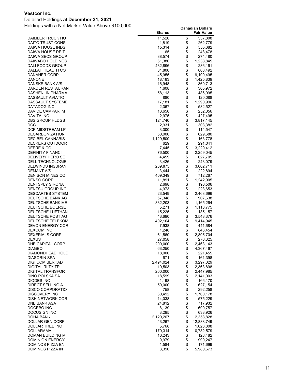#### Detailed Holdings at **December 31, 2021**

|                                             | <b>Shares</b>  |          | <b>Fair Value</b>  |
|---------------------------------------------|----------------|----------|--------------------|
| DAIMLER TRUCK HO                            | 11,520         | \$       | 537,808            |
| DAITO TRUST CONS                            | 1,819          | \$       | 262,779            |
| DAIWA HOUSE INDS                            | 15,314         | \$       | 555,682            |
| DAIWA HOUSE REIT                            | 65             | \$       | 248,478            |
| DAIWA SECS GROUP                            | 38,574         | \$       | 274,480            |
| DAIWABO HOLDINGS                            | 61,380         | \$       | 1,238,845          |
| DALI FOODS GROUP                            | 432,896        | \$       | 286,161            |
| DALLAH HEALTH CO                            | 31,800         | \$       | 803,492            |
| <b>DANAHER CORP</b>                         | 45,955         | \$       | 19,100,495         |
| <b>DANONE</b>                               | 18,183         | \$       | 1,425,839          |
| DANSKE BANK A/S                             | 16,948         | \$       | 369,713            |
| DARDEN RESTAURAN                            | 1,608          | \$       | 305,972            |
| DASHENLIN PHARMA                            | 58,113         | \$       | 486,095            |
| <b>DASSAULT AVIATIO</b>                     | 880            | \$       | 120,088            |
| DASSAULT SYSTEME                            | 17,181         | \$       | 1,290,996          |
| DATADOG INC                                 | 2,367          | \$       | 532,527            |
| DAVIDE CAMPARI M                            | 13,650         | \$       | 252,056            |
| DAVITA INC                                  | 2,975          | \$       | 427,495            |
| DBS GROUP HLDGS                             | 124,740        | \$       | 3,817,145          |
| <b>DCC</b>                                  | 2,931          | \$       | 303,382            |
| DCP MIDSTREAM LP                            | 3,300          | \$       | 114,547            |
| <b>DECARBONIZATION</b>                      | 50,000         | \$       | 629,680            |
| <b>DECIBEL CANNABIS</b>                     | 1,129,500      | \$       | 163,778            |
| DECKERS OUTDOOR                             | 629            | \$       | 291,041            |
| DEERE & CO                                  | 7,445          | \$       | 3,229,412          |
| <b>DEFINITY FINANCI</b>                     | 76,500         | \$       | 2,259,045          |
| DELIVERY HERO SE                            | 4,459          | \$       | 627,705            |
| <b>DELL TECHNOLOGIE</b>                     | 3,426          | \$       | 243,079            |
| <b>DELWINDS INSURAN</b>                     | 239,875        | \$       | 3,002,711          |
| DEMANT A/S                                  | 3,444          | \$       | 222,894            |
| <b>DENISON MINES CO</b>                     | 409,349        | \$       | 712,267            |
| <b>DENSO CORP</b><br><b>DENTSPLY SIRONA</b> | 11,891         | \$<br>\$ | 1,242,905          |
| DENTSU GROUP INC                            | 2,698<br>4,973 | \$       | 190,506<br>223,653 |
| <b>DESCARTES SYSTEM</b>                     | 23,549         | \$       | 2,463,696          |
| DEUTSCHE BANK AG                            | 57,348         | \$       | 907,638            |
| DEUTSCHE BANK ME                            | 332,203        | \$       | 1,165,264          |
| DEUTSCHE BOERSE                             | 5,271          | \$       | 1,113,775          |
| DEUTSCHE LUFTHAN                            | 15,225         | \$       | 135,157            |
| DEUTSCHE POST AG                            | 43,690         | \$       | 3,548,376          |
| DEUTSCHE TELEKOM                            | 402,104        | \$       | 9,414,945          |
| <b>DEVON ENERGY COR</b>                     | 7,938          | \$       | 441,684            |
| <b>DEXCOM INC</b>                           | 1,248          | \$       | 846,454            |
| <b>DEXERIALS CORP</b>                       | 61,560         | \$       | 2,805,704          |
| <b>DEXUS</b>                                | 27,058         | \$       | 276,325            |
| DHB CAPITAL CORP                            | 200,000        | \$       | 2,463,143          |
| DIAGEO                                      | 63,250         | \$       | 4,367,467          |
| DIAMONDHEAD HOLD                            | 18,000         | \$       | 221,455            |
| DIASORIN SPA                                | 671            | \$       | 161,398            |
| DIGI.COM.BERHAD                             | 2,494,024      | \$       | 3,297,029          |
| <b>DIGITAL RLTY TR</b>                      | 10,503         | \$       | 2,363,898          |
| <b>DIGITAL TRANSFOR</b>                     | 200,000        | \$       | 2,447,985          |
| DINO POLSKA SA                              | 18,599         | \$       | 2,141,003          |
| <b>DIODES INC</b>                           | 1,198          | \$       | 166,170            |
| DIRECT SELLING A                            | 50,000         | \$       | 627,154            |
| <b>DISCO CORPORATIO</b>                     | 758            | \$       | 292,258            |
| <b>DISCOVERY INC</b>                        | 60,492         | \$       | 1,760,178          |
| <b>DISH NETWORK COR</b>                     | 14,038         | \$       | 575,229            |
| DNB BANK ASA                                | 24,812         | \$       | 717,932            |
| DOCEBO INC                                  | 8,139          | \$       | 690,757            |
| <b>DOCUSIGN INC</b>                         | 3,295          | \$       | 633,926            |
| DOHA BANK                                   | 2,120,267      | \$       | 2,353,828          |
| DOLLAR GEN CORP                             | 43,267         | \$       | 12,888,749         |
| DOLLAR TREE INC                             | 5,768          | \$       | 1,023,808          |
| <b>DOLLARAMA</b>                            | 170,314        | \$       | 10,782,579         |
| DOMAN BUILDING M                            | 16,243         | \$<br>\$ | 128,482            |
| <b>DOMINION ENERGY</b><br>DOMINOS PIZZA EN  | 9,979<br>1,584 | \$       | 990,247<br>171,699 |
| DOMINOS PIZZA IN                            | 8,390          | \$       | 5,980,673          |
|                                             |                |          |                    |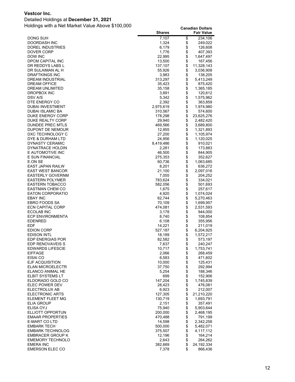#### Detailed Holdings at **December 31, 2021**

|                                             | <b>Shares</b>      |             | <b>Fair Value</b>      |
|---------------------------------------------|--------------------|-------------|------------------------|
| <b>DONG SUH</b>                             | 7,107              | \$          | 234,106                |
| DOORDASH INC                                | 1,324              | \$          | 249,022                |
| DOREL INDUSTRIES                            | 6,179              | \$          | 126,608                |
| DOVER CORP<br>DOW INC                       | 1,776              | \$<br>\$    | 407,393                |
| DPCM CAPITAL INC                            | 22,995<br>13,500   | \$          | 1,647,497<br>167,456   |
| DR REDDYS LABS L                            | 137,107            | \$          | 11,328,143             |
| DR SULAIMAN AL H                            | 55,926             | \$          | 3,036,908              |
| <b>DRAFTKINGS INC</b>                       | 3,983              | \$          | 138,205                |
| DREAM INDUSTRIAL                            | 313,297            | \$          | 5,413,249              |
| <b>DREAM OFFICE</b>                         | 35,423             | \$          | 875,420                |
| DREAM UNLIMITED                             | 35,158             | \$          | 1,365,185              |
| DROPBOX INC                                 | 3,891              | \$          | 120,612                |
| DSV A/S                                     | 5,342              | \$<br>\$    | 1,575,962              |
| DTE ENERGY CO<br><b>DUBAI INVESTMENT</b>    | 2,392<br>2,975,619 | \$          | 363,859<br>1,974,980   |
| <b>DUBAI ISLAMIC BA</b>                     | 310,567            | \$          | 574,600                |
| DUKE ENERGY CORP                            | 178,298            | \$          | 23,625,276             |
| DUKE REALTY CORP                            | 29,940             | \$          | 2,482,420              |
| DUNDEE PREC MTLS                            | 469,566            | \$          | 3,689,800              |
| DUPONT DE NEMOUR                            | 12,955             | \$          | 1,321,893              |
| DXC TECHNOLOGY C                            | 27,200             | \$          | 1,105,974              |
| DYE & DURHAM LTD                            | 24,956             | \$          | 1,120,025              |
| DYNASTY CERAMIC<br>DYNATRACE HOLDIN         | 8,419,486          | \$<br>\$    | 910,021                |
| E AUTOMOTIVE INC                            | 2,281<br>46,500    | \$          | 173,883<br>844,905     |
| E SUN FINANCIAL                             | 275,353            | \$          | 352,627                |
| E.ON SE                                     | 60,736             | \$          | 1,063,685              |
| EAST JAPAN RAILW                            | 8,201              | \$          | 636,272                |
| <b>EAST WEST BANCOR</b>                     | 21,100             | \$          | 2,097,016              |
| <b>EASTERLY GOVERNM</b>                     | 7,055              | \$          | 204,252                |
| <b>EASTERN POLYMER</b>                      | 783,624            | \$          | 334,021                |
| <b>EASTERN TOBACCO</b>                      | 582,056            | \$<br>\$    | 501,693                |
| EASTMAN CHEM CO<br><b>EATON CORPORATIO</b>  | 1,675<br>4,920     | \$          | 257,617<br>1,074,024   |
| <b>EBAY INC</b>                             | 62,744             | \$          | 5,270,463              |
| EBRO FOODS SA                               | 70,109             | \$          | 1,699,957              |
| <b>ECN CAPITAL CORP</b>                     | 474,081            | \$          | 2,531,593              |
| ECOLAB INC                                  | 3,178              | \$          | 944,000                |
| <b>ECP ENVIRONMENTA</b>                     | 8,740              | \$          | 108,854                |
| <b>EDENRED</b>                              | 6,108              | \$          | 355,956                |
| EDF                                         | 14,221             | \$<br>\$    | 211,019                |
| <b>EDION CORP</b><br><b>EDISON INTL</b>     | 527,187<br>18,189  | \$          | 6,204,925<br>1,572,217 |
| EDP ENERGIAS POR                            | 82,582             | \$          | 573,197                |
| EDP RENOVAVEIS S                            | 7,637              | \$          | 240,247                |
| <b>EDWARDS LIFESCIE</b>                     | 10,717             |             | 1,753,741              |
| <b>EIFFAGE</b>                              | 2,066              | \$          | 268,459                |
| EISAI CO                                    | 6,583              | \$          | 471,602                |
| EJF ACQUISITION                             | 10,000             |             | 125,431                |
| <b>ELAN MICROELECTR</b>                     | 37,750             |             | 292,994                |
| ELANCO ANIMAL HE<br><b>ELBIT SYSTEMS LT</b> | 5,254<br>699       |             | 188,346<br>152,906     |
| ELDORADO GOLD CO                            | 147,204            | 88888       | 1,745,839              |
| ELEC POWER DEV                              | 28,423             |             | 476,081                |
| ELECTROLUX AB                               | 6,923              | \$          | 212,007                |
| <b>ELECTRONIC ARTS</b>                      | 127,305            | \$          | 21,210,220             |
| ELEMENT FLEET MG                            | 130,719            |             | 1,693,791              |
| ELIA GROUP                                  | 2,151              | \$          | 357,491                |
| ELISA OYJ                                   | 75,940             | \$<br>\$    | 5,903,644              |
| ELLIOTT OPPORTUN<br><b>EMAAR PROPERTIES</b> | 200,000<br>470,488 | \$          | 2,468,195<br>791,199   |
| E-MART CO LTD                               | 14,598             |             | 2,342,258              |
| <b>EMBARK TECH</b>                          | 500,000            | \$\$        | 5,482,071              |
| <b>EMBARK TECHNOLOG</b>                     | 375,507            |             | 4,117,112              |
| <b>EMBRACER GROUP K</b>                     | 12,196             | \$          | 164,214                |
| <b>EMEMORY TECHNOLO</b>                     | 2,643              | $\ddot{\$}$ | 264,262                |
| <b>EMERA INC</b>                            | 382,669            | \$          | 24, 192, 334           |
| <b>EMERSON ELEC CO</b>                      | 7,378              | \$          | 866,436                |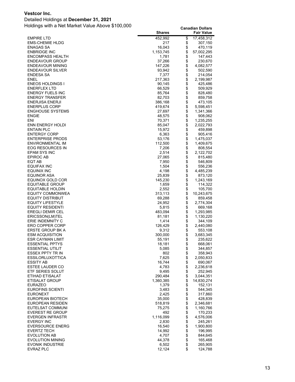#### Detailed Holdings at **December 31, 2021**

|                                                   | <b>Shares</b>     |          | <b>Fair Value</b>    |
|---------------------------------------------------|-------------------|----------|----------------------|
| <b>EMPIRE LTD</b>                                 | 452,992           | \$       | 17,458,312           |
| <b>EMS-CHEMIE HLDG</b>                            | 217               | \$       | 307,150              |
| <b>ENAGAS SA</b>                                  | 16,043            | \$       | 470,119              |
| <b>ENBRIDGE INC</b>                               | 1,153,745         | \$       | 57,002,295           |
| <b>ENCOMPASS HEALTH</b>                           | 1,781             | \$<br>\$ | 147,443              |
| <b>ENDEAVOUR GROUP</b><br><b>ENDEAVOUR MINING</b> | 37,266<br>147,226 | \$       | 230,670<br>4,082,577 |
| <b>ENDEAVOUR SILVER</b>                           | 93,942            | \$       | 502,590              |
| ENDESA SA                                         | 7,377             | \$       | 214,054              |
| <b>ENEL</b>                                       | 217,363           | \$       | 2,199,987            |
| <b>ENEOS HOLDINGS I</b>                           | 90,145            | \$       | 425,486              |
| <b>ENERFLEX LTD</b>                               | 66,529            | \$       | 509,929              |
| <b>ENERGY FUELS INC</b>                           | 85,764            | \$       | 828,480              |
| <b>ENERGY TRANSFER</b>                            | 82,703            | \$       | 859,758              |
| <b>ENERJISA ENERJI</b>                            | 386,168           | \$<br>\$ | 473,105              |
| <b>ENERPLUS CORP</b>                              | 419,674           |          | 5,598,451            |
| <b>ENGHOUSE SYSTEMS</b>                           | 27,697            | \$       | 1,341,366            |
| <b>ENGIE</b><br>ENI                               | 48,575<br>70,371  | \$       | 908,062<br>1,235,255 |
| <b>ENN ENERGY HOLDI</b>                           | 85,047            | \$<br>\$ | 2,022,793            |
| <b>ENTAIN PLC</b>                                 | 15,972            | \$       | 459,898              |
| <b>ENTERGY CORP</b>                               | 6,363             | \$       | 905,416              |
| <b>ENTERPRISE PRODS</b>                           | 53,176            | \$       | 1,475,037            |
| ENVIRONMENTAL IM                                  | 112,500           | \$       | 1,409,675            |
| EOG RESOURCES IN                                  | 7,206             | \$       | 808,554              |
| <b>EPAM SYS INC</b>                               | 2,514             | \$       | 2,122,702            |
| <b>EPIROC AB</b>                                  | 27,065            | \$       | 815,480              |
| EQT AB                                            | 7,950             | \$       | 546,809              |
| EQUIFAX INC                                       | 1,504             | \$       | 556,236              |
| EQUINIX INC                                       | 4,198<br>25,839   | \$<br>\$ | 4,485,239<br>873,120 |
| EQUINOR ASA<br>EQUINOX GOLD COR                   | 145,230           | \$       | 1,243,169            |
| <b>EQUITABLE GROUP</b>                            | 1,659             | \$       | 114,322              |
| EQUITABLE HOLDIN                                  | 2,552             |          | 105,700              |
| EQUITY COMMONWEA                                  | 313,113           | \$<br>\$ | 10,243,675           |
| EQUITY DISTRIBUT                                  | 69,288            | \$       | 859,458              |
| <b>EQUITY LIFESTYLE</b>                           | 24,952            | \$       | 2,774,304            |
| <b>EQUITY RESIDENTI</b>                           | 5,815             | \$       | 669,168              |
| <b>EREGLI DEMIR CEL</b>                           | 483,094           | \$       | 1,293,985            |
| ERICSSON(LM)TEL<br>ERIE INDEMNITY C               | 81,181<br>1,414   | \$<br>\$ | 1,130,220<br>344,109 |
| ERO COPPER CORP                                   | 126,429           | \$       | 2,440,080            |
| ERSTE GROUP BK A                                  | 9,312             | \$       | 553,108              |
| <b>ESM ACQUISITION</b>                            | 300,000           | \$       | 3,683,345            |
| <b>ESR CAYMAN LIMIT</b>                           | 55,191            | \$       | 235,622              |
| <b>ESSENTIAL PPTYS</b>                            | 18,181            | \$       | 668,061              |
| <b>ESSENTIAL UTILIT</b>                           | 5,085             | \$       | 344,857              |
| <b>ESSEX PPTY TR IN</b>                           | 802               | \$       | 358,943              |
| <b>ESSILORLUXOTTICA</b>                           | 7,625             | \$       | 2,050,833            |
| <b>ESSITY AB</b>                                  | 16,744            | \$       | 690,067              |
| <b>ESTEE LAUDER CO</b>                            | 4,783             | \$       | 2,236,618            |
| ETF SERIES SOLUT<br>ETIHAD ETISALAT               | 9,495<br>290,484  | \$<br>\$ | 252,945<br>3,044,351 |
| ETISALAT GROUP                                    | 1,360,385         | \$       | 14,830,274           |
| <b>EURAZEO</b>                                    | 1,379             | \$       | 152,131              |
| <b>EUROFINS SCIENTI</b>                           | 3,483             | \$       | 544,345              |
| <b>EURONEXT</b>                                   | 2,425             | \$       | 317,860              |
| EUROPEAN BIOTECH                                  | 35,000            |          | 428,839              |
| EUROPEAN RESIDEN                                  | 518,819           | \$\$     | 2,346,681            |
| EUTELSAT COMMUNI                                  | 75,275            |          | 1,160,766            |
| <b>EVEREST RE GROUP</b>                           | 492               |          | 170,233              |
| <b>EVERGEN INFRASTR</b>                           | 1,116,099         | \$\$     | 4,576,006            |
| <b>EVERGY INC</b><br><b>EVERSOURCE ENERG</b>      | 2,830<br>16,540   |          | 245,261<br>1,900,800 |
| <b>EVERTZ TECH</b>                                | 14,992            |          | 196,995              |
| <b>EVOLUTION AB</b>                               | 4,707             |          | 844,645              |
| <b>EVOLUTION MINING</b>                           | 44,378            | \$\$\$\$ | 165,468              |
| <b>EVONIK INDUSTRIE</b>                           | 6,502             | \$       | 265,905              |
| <b>EVRAZ PLC</b>                                  | 12,124            | \$       | 124,788              |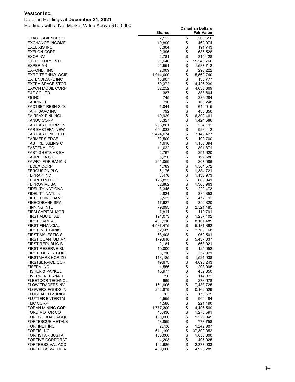#### Detailed Holdings at **December 31, 2021**

|                                                   | <b>Shares</b>        |          | <b>Fair Value</b>      |
|---------------------------------------------------|----------------------|----------|------------------------|
| <b>EXACT SCIENCES C</b>                           | 2,122                | \$       | 208,616                |
| <b>EXCHANGE INCOME</b>                            | 10,890               | \$       | 460,974                |
| <b>EXELIXIS INC</b>                               | 8,304                | \$       | 191,743                |
| <b>EXELON CORP</b>                                | 9,396                | \$       | 685,528                |
| EXOR NV                                           | 2,781                | \$       | 315,428                |
| <b>EXPEDITORS INTL</b>                            | 91,646               | \$       | 15,545,766             |
| <b>EXPERIAN</b>                                   | 25,551               | \$       | 1,587,712              |
| <b>EXPONET INC</b>                                | 2,009                | \$       | 296,222                |
| <b>EXRO TECHNOLOGIE</b><br><b>EXTENDICARE INC</b> | 1,914,000<br>18,907  | \$<br>\$ | 5,569,740<br>138,777   |
| <b>EXTRA SPACE STOR</b>                           | 50,372               | \$       | 14,426,239             |
| <b>EXXON MOBIL CORP</b>                           | 52,252               | \$       | 4,038,669              |
| <b>F&amp;F CO LTD</b>                             | 387                  | \$       | 388,604                |
| F <sub>5</sub> INC                                | 745                  | \$       | 230,284                |
| <b>FABRINET</b>                                   | 710                  | \$       | 106,248                |
| <b>FACTSET RESH SYS</b>                           | 1,044                | \$       | 640,915                |
| <b>FAIR ISAAC INC</b>                             | 792                  | \$       | 433,850                |
| <b>FAIRFAX FINL HOL</b>                           | 10,929               | \$       | 6,800,461              |
| <b>FANUC CORP</b>                                 | 5,327                | \$       | 1,424,586              |
| <b>FAR EAST HORIZON</b>                           | 208,881              | \$       | 234,192                |
| <b>FAR EASTERN NEW</b>                            | 694,033              | \$       | 928,412                |
| <b>FAR EASTONE TELE</b>                           | 2,424,074            | \$       | 7,149,427              |
| <b>FARMERS EDGE</b>                               | 32,500               | \$       | 102,700                |
| <b>FAST RETAILING C</b>                           | 1,610                | \$       | 1,153,394              |
| <b>FASTENAL CO</b>                                | 11,022               | \$       | 891,871                |
| <b>FASTIGHETS AB BA</b><br>FAURECIA S.E.          | 2,767<br>3,290       | \$<br>\$ | 251,620<br>197,686     |
| <b>FAWRY FOR BANKIN</b>                           | 201,059              | \$       | 207,086                |
| <b>FEDEX CORP</b>                                 | 4,789                | \$       | 1,564,572              |
| <b>FERGUSON PLC</b>                               | 6,176                | \$       | 1,384,721              |
| <b>FERRARI NV</b>                                 | 3,470                | \$       | 1,133,973              |
| <b>FERREXPO PLC</b>                               | 128,855              | \$       | 660,041                |
| <b>FERROVIAL SA</b>                               | 32,862               | \$       | 1,300,963              |
| FIDELITY NATIONA                                  | 3,345                | \$       | 220,473                |
| FIDELITY NATL IN                                  | 2,824                | \$       | 389,353                |
| FIFTH THIRD BANC                                  | 8,525                | \$       | 472,192                |
| <b>FINECOBANK SPA</b>                             | 17,627               | \$       | 390,820                |
| <b>FINNING INTL</b>                               | 79,093               | \$       | 2,521,485              |
| FIRM CAPITAL MOR                                  | 7,811                | \$       | 112,791                |
| FIRST ABU DHABI                                   | 194,073              | \$<br>\$ | 1,257,402              |
| <b>FIRST CAPITAL</b><br><b>FIRST FINANCIAL</b>    | 431,916<br>4,587,475 | \$       | 8,161,485<br>5,131,362 |
| FIRST INTL BANK                                   | 52,689               | \$       | 2,769,168              |
| <b>FIRST MAJESTIC S</b>                           | 68,408               | \$       | 962,501                |
| FIRST QUANTUM MN                                  | 179,618              | \$       | 5,437,037              |
| <b>FIRST REPUBLIC B</b>                           | 2,181                | \$       | 568,921                |
| FIRST RESERVE SU                                  | 10,000               | \$       | 125,052                |
| <b>FIRSTENERGY CORP</b>                           | 6,716                | \$       | 352,821                |
| <b>FIRSTMARK HORIZO</b>                           | 118,125              | \$       | 1,521,938              |
| <b>FIRSTSERVICE COR</b>                           | 19,673               | \$       | 4,895,243              |
| <b>FISERV INC</b>                                 | 1,556                |          | 203,995                |
| <b>FISHER &amp; PAYKEL</b>                        | 15,977               | \$       | 452,650                |
| <b>FIVERR INTERNATI</b>                           | 796                  | \$<br>\$ | 114,322                |
| <b>FLEETCOR TECHNOL</b>                           | 969                  |          | 273,978                |
| <b>FLOW TRADERS NV</b><br>FLOWERS FOODS IN        | 161,905              | \$<br>\$ | 7,488,725              |
| <b>FLUGHAFEN ZURICH</b>                           | 292,879<br>763       |          | 10,162,529<br>173,579  |
| <b>FLUTTER ENTERTAI</b>                           | 4,555                | \$<br>\$ | 909,484                |
| <b>FMC CORP</b>                                   | 1,588                |          | 221,490                |
| FORAN MINING COR                                  | 1,777,300            | \$\$     | 4,496,569              |
| FORD MOTOR CO                                     | 48,430               |          | 1,270,591              |
| <b>FOREST ROAD ACQU</b>                           | 100,000              | \$       | 1,229,045              |
| <b>FORTESCUE METALS</b>                           | 43,859               | \$       | 773,758                |
| FORTINET INC                                      | 2,738                | \$       | 1,242,987              |
| <b>FORTIS INC</b>                                 | 611,190              | \$       | 37,300,052             |
| <b>FORTISTAR SUSTAI</b>                           | 135,000              | \$       | 1,655,800              |
| <b>FORTIVE CORPORAT</b>                           | 4,203                | \$       | 405,025                |
| FORTRESS VAL ACQ                                  | 192,686              | \$       | 2,377,933              |
| FORTRESS VALUE A                                  | 400,000              | \$       | 4,926,285              |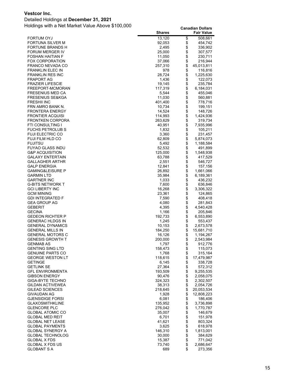#### Detailed Holdings at **December 31, 2021**

|                                                    | <b>Shares</b>      |              | <b>Fair Value</b>      |
|----------------------------------------------------|--------------------|--------------|------------------------|
| <b>FORTUM OYJ</b>                                  | 13,120             | \$           | 508,661                |
| FORTUNA SILVER M                                   | 92,053             | \$           | 454,742                |
| FORTUNE BRANDS H                                   | 2,495              | \$           | 336,902                |
| FORUM MERGER IV                                    | 25,000             | \$           | 307,577                |
| FOSHAN HAITIAN F                                   | 11,050             | \$           | 230,711                |
| <b>FOX CORPORATION</b>                             | 37,066             | \$           | 216,944                |
| FRANCO NEVADA CO                                   | 257,310            | \$           | 45,013,811             |
| <b>FRANKLIN ELEC IN</b><br><b>FRANKLIN RES INC</b> | 978<br>28,724      | \$           | 116,816<br>1,225,630   |
| <b>FRAPORT AG</b>                                  | 1,436              | $\ddot{\$}$  | 122,073                |
| <b>FRAZIER LIFESCIE</b>                            | 19,145             | \$           | 235,784                |
| FREEPORT-MCMORAN                                   | 117,319            | \$           | 6,184,031              |
| <b>FRESENIUS MED CA</b>                            | 5,544              | \$           | 455,046                |
| <b>FRESENIUS SE&amp;KGA</b>                        | 11,030             | \$           | 560,881                |
| <b>FRESHII INC</b>                                 | 401,400            |              | 778,716                |
| FRN AMRO BANK N.                                   | 10,734             | \$\$         | 199,151                |
| <b>FRONTERA ENERGY</b>                             | 14,524             |              | 148,726                |
| <b>FRONTIER ACQUISI</b>                            | 114,993            | \$           | 1,424,936              |
| <b>FRONTKEN CORPORA</b>                            | 263,629            | \$           | 319,734                |
| FTI CONSULTING I                                   | 40,951             | \$           | 7,935,996              |
| <b>FUCHS PETROLUB S</b><br><b>FUJI ELECTRIC CO</b> | 1,832              | \$           | 105,211                |
| FUJI FILM HLD CO                                   | 3,360<br>62,809    | \$<br>\$     | 231,457<br>5,874,073   |
| <b>FUJITSU</b>                                     | 5,492              | \$           | 1,188,584              |
| FUYAO GLASS INDU                                   | 52,532             | \$           | 491,899                |
| <b>G&amp;P ACQUISITION</b>                         | 125,000            | \$           | 1,548,938              |
| <b>GALAXY ENTERTAIN</b>                            | 63,788             | \$           | 417,529                |
| <b>GALLAGHER ARTHR</b>                             | 2,551              | \$           | 546,727                |
| <b>GALP ENERGIA</b>                                | 12,841             | \$           | 157,156                |
| <b>GAMING&amp;LEISURE P</b>                        | 26,892             | \$           | 1,661,066              |
| <b>GARMIN LTD</b>                                  | 35,984             | \$           | 6,189,361              |
| <b>GARTNER INC</b>                                 | 1,033              | \$           | 436,232                |
| <b>G-BITS NETWORK T</b>                            | 7,600              | \$\$         | 636,846                |
| <b>GCI LIBERTY INC</b>                             | 16,268             |              | 3,306,322              |
| <b>GCM MINING</b><br><b>GDI INTEGRATED F</b>       | 23,361             | \$           | 124,865                |
| <b>GEA GROUP AG</b>                                | 7,590<br>4,080     |              | 408,418<br>281,843     |
| <b>GEBERIT</b>                                     | 4,395              | \$           | 4,540,428              |
| <b>GECINA</b>                                      | 1,166              |              | 205,846                |
| <b>GEDEON RICHTER P</b>                            | 192,733            | \$           | 6,553,890              |
| <b>GENERAC HLDGS IN</b>                            | 1,245              | \$           | 553,437                |
| <b>GENERAL DYNAMICS</b>                            | 10,153             | \$           | 2,673,578              |
| <b>GENERAL MILLS IN</b>                            | 184,250            | \$           | 15,681,710             |
| <b>GENERAL MOTORS C</b>                            | 16,126             | \$           | 1,194,267              |
| <b>GENESIS GROWTH T</b>                            | 200,000            | \$           | 2,543,984              |
| <b>GENMAB AS</b>                                   | 1,797              | \$           | 912,776                |
| <b>GENTING SING LTD</b><br><b>GENUINE PARTS CO</b> | 158,473            | \$<br>\$     | 115,073                |
| <b>GEORGE WESTON LT</b>                            | 1,768<br>118,615   | \$           | 315,164<br>17,479,987  |
| GETINGE                                            | 6,145              | \$           | 338,728                |
| <b>GETLINK SE</b>                                  | 27,364             | \$           | 572,312                |
| <b>GFL ENVIRONMENTA</b>                            | 193,509            |              | 9,255,535              |
| <b>GIBSON ENERGY</b>                               | 90,476             | \$\$         | 2,058,075              |
| <b>GIGA-BYTE TECHNO</b>                            | 324,323            |              | 2,302,507              |
| <b>GILDAN ACTIVEWEA</b>                            | 38,313             | \$           | 2,054,726              |
| GILEAD SCIENCES                                    | 218,645            | \$           | 20,053,534             |
| <b>GIVAUDAN AG</b>                                 | 1,928              | \$           | 12,808,223             |
| <b>GJENSIDIGE FORSI</b>                            | 6,081              |              | 186,406                |
| GLAXOSMITHKLINE<br><b>GLENCORE PLC</b>             | 135,952<br>276,042 |              | 3,736,898<br>1,770,787 |
| <b>GLOBAL ATOMIC CO</b>                            | 35,007             |              | 146,679                |
| GLOBAL MED REIT                                    | 6,701              | \$\$\$\$\$\$ | 151,978                |
| <b>GLOBAL NET LEASE</b>                            | 41,621             |              | 803,324                |
| <b>GLOBAL PAYMENTS</b>                             | 3,625              |              | 618,978                |
| <b>GLOBAL SYNERGY A</b>                            | 146,310            |              | 1,813,001              |
| <b>GLOBAL TECHNOLOG</b>                            | 30,000             | \$\$\$\$     | 384,629                |
| <b>GLOBAL X FDS</b>                                | 15,387             |              | 771,042                |
| <b>GLOBAL X FDS US</b>                             | 73,740             | \$           | 2,686,647              |
| <b>GLOBANT S A</b>                                 | 689                | \$           | 273,356                |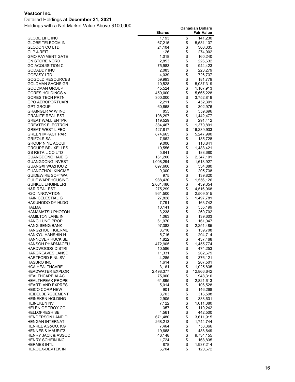#### Detailed Holdings at **December 31, 2021**

| \$<br>1,193<br>141,230<br><b>GLOBE LIFE INC</b><br>\$<br>GLOBE TELECOM IN<br>67,215<br>5,531,137<br>\$<br>24,104<br>306,335<br>GLODON CO LTD<br>\$<br>GLP J-REIT<br>126<br>274,902<br>\$<br>1,018<br>GMO PAYMENT GATE<br>160,240<br>\$<br>GN STORE NORD<br>2,853<br>226,632<br>\$<br>GO ACQUISITION C<br>75,983<br>944,423<br>\$<br>GODADDY INC<br>2,083<br>223,279<br>\$<br>GOEASY LTD<br>4,039<br>726,737<br>\$<br>GOGOLD RESOURCES<br>59,993<br>181,779<br>\$<br>GOLDMAN SACHS GR<br>10,528<br>5,087,319<br>\$<br>GOODMAN GROUP<br>45,524<br>1,107,913<br>\$<br>GORES HOLDINGS V<br>450,000<br>5,665,228<br>\$<br>GORES TECH PRTN<br>300,000<br>3,752,819<br>\$<br>GPO AEROPORTUARI<br>2,211<br>452,301<br>\$<br>GPT GROUP<br>60,868<br>302,976<br>\$<br>GRAINGER W W INC<br>855<br>559,696<br>\$<br>108,297<br>GRANITE REAL EST<br>11,442,477<br>\$<br>GREAT WALL ENTPR<br>119,529<br>291,412<br>\$<br><b>GREATEK ELECTRON</b><br>384,467<br>1,370,891<br>\$<br><b>GREAT-WEST LIFEC</b><br>427,817<br>16,239,933<br>\$<br>GREEN IMPACT PAR<br>874,665<br>5,247,990<br>\$<br><b>GRIFOLS SA</b><br>7,662<br>185,728<br>\$<br>GROUP NINE ACQUI<br>9,000<br>110,841<br>\$<br>10,556<br>GROUPE BRUXELLES<br>1,488,421<br>\$<br>GS RETAIL CO LTD<br>5,841<br>188,680<br>\$<br>GUANGDONG HAID G<br>161,200<br>2,347,101<br>\$<br>GUANGDONG INVEST<br>1,008,294<br>1,618,927<br>\$<br>GUANGXI WUZHOU Z<br>697,600<br>534,880<br>\$<br>GUANGZHOU KINGME<br>9,300<br>205,738<br>\$<br>GUIDEWIRE SOFTWA<br>975<br>139,820<br>\$<br>GULF WAREHOUSING<br>988,430<br>1,556,126<br>\$<br><b>GUNKUL ENGINEERI</b><br>2,061,480<br>439,354<br>\$<br><b>H&amp;R REAL EST</b><br>275,299<br>4,516,968<br><b>H2O INNOVATION</b><br>961,500<br>2,509,515<br>\$<br>HAIN CELESTIAL G<br>27,828<br>1,497,781<br>\$<br><b>HAKUHODO DY HLDG</b><br>7,791<br>163,742<br>\$<br>HALMA<br>10,141<br>555,199<br>\$<br><b>HAMAMATSU PHOTON</b><br>3,238<br>260,702<br>\$<br><b>HAMILTON LANE IN</b><br>1,063<br>139,603<br><b>HANG LUNG PROP</b><br>61,970<br>161,047<br>\$<br><b>HANG SENG BANK</b><br>97,382<br>2,251,485<br>\$<br><b>HANGZHOU TIGERME</b><br>8,710<br>139,708<br>\$<br>HANKYU HANSHIN H<br>5,716<br>204,714<br>\$<br><b>HANNOVER RUCK SE</b><br>1,822<br>437,468<br>\$<br><b>HANSOH PHARMACEU</b><br>472,905<br>1,455,774<br><b>HARDWOODS DISTRI</b><br>10,586<br>\$<br>474,253<br>\$<br>11,331<br>262,679<br><b>HARGREAVES LANSD</b><br>\$<br>376,121<br><b>HARTFORD FINL SV</b><br>4,285<br>\$<br><b>HASBRO INC</b><br>1,614<br>207,501<br>\$<br><b>HCA HEALTHCARE</b><br>3,161<br>1,025,835<br>\$<br><b>HEADWATER EXPLOR</b><br>2,498,377<br>12,866,642<br>\$<br><b>HEALTHCARE AI AC</b><br>75,000<br>948,310<br>\$<br><b>HEALTHPEAK PROPE</b><br>61,895<br>2,821,613<br>\$<br><b>HEARTLAND EXPRES</b><br>5,014<br>106,528<br>\$<br><b>HEICO CORP NEW</b><br>901<br>146,268<br>\$\$\$\$<br><b>HEIDELBERGCEMENT</b><br>3,703<br>316,598<br><b>HEINEKEN HOLDING</b><br>2,905<br>338,631<br><b>HEINEKEN NV</b><br>7,122<br>1,011,380<br>357<br>HELEN OF TROY CO<br>110,242<br>\$<br><b>HELLOFRESH SE</b><br>4,561<br>442,500<br>\$<br><b>HENDERSON LAND D</b><br>671,480<br>3,611,915<br>268,213<br><b>HENGAN INTERNATI</b><br>1,744,744<br>\$<br>HENKEL AG&CO. KG<br>7,464<br>753,366<br>\$<br><b>HENNES &amp; MAURITZ</b><br>19,668<br>488,649<br><b>HENRY JACK &amp; ASSOC</b><br>46,148<br>9,734,155<br>\$<br>1,724<br><b>HENRY SCHEIN INC</b><br>168,835<br>\$<br><b>HERMES INTL</b><br>878<br>1,937,214<br>\$<br>HEROUX-DEVTEK IN<br>6,704<br>120,672 | <b>Shares</b> | <b>Fair Value</b> |
|----------------------------------------------------------------------------------------------------------------------------------------------------------------------------------------------------------------------------------------------------------------------------------------------------------------------------------------------------------------------------------------------------------------------------------------------------------------------------------------------------------------------------------------------------------------------------------------------------------------------------------------------------------------------------------------------------------------------------------------------------------------------------------------------------------------------------------------------------------------------------------------------------------------------------------------------------------------------------------------------------------------------------------------------------------------------------------------------------------------------------------------------------------------------------------------------------------------------------------------------------------------------------------------------------------------------------------------------------------------------------------------------------------------------------------------------------------------------------------------------------------------------------------------------------------------------------------------------------------------------------------------------------------------------------------------------------------------------------------------------------------------------------------------------------------------------------------------------------------------------------------------------------------------------------------------------------------------------------------------------------------------------------------------------------------------------------------------------------------------------------------------------------------------------------------------------------------------------------------------------------------------------------------------------------------------------------------------------------------------------------------------------------------------------------------------------------------------------------------------------------------------------------------------------------------------------------------------------------------------------------------------------------------------------------------------------------------------------------------------------------------------------------------------------------------------------------------------------------------------------------------------------------------------------------------------------------------------------------------------------------------------------------------------------------------------------------------------------------------------------------------------------------------------------------------------------------------------------------------------------------------------------------------------------------------------------------------------------------------------------------------------------------------------------------------------------------------------------------------------------------------------------------------------------------|---------------|-------------------|
|                                                                                                                                                                                                                                                                                                                                                                                                                                                                                                                                                                                                                                                                                                                                                                                                                                                                                                                                                                                                                                                                                                                                                                                                                                                                                                                                                                                                                                                                                                                                                                                                                                                                                                                                                                                                                                                                                                                                                                                                                                                                                                                                                                                                                                                                                                                                                                                                                                                                                                                                                                                                                                                                                                                                                                                                                                                                                                                                                                                                                                                                                                                                                                                                                                                                                                                                                                                                                                                                                                                                                    |               |                   |
|                                                                                                                                                                                                                                                                                                                                                                                                                                                                                                                                                                                                                                                                                                                                                                                                                                                                                                                                                                                                                                                                                                                                                                                                                                                                                                                                                                                                                                                                                                                                                                                                                                                                                                                                                                                                                                                                                                                                                                                                                                                                                                                                                                                                                                                                                                                                                                                                                                                                                                                                                                                                                                                                                                                                                                                                                                                                                                                                                                                                                                                                                                                                                                                                                                                                                                                                                                                                                                                                                                                                                    |               |                   |
|                                                                                                                                                                                                                                                                                                                                                                                                                                                                                                                                                                                                                                                                                                                                                                                                                                                                                                                                                                                                                                                                                                                                                                                                                                                                                                                                                                                                                                                                                                                                                                                                                                                                                                                                                                                                                                                                                                                                                                                                                                                                                                                                                                                                                                                                                                                                                                                                                                                                                                                                                                                                                                                                                                                                                                                                                                                                                                                                                                                                                                                                                                                                                                                                                                                                                                                                                                                                                                                                                                                                                    |               |                   |
|                                                                                                                                                                                                                                                                                                                                                                                                                                                                                                                                                                                                                                                                                                                                                                                                                                                                                                                                                                                                                                                                                                                                                                                                                                                                                                                                                                                                                                                                                                                                                                                                                                                                                                                                                                                                                                                                                                                                                                                                                                                                                                                                                                                                                                                                                                                                                                                                                                                                                                                                                                                                                                                                                                                                                                                                                                                                                                                                                                                                                                                                                                                                                                                                                                                                                                                                                                                                                                                                                                                                                    |               |                   |
|                                                                                                                                                                                                                                                                                                                                                                                                                                                                                                                                                                                                                                                                                                                                                                                                                                                                                                                                                                                                                                                                                                                                                                                                                                                                                                                                                                                                                                                                                                                                                                                                                                                                                                                                                                                                                                                                                                                                                                                                                                                                                                                                                                                                                                                                                                                                                                                                                                                                                                                                                                                                                                                                                                                                                                                                                                                                                                                                                                                                                                                                                                                                                                                                                                                                                                                                                                                                                                                                                                                                                    |               |                   |
|                                                                                                                                                                                                                                                                                                                                                                                                                                                                                                                                                                                                                                                                                                                                                                                                                                                                                                                                                                                                                                                                                                                                                                                                                                                                                                                                                                                                                                                                                                                                                                                                                                                                                                                                                                                                                                                                                                                                                                                                                                                                                                                                                                                                                                                                                                                                                                                                                                                                                                                                                                                                                                                                                                                                                                                                                                                                                                                                                                                                                                                                                                                                                                                                                                                                                                                                                                                                                                                                                                                                                    |               |                   |
|                                                                                                                                                                                                                                                                                                                                                                                                                                                                                                                                                                                                                                                                                                                                                                                                                                                                                                                                                                                                                                                                                                                                                                                                                                                                                                                                                                                                                                                                                                                                                                                                                                                                                                                                                                                                                                                                                                                                                                                                                                                                                                                                                                                                                                                                                                                                                                                                                                                                                                                                                                                                                                                                                                                                                                                                                                                                                                                                                                                                                                                                                                                                                                                                                                                                                                                                                                                                                                                                                                                                                    |               |                   |
|                                                                                                                                                                                                                                                                                                                                                                                                                                                                                                                                                                                                                                                                                                                                                                                                                                                                                                                                                                                                                                                                                                                                                                                                                                                                                                                                                                                                                                                                                                                                                                                                                                                                                                                                                                                                                                                                                                                                                                                                                                                                                                                                                                                                                                                                                                                                                                                                                                                                                                                                                                                                                                                                                                                                                                                                                                                                                                                                                                                                                                                                                                                                                                                                                                                                                                                                                                                                                                                                                                                                                    |               |                   |
|                                                                                                                                                                                                                                                                                                                                                                                                                                                                                                                                                                                                                                                                                                                                                                                                                                                                                                                                                                                                                                                                                                                                                                                                                                                                                                                                                                                                                                                                                                                                                                                                                                                                                                                                                                                                                                                                                                                                                                                                                                                                                                                                                                                                                                                                                                                                                                                                                                                                                                                                                                                                                                                                                                                                                                                                                                                                                                                                                                                                                                                                                                                                                                                                                                                                                                                                                                                                                                                                                                                                                    |               |                   |
|                                                                                                                                                                                                                                                                                                                                                                                                                                                                                                                                                                                                                                                                                                                                                                                                                                                                                                                                                                                                                                                                                                                                                                                                                                                                                                                                                                                                                                                                                                                                                                                                                                                                                                                                                                                                                                                                                                                                                                                                                                                                                                                                                                                                                                                                                                                                                                                                                                                                                                                                                                                                                                                                                                                                                                                                                                                                                                                                                                                                                                                                                                                                                                                                                                                                                                                                                                                                                                                                                                                                                    |               |                   |
|                                                                                                                                                                                                                                                                                                                                                                                                                                                                                                                                                                                                                                                                                                                                                                                                                                                                                                                                                                                                                                                                                                                                                                                                                                                                                                                                                                                                                                                                                                                                                                                                                                                                                                                                                                                                                                                                                                                                                                                                                                                                                                                                                                                                                                                                                                                                                                                                                                                                                                                                                                                                                                                                                                                                                                                                                                                                                                                                                                                                                                                                                                                                                                                                                                                                                                                                                                                                                                                                                                                                                    |               |                   |
|                                                                                                                                                                                                                                                                                                                                                                                                                                                                                                                                                                                                                                                                                                                                                                                                                                                                                                                                                                                                                                                                                                                                                                                                                                                                                                                                                                                                                                                                                                                                                                                                                                                                                                                                                                                                                                                                                                                                                                                                                                                                                                                                                                                                                                                                                                                                                                                                                                                                                                                                                                                                                                                                                                                                                                                                                                                                                                                                                                                                                                                                                                                                                                                                                                                                                                                                                                                                                                                                                                                                                    |               |                   |
|                                                                                                                                                                                                                                                                                                                                                                                                                                                                                                                                                                                                                                                                                                                                                                                                                                                                                                                                                                                                                                                                                                                                                                                                                                                                                                                                                                                                                                                                                                                                                                                                                                                                                                                                                                                                                                                                                                                                                                                                                                                                                                                                                                                                                                                                                                                                                                                                                                                                                                                                                                                                                                                                                                                                                                                                                                                                                                                                                                                                                                                                                                                                                                                                                                                                                                                                                                                                                                                                                                                                                    |               |                   |
|                                                                                                                                                                                                                                                                                                                                                                                                                                                                                                                                                                                                                                                                                                                                                                                                                                                                                                                                                                                                                                                                                                                                                                                                                                                                                                                                                                                                                                                                                                                                                                                                                                                                                                                                                                                                                                                                                                                                                                                                                                                                                                                                                                                                                                                                                                                                                                                                                                                                                                                                                                                                                                                                                                                                                                                                                                                                                                                                                                                                                                                                                                                                                                                                                                                                                                                                                                                                                                                                                                                                                    |               |                   |
|                                                                                                                                                                                                                                                                                                                                                                                                                                                                                                                                                                                                                                                                                                                                                                                                                                                                                                                                                                                                                                                                                                                                                                                                                                                                                                                                                                                                                                                                                                                                                                                                                                                                                                                                                                                                                                                                                                                                                                                                                                                                                                                                                                                                                                                                                                                                                                                                                                                                                                                                                                                                                                                                                                                                                                                                                                                                                                                                                                                                                                                                                                                                                                                                                                                                                                                                                                                                                                                                                                                                                    |               |                   |
|                                                                                                                                                                                                                                                                                                                                                                                                                                                                                                                                                                                                                                                                                                                                                                                                                                                                                                                                                                                                                                                                                                                                                                                                                                                                                                                                                                                                                                                                                                                                                                                                                                                                                                                                                                                                                                                                                                                                                                                                                                                                                                                                                                                                                                                                                                                                                                                                                                                                                                                                                                                                                                                                                                                                                                                                                                                                                                                                                                                                                                                                                                                                                                                                                                                                                                                                                                                                                                                                                                                                                    |               |                   |
|                                                                                                                                                                                                                                                                                                                                                                                                                                                                                                                                                                                                                                                                                                                                                                                                                                                                                                                                                                                                                                                                                                                                                                                                                                                                                                                                                                                                                                                                                                                                                                                                                                                                                                                                                                                                                                                                                                                                                                                                                                                                                                                                                                                                                                                                                                                                                                                                                                                                                                                                                                                                                                                                                                                                                                                                                                                                                                                                                                                                                                                                                                                                                                                                                                                                                                                                                                                                                                                                                                                                                    |               |                   |
|                                                                                                                                                                                                                                                                                                                                                                                                                                                                                                                                                                                                                                                                                                                                                                                                                                                                                                                                                                                                                                                                                                                                                                                                                                                                                                                                                                                                                                                                                                                                                                                                                                                                                                                                                                                                                                                                                                                                                                                                                                                                                                                                                                                                                                                                                                                                                                                                                                                                                                                                                                                                                                                                                                                                                                                                                                                                                                                                                                                                                                                                                                                                                                                                                                                                                                                                                                                                                                                                                                                                                    |               |                   |
|                                                                                                                                                                                                                                                                                                                                                                                                                                                                                                                                                                                                                                                                                                                                                                                                                                                                                                                                                                                                                                                                                                                                                                                                                                                                                                                                                                                                                                                                                                                                                                                                                                                                                                                                                                                                                                                                                                                                                                                                                                                                                                                                                                                                                                                                                                                                                                                                                                                                                                                                                                                                                                                                                                                                                                                                                                                                                                                                                                                                                                                                                                                                                                                                                                                                                                                                                                                                                                                                                                                                                    |               |                   |
|                                                                                                                                                                                                                                                                                                                                                                                                                                                                                                                                                                                                                                                                                                                                                                                                                                                                                                                                                                                                                                                                                                                                                                                                                                                                                                                                                                                                                                                                                                                                                                                                                                                                                                                                                                                                                                                                                                                                                                                                                                                                                                                                                                                                                                                                                                                                                                                                                                                                                                                                                                                                                                                                                                                                                                                                                                                                                                                                                                                                                                                                                                                                                                                                                                                                                                                                                                                                                                                                                                                                                    |               |                   |
|                                                                                                                                                                                                                                                                                                                                                                                                                                                                                                                                                                                                                                                                                                                                                                                                                                                                                                                                                                                                                                                                                                                                                                                                                                                                                                                                                                                                                                                                                                                                                                                                                                                                                                                                                                                                                                                                                                                                                                                                                                                                                                                                                                                                                                                                                                                                                                                                                                                                                                                                                                                                                                                                                                                                                                                                                                                                                                                                                                                                                                                                                                                                                                                                                                                                                                                                                                                                                                                                                                                                                    |               |                   |
|                                                                                                                                                                                                                                                                                                                                                                                                                                                                                                                                                                                                                                                                                                                                                                                                                                                                                                                                                                                                                                                                                                                                                                                                                                                                                                                                                                                                                                                                                                                                                                                                                                                                                                                                                                                                                                                                                                                                                                                                                                                                                                                                                                                                                                                                                                                                                                                                                                                                                                                                                                                                                                                                                                                                                                                                                                                                                                                                                                                                                                                                                                                                                                                                                                                                                                                                                                                                                                                                                                                                                    |               |                   |
|                                                                                                                                                                                                                                                                                                                                                                                                                                                                                                                                                                                                                                                                                                                                                                                                                                                                                                                                                                                                                                                                                                                                                                                                                                                                                                                                                                                                                                                                                                                                                                                                                                                                                                                                                                                                                                                                                                                                                                                                                                                                                                                                                                                                                                                                                                                                                                                                                                                                                                                                                                                                                                                                                                                                                                                                                                                                                                                                                                                                                                                                                                                                                                                                                                                                                                                                                                                                                                                                                                                                                    |               |                   |
|                                                                                                                                                                                                                                                                                                                                                                                                                                                                                                                                                                                                                                                                                                                                                                                                                                                                                                                                                                                                                                                                                                                                                                                                                                                                                                                                                                                                                                                                                                                                                                                                                                                                                                                                                                                                                                                                                                                                                                                                                                                                                                                                                                                                                                                                                                                                                                                                                                                                                                                                                                                                                                                                                                                                                                                                                                                                                                                                                                                                                                                                                                                                                                                                                                                                                                                                                                                                                                                                                                                                                    |               |                   |
|                                                                                                                                                                                                                                                                                                                                                                                                                                                                                                                                                                                                                                                                                                                                                                                                                                                                                                                                                                                                                                                                                                                                                                                                                                                                                                                                                                                                                                                                                                                                                                                                                                                                                                                                                                                                                                                                                                                                                                                                                                                                                                                                                                                                                                                                                                                                                                                                                                                                                                                                                                                                                                                                                                                                                                                                                                                                                                                                                                                                                                                                                                                                                                                                                                                                                                                                                                                                                                                                                                                                                    |               |                   |
|                                                                                                                                                                                                                                                                                                                                                                                                                                                                                                                                                                                                                                                                                                                                                                                                                                                                                                                                                                                                                                                                                                                                                                                                                                                                                                                                                                                                                                                                                                                                                                                                                                                                                                                                                                                                                                                                                                                                                                                                                                                                                                                                                                                                                                                                                                                                                                                                                                                                                                                                                                                                                                                                                                                                                                                                                                                                                                                                                                                                                                                                                                                                                                                                                                                                                                                                                                                                                                                                                                                                                    |               |                   |
|                                                                                                                                                                                                                                                                                                                                                                                                                                                                                                                                                                                                                                                                                                                                                                                                                                                                                                                                                                                                                                                                                                                                                                                                                                                                                                                                                                                                                                                                                                                                                                                                                                                                                                                                                                                                                                                                                                                                                                                                                                                                                                                                                                                                                                                                                                                                                                                                                                                                                                                                                                                                                                                                                                                                                                                                                                                                                                                                                                                                                                                                                                                                                                                                                                                                                                                                                                                                                                                                                                                                                    |               |                   |
|                                                                                                                                                                                                                                                                                                                                                                                                                                                                                                                                                                                                                                                                                                                                                                                                                                                                                                                                                                                                                                                                                                                                                                                                                                                                                                                                                                                                                                                                                                                                                                                                                                                                                                                                                                                                                                                                                                                                                                                                                                                                                                                                                                                                                                                                                                                                                                                                                                                                                                                                                                                                                                                                                                                                                                                                                                                                                                                                                                                                                                                                                                                                                                                                                                                                                                                                                                                                                                                                                                                                                    |               |                   |
|                                                                                                                                                                                                                                                                                                                                                                                                                                                                                                                                                                                                                                                                                                                                                                                                                                                                                                                                                                                                                                                                                                                                                                                                                                                                                                                                                                                                                                                                                                                                                                                                                                                                                                                                                                                                                                                                                                                                                                                                                                                                                                                                                                                                                                                                                                                                                                                                                                                                                                                                                                                                                                                                                                                                                                                                                                                                                                                                                                                                                                                                                                                                                                                                                                                                                                                                                                                                                                                                                                                                                    |               |                   |
|                                                                                                                                                                                                                                                                                                                                                                                                                                                                                                                                                                                                                                                                                                                                                                                                                                                                                                                                                                                                                                                                                                                                                                                                                                                                                                                                                                                                                                                                                                                                                                                                                                                                                                                                                                                                                                                                                                                                                                                                                                                                                                                                                                                                                                                                                                                                                                                                                                                                                                                                                                                                                                                                                                                                                                                                                                                                                                                                                                                                                                                                                                                                                                                                                                                                                                                                                                                                                                                                                                                                                    |               |                   |
|                                                                                                                                                                                                                                                                                                                                                                                                                                                                                                                                                                                                                                                                                                                                                                                                                                                                                                                                                                                                                                                                                                                                                                                                                                                                                                                                                                                                                                                                                                                                                                                                                                                                                                                                                                                                                                                                                                                                                                                                                                                                                                                                                                                                                                                                                                                                                                                                                                                                                                                                                                                                                                                                                                                                                                                                                                                                                                                                                                                                                                                                                                                                                                                                                                                                                                                                                                                                                                                                                                                                                    |               |                   |
|                                                                                                                                                                                                                                                                                                                                                                                                                                                                                                                                                                                                                                                                                                                                                                                                                                                                                                                                                                                                                                                                                                                                                                                                                                                                                                                                                                                                                                                                                                                                                                                                                                                                                                                                                                                                                                                                                                                                                                                                                                                                                                                                                                                                                                                                                                                                                                                                                                                                                                                                                                                                                                                                                                                                                                                                                                                                                                                                                                                                                                                                                                                                                                                                                                                                                                                                                                                                                                                                                                                                                    |               |                   |
|                                                                                                                                                                                                                                                                                                                                                                                                                                                                                                                                                                                                                                                                                                                                                                                                                                                                                                                                                                                                                                                                                                                                                                                                                                                                                                                                                                                                                                                                                                                                                                                                                                                                                                                                                                                                                                                                                                                                                                                                                                                                                                                                                                                                                                                                                                                                                                                                                                                                                                                                                                                                                                                                                                                                                                                                                                                                                                                                                                                                                                                                                                                                                                                                                                                                                                                                                                                                                                                                                                                                                    |               |                   |
|                                                                                                                                                                                                                                                                                                                                                                                                                                                                                                                                                                                                                                                                                                                                                                                                                                                                                                                                                                                                                                                                                                                                                                                                                                                                                                                                                                                                                                                                                                                                                                                                                                                                                                                                                                                                                                                                                                                                                                                                                                                                                                                                                                                                                                                                                                                                                                                                                                                                                                                                                                                                                                                                                                                                                                                                                                                                                                                                                                                                                                                                                                                                                                                                                                                                                                                                                                                                                                                                                                                                                    |               |                   |
|                                                                                                                                                                                                                                                                                                                                                                                                                                                                                                                                                                                                                                                                                                                                                                                                                                                                                                                                                                                                                                                                                                                                                                                                                                                                                                                                                                                                                                                                                                                                                                                                                                                                                                                                                                                                                                                                                                                                                                                                                                                                                                                                                                                                                                                                                                                                                                                                                                                                                                                                                                                                                                                                                                                                                                                                                                                                                                                                                                                                                                                                                                                                                                                                                                                                                                                                                                                                                                                                                                                                                    |               |                   |
|                                                                                                                                                                                                                                                                                                                                                                                                                                                                                                                                                                                                                                                                                                                                                                                                                                                                                                                                                                                                                                                                                                                                                                                                                                                                                                                                                                                                                                                                                                                                                                                                                                                                                                                                                                                                                                                                                                                                                                                                                                                                                                                                                                                                                                                                                                                                                                                                                                                                                                                                                                                                                                                                                                                                                                                                                                                                                                                                                                                                                                                                                                                                                                                                                                                                                                                                                                                                                                                                                                                                                    |               |                   |
|                                                                                                                                                                                                                                                                                                                                                                                                                                                                                                                                                                                                                                                                                                                                                                                                                                                                                                                                                                                                                                                                                                                                                                                                                                                                                                                                                                                                                                                                                                                                                                                                                                                                                                                                                                                                                                                                                                                                                                                                                                                                                                                                                                                                                                                                                                                                                                                                                                                                                                                                                                                                                                                                                                                                                                                                                                                                                                                                                                                                                                                                                                                                                                                                                                                                                                                                                                                                                                                                                                                                                    |               |                   |
|                                                                                                                                                                                                                                                                                                                                                                                                                                                                                                                                                                                                                                                                                                                                                                                                                                                                                                                                                                                                                                                                                                                                                                                                                                                                                                                                                                                                                                                                                                                                                                                                                                                                                                                                                                                                                                                                                                                                                                                                                                                                                                                                                                                                                                                                                                                                                                                                                                                                                                                                                                                                                                                                                                                                                                                                                                                                                                                                                                                                                                                                                                                                                                                                                                                                                                                                                                                                                                                                                                                                                    |               |                   |
|                                                                                                                                                                                                                                                                                                                                                                                                                                                                                                                                                                                                                                                                                                                                                                                                                                                                                                                                                                                                                                                                                                                                                                                                                                                                                                                                                                                                                                                                                                                                                                                                                                                                                                                                                                                                                                                                                                                                                                                                                                                                                                                                                                                                                                                                                                                                                                                                                                                                                                                                                                                                                                                                                                                                                                                                                                                                                                                                                                                                                                                                                                                                                                                                                                                                                                                                                                                                                                                                                                                                                    |               |                   |
|                                                                                                                                                                                                                                                                                                                                                                                                                                                                                                                                                                                                                                                                                                                                                                                                                                                                                                                                                                                                                                                                                                                                                                                                                                                                                                                                                                                                                                                                                                                                                                                                                                                                                                                                                                                                                                                                                                                                                                                                                                                                                                                                                                                                                                                                                                                                                                                                                                                                                                                                                                                                                                                                                                                                                                                                                                                                                                                                                                                                                                                                                                                                                                                                                                                                                                                                                                                                                                                                                                                                                    |               |                   |
|                                                                                                                                                                                                                                                                                                                                                                                                                                                                                                                                                                                                                                                                                                                                                                                                                                                                                                                                                                                                                                                                                                                                                                                                                                                                                                                                                                                                                                                                                                                                                                                                                                                                                                                                                                                                                                                                                                                                                                                                                                                                                                                                                                                                                                                                                                                                                                                                                                                                                                                                                                                                                                                                                                                                                                                                                                                                                                                                                                                                                                                                                                                                                                                                                                                                                                                                                                                                                                                                                                                                                    |               |                   |
|                                                                                                                                                                                                                                                                                                                                                                                                                                                                                                                                                                                                                                                                                                                                                                                                                                                                                                                                                                                                                                                                                                                                                                                                                                                                                                                                                                                                                                                                                                                                                                                                                                                                                                                                                                                                                                                                                                                                                                                                                                                                                                                                                                                                                                                                                                                                                                                                                                                                                                                                                                                                                                                                                                                                                                                                                                                                                                                                                                                                                                                                                                                                                                                                                                                                                                                                                                                                                                                                                                                                                    |               |                   |
|                                                                                                                                                                                                                                                                                                                                                                                                                                                                                                                                                                                                                                                                                                                                                                                                                                                                                                                                                                                                                                                                                                                                                                                                                                                                                                                                                                                                                                                                                                                                                                                                                                                                                                                                                                                                                                                                                                                                                                                                                                                                                                                                                                                                                                                                                                                                                                                                                                                                                                                                                                                                                                                                                                                                                                                                                                                                                                                                                                                                                                                                                                                                                                                                                                                                                                                                                                                                                                                                                                                                                    |               |                   |
|                                                                                                                                                                                                                                                                                                                                                                                                                                                                                                                                                                                                                                                                                                                                                                                                                                                                                                                                                                                                                                                                                                                                                                                                                                                                                                                                                                                                                                                                                                                                                                                                                                                                                                                                                                                                                                                                                                                                                                                                                                                                                                                                                                                                                                                                                                                                                                                                                                                                                                                                                                                                                                                                                                                                                                                                                                                                                                                                                                                                                                                                                                                                                                                                                                                                                                                                                                                                                                                                                                                                                    |               |                   |
|                                                                                                                                                                                                                                                                                                                                                                                                                                                                                                                                                                                                                                                                                                                                                                                                                                                                                                                                                                                                                                                                                                                                                                                                                                                                                                                                                                                                                                                                                                                                                                                                                                                                                                                                                                                                                                                                                                                                                                                                                                                                                                                                                                                                                                                                                                                                                                                                                                                                                                                                                                                                                                                                                                                                                                                                                                                                                                                                                                                                                                                                                                                                                                                                                                                                                                                                                                                                                                                                                                                                                    |               |                   |
|                                                                                                                                                                                                                                                                                                                                                                                                                                                                                                                                                                                                                                                                                                                                                                                                                                                                                                                                                                                                                                                                                                                                                                                                                                                                                                                                                                                                                                                                                                                                                                                                                                                                                                                                                                                                                                                                                                                                                                                                                                                                                                                                                                                                                                                                                                                                                                                                                                                                                                                                                                                                                                                                                                                                                                                                                                                                                                                                                                                                                                                                                                                                                                                                                                                                                                                                                                                                                                                                                                                                                    |               |                   |
|                                                                                                                                                                                                                                                                                                                                                                                                                                                                                                                                                                                                                                                                                                                                                                                                                                                                                                                                                                                                                                                                                                                                                                                                                                                                                                                                                                                                                                                                                                                                                                                                                                                                                                                                                                                                                                                                                                                                                                                                                                                                                                                                                                                                                                                                                                                                                                                                                                                                                                                                                                                                                                                                                                                                                                                                                                                                                                                                                                                                                                                                                                                                                                                                                                                                                                                                                                                                                                                                                                                                                    |               |                   |
|                                                                                                                                                                                                                                                                                                                                                                                                                                                                                                                                                                                                                                                                                                                                                                                                                                                                                                                                                                                                                                                                                                                                                                                                                                                                                                                                                                                                                                                                                                                                                                                                                                                                                                                                                                                                                                                                                                                                                                                                                                                                                                                                                                                                                                                                                                                                                                                                                                                                                                                                                                                                                                                                                                                                                                                                                                                                                                                                                                                                                                                                                                                                                                                                                                                                                                                                                                                                                                                                                                                                                    |               |                   |
|                                                                                                                                                                                                                                                                                                                                                                                                                                                                                                                                                                                                                                                                                                                                                                                                                                                                                                                                                                                                                                                                                                                                                                                                                                                                                                                                                                                                                                                                                                                                                                                                                                                                                                                                                                                                                                                                                                                                                                                                                                                                                                                                                                                                                                                                                                                                                                                                                                                                                                                                                                                                                                                                                                                                                                                                                                                                                                                                                                                                                                                                                                                                                                                                                                                                                                                                                                                                                                                                                                                                                    |               |                   |
|                                                                                                                                                                                                                                                                                                                                                                                                                                                                                                                                                                                                                                                                                                                                                                                                                                                                                                                                                                                                                                                                                                                                                                                                                                                                                                                                                                                                                                                                                                                                                                                                                                                                                                                                                                                                                                                                                                                                                                                                                                                                                                                                                                                                                                                                                                                                                                                                                                                                                                                                                                                                                                                                                                                                                                                                                                                                                                                                                                                                                                                                                                                                                                                                                                                                                                                                                                                                                                                                                                                                                    |               |                   |
|                                                                                                                                                                                                                                                                                                                                                                                                                                                                                                                                                                                                                                                                                                                                                                                                                                                                                                                                                                                                                                                                                                                                                                                                                                                                                                                                                                                                                                                                                                                                                                                                                                                                                                                                                                                                                                                                                                                                                                                                                                                                                                                                                                                                                                                                                                                                                                                                                                                                                                                                                                                                                                                                                                                                                                                                                                                                                                                                                                                                                                                                                                                                                                                                                                                                                                                                                                                                                                                                                                                                                    |               |                   |
|                                                                                                                                                                                                                                                                                                                                                                                                                                                                                                                                                                                                                                                                                                                                                                                                                                                                                                                                                                                                                                                                                                                                                                                                                                                                                                                                                                                                                                                                                                                                                                                                                                                                                                                                                                                                                                                                                                                                                                                                                                                                                                                                                                                                                                                                                                                                                                                                                                                                                                                                                                                                                                                                                                                                                                                                                                                                                                                                                                                                                                                                                                                                                                                                                                                                                                                                                                                                                                                                                                                                                    |               |                   |
|                                                                                                                                                                                                                                                                                                                                                                                                                                                                                                                                                                                                                                                                                                                                                                                                                                                                                                                                                                                                                                                                                                                                                                                                                                                                                                                                                                                                                                                                                                                                                                                                                                                                                                                                                                                                                                                                                                                                                                                                                                                                                                                                                                                                                                                                                                                                                                                                                                                                                                                                                                                                                                                                                                                                                                                                                                                                                                                                                                                                                                                                                                                                                                                                                                                                                                                                                                                                                                                                                                                                                    |               |                   |
|                                                                                                                                                                                                                                                                                                                                                                                                                                                                                                                                                                                                                                                                                                                                                                                                                                                                                                                                                                                                                                                                                                                                                                                                                                                                                                                                                                                                                                                                                                                                                                                                                                                                                                                                                                                                                                                                                                                                                                                                                                                                                                                                                                                                                                                                                                                                                                                                                                                                                                                                                                                                                                                                                                                                                                                                                                                                                                                                                                                                                                                                                                                                                                                                                                                                                                                                                                                                                                                                                                                                                    |               |                   |
|                                                                                                                                                                                                                                                                                                                                                                                                                                                                                                                                                                                                                                                                                                                                                                                                                                                                                                                                                                                                                                                                                                                                                                                                                                                                                                                                                                                                                                                                                                                                                                                                                                                                                                                                                                                                                                                                                                                                                                                                                                                                                                                                                                                                                                                                                                                                                                                                                                                                                                                                                                                                                                                                                                                                                                                                                                                                                                                                                                                                                                                                                                                                                                                                                                                                                                                                                                                                                                                                                                                                                    |               |                   |
|                                                                                                                                                                                                                                                                                                                                                                                                                                                                                                                                                                                                                                                                                                                                                                                                                                                                                                                                                                                                                                                                                                                                                                                                                                                                                                                                                                                                                                                                                                                                                                                                                                                                                                                                                                                                                                                                                                                                                                                                                                                                                                                                                                                                                                                                                                                                                                                                                                                                                                                                                                                                                                                                                                                                                                                                                                                                                                                                                                                                                                                                                                                                                                                                                                                                                                                                                                                                                                                                                                                                                    |               |                   |
|                                                                                                                                                                                                                                                                                                                                                                                                                                                                                                                                                                                                                                                                                                                                                                                                                                                                                                                                                                                                                                                                                                                                                                                                                                                                                                                                                                                                                                                                                                                                                                                                                                                                                                                                                                                                                                                                                                                                                                                                                                                                                                                                                                                                                                                                                                                                                                                                                                                                                                                                                                                                                                                                                                                                                                                                                                                                                                                                                                                                                                                                                                                                                                                                                                                                                                                                                                                                                                                                                                                                                    |               |                   |
|                                                                                                                                                                                                                                                                                                                                                                                                                                                                                                                                                                                                                                                                                                                                                                                                                                                                                                                                                                                                                                                                                                                                                                                                                                                                                                                                                                                                                                                                                                                                                                                                                                                                                                                                                                                                                                                                                                                                                                                                                                                                                                                                                                                                                                                                                                                                                                                                                                                                                                                                                                                                                                                                                                                                                                                                                                                                                                                                                                                                                                                                                                                                                                                                                                                                                                                                                                                                                                                                                                                                                    |               |                   |
|                                                                                                                                                                                                                                                                                                                                                                                                                                                                                                                                                                                                                                                                                                                                                                                                                                                                                                                                                                                                                                                                                                                                                                                                                                                                                                                                                                                                                                                                                                                                                                                                                                                                                                                                                                                                                                                                                                                                                                                                                                                                                                                                                                                                                                                                                                                                                                                                                                                                                                                                                                                                                                                                                                                                                                                                                                                                                                                                                                                                                                                                                                                                                                                                                                                                                                                                                                                                                                                                                                                                                    |               |                   |
|                                                                                                                                                                                                                                                                                                                                                                                                                                                                                                                                                                                                                                                                                                                                                                                                                                                                                                                                                                                                                                                                                                                                                                                                                                                                                                                                                                                                                                                                                                                                                                                                                                                                                                                                                                                                                                                                                                                                                                                                                                                                                                                                                                                                                                                                                                                                                                                                                                                                                                                                                                                                                                                                                                                                                                                                                                                                                                                                                                                                                                                                                                                                                                                                                                                                                                                                                                                                                                                                                                                                                    |               |                   |
|                                                                                                                                                                                                                                                                                                                                                                                                                                                                                                                                                                                                                                                                                                                                                                                                                                                                                                                                                                                                                                                                                                                                                                                                                                                                                                                                                                                                                                                                                                                                                                                                                                                                                                                                                                                                                                                                                                                                                                                                                                                                                                                                                                                                                                                                                                                                                                                                                                                                                                                                                                                                                                                                                                                                                                                                                                                                                                                                                                                                                                                                                                                                                                                                                                                                                                                                                                                                                                                                                                                                                    |               |                   |
|                                                                                                                                                                                                                                                                                                                                                                                                                                                                                                                                                                                                                                                                                                                                                                                                                                                                                                                                                                                                                                                                                                                                                                                                                                                                                                                                                                                                                                                                                                                                                                                                                                                                                                                                                                                                                                                                                                                                                                                                                                                                                                                                                                                                                                                                                                                                                                                                                                                                                                                                                                                                                                                                                                                                                                                                                                                                                                                                                                                                                                                                                                                                                                                                                                                                                                                                                                                                                                                                                                                                                    |               |                   |
|                                                                                                                                                                                                                                                                                                                                                                                                                                                                                                                                                                                                                                                                                                                                                                                                                                                                                                                                                                                                                                                                                                                                                                                                                                                                                                                                                                                                                                                                                                                                                                                                                                                                                                                                                                                                                                                                                                                                                                                                                                                                                                                                                                                                                                                                                                                                                                                                                                                                                                                                                                                                                                                                                                                                                                                                                                                                                                                                                                                                                                                                                                                                                                                                                                                                                                                                                                                                                                                                                                                                                    |               |                   |
|                                                                                                                                                                                                                                                                                                                                                                                                                                                                                                                                                                                                                                                                                                                                                                                                                                                                                                                                                                                                                                                                                                                                                                                                                                                                                                                                                                                                                                                                                                                                                                                                                                                                                                                                                                                                                                                                                                                                                                                                                                                                                                                                                                                                                                                                                                                                                                                                                                                                                                                                                                                                                                                                                                                                                                                                                                                                                                                                                                                                                                                                                                                                                                                                                                                                                                                                                                                                                                                                                                                                                    |               |                   |
|                                                                                                                                                                                                                                                                                                                                                                                                                                                                                                                                                                                                                                                                                                                                                                                                                                                                                                                                                                                                                                                                                                                                                                                                                                                                                                                                                                                                                                                                                                                                                                                                                                                                                                                                                                                                                                                                                                                                                                                                                                                                                                                                                                                                                                                                                                                                                                                                                                                                                                                                                                                                                                                                                                                                                                                                                                                                                                                                                                                                                                                                                                                                                                                                                                                                                                                                                                                                                                                                                                                                                    |               |                   |
|                                                                                                                                                                                                                                                                                                                                                                                                                                                                                                                                                                                                                                                                                                                                                                                                                                                                                                                                                                                                                                                                                                                                                                                                                                                                                                                                                                                                                                                                                                                                                                                                                                                                                                                                                                                                                                                                                                                                                                                                                                                                                                                                                                                                                                                                                                                                                                                                                                                                                                                                                                                                                                                                                                                                                                                                                                                                                                                                                                                                                                                                                                                                                                                                                                                                                                                                                                                                                                                                                                                                                    |               |                   |
|                                                                                                                                                                                                                                                                                                                                                                                                                                                                                                                                                                                                                                                                                                                                                                                                                                                                                                                                                                                                                                                                                                                                                                                                                                                                                                                                                                                                                                                                                                                                                                                                                                                                                                                                                                                                                                                                                                                                                                                                                                                                                                                                                                                                                                                                                                                                                                                                                                                                                                                                                                                                                                                                                                                                                                                                                                                                                                                                                                                                                                                                                                                                                                                                                                                                                                                                                                                                                                                                                                                                                    |               |                   |
|                                                                                                                                                                                                                                                                                                                                                                                                                                                                                                                                                                                                                                                                                                                                                                                                                                                                                                                                                                                                                                                                                                                                                                                                                                                                                                                                                                                                                                                                                                                                                                                                                                                                                                                                                                                                                                                                                                                                                                                                                                                                                                                                                                                                                                                                                                                                                                                                                                                                                                                                                                                                                                                                                                                                                                                                                                                                                                                                                                                                                                                                                                                                                                                                                                                                                                                                                                                                                                                                                                                                                    |               |                   |
|                                                                                                                                                                                                                                                                                                                                                                                                                                                                                                                                                                                                                                                                                                                                                                                                                                                                                                                                                                                                                                                                                                                                                                                                                                                                                                                                                                                                                                                                                                                                                                                                                                                                                                                                                                                                                                                                                                                                                                                                                                                                                                                                                                                                                                                                                                                                                                                                                                                                                                                                                                                                                                                                                                                                                                                                                                                                                                                                                                                                                                                                                                                                                                                                                                                                                                                                                                                                                                                                                                                                                    |               |                   |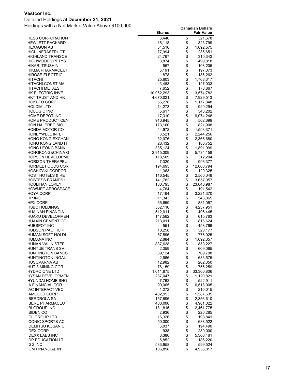#### Detailed Holdings at **December 31, 2021**

|                                                    | <b>Shares</b>        |          | <b>Fair Value</b>    |
|----------------------------------------------------|----------------------|----------|----------------------|
| <b>HESS CORPORATION</b>                            | 3,440                | \$       | 321,678              |
| <b>HEWLETT PACKARD</b>                             | 16,118               | \$       | 323,799              |
| <b>HEXAGON AB</b>                                  | 54,516               | \$       | 1,092,575            |
| <b>HICL INFRASTRUCT</b>                            | 77,994               | \$       | 235,651              |
| <b>HIGHLAND TRANSCE</b>                            | 24,767               | \$       | 310,342              |
| <b>HIGHWOODS PPTYS</b>                             | 8,874                | \$       | 499,818              |
| HIKARI TSUSHIN I                                   | 557                  | \$       | 108,205              |
| HIKMA PHARMACEUT<br><b>HIROSE ELECTRIC</b>         | 5,191<br>878         | \$       | 197,073<br>186,262   |
| <b>HITACHI</b>                                     | 25,803               | \$       | 1,763,317            |
| HITACHI CONST MA                                   | 3,483                | \$       | 127,033              |
| <b>HITACHI METALS</b>                              | 7,652                | \$       | 178,867              |
| HK ELECTRIC INVE                                   | 10,952,293           | \$       | 13,574,782           |
| HKT TRUST AND HK                                   | 4,670,021            | \$       | 7,929,513            |
| <b>HOKUTO CORP</b>                                 | 56,278               |          | 1,177,848            |
| <b>HOLCIM LTD</b>                                  | 14,273               | \$       | 920,294              |
| <b>HOLOGIC INC</b>                                 | 5,617                | \$       | 543,202              |
| HOME DEPOT INC                                     | 17,310               | \$       | 9,074,246            |
| <b>HOME PRODUCT CEN</b>                            | 910,945              | \$       | 502,699              |
| <b>HON HAI PRECISIO</b>                            | 173,100              | \$       | 821,908              |
| HONDA MOTOR CO                                     | 44,972               | \$       | 1,593,371            |
| <b>HONEYWELL INTL I</b>                            | 8,521                | \$       | 2,244,256            |
| <b>HONG KONG EXCHAN</b>                            | 32,076               | \$       | 2,366,680            |
| HONG KONG LAND H<br><b>HONG LEONG BANK</b>         | 28,432               | \$       | 186,752              |
| <b>HONGKONG&amp;CHINA G</b>                        | 335,124<br>2,915,309 | \$<br>\$ | 1,891,999            |
| <b>HOPSON DEVELOPME</b>                            | 118,509              | \$       | 5,734,158<br>312,204 |
| <b>HORIZON THERAPEU</b>                            | 7,320                | \$       | 996,377              |
| <b>HORMEL FOODS COR</b>                            | 194,695              | \$       | 12,003,794           |
| <b>HOSHIZAKI CORPOR</b>                            | 1,363                | \$       | 129,325              |
| <b>HOST HOTELS &amp; RE</b>                        | 116,545              | \$       | 2,560,048            |
| <b>HOSTESS BRANDS I</b>                            | 141,782              | \$       | 3,657,057            |
| HOULIHAN LOKEY I                                   | 180,795              | \$       | 23,640,987           |
| <b>HOWMET AEROSPACE</b>                            | 4,764                | \$       | 191,542              |
| <b>HOYA CORP</b>                                   | 17,164               | \$       | 3,221,370            |
| HP INC                                             | 11,343               | \$       | 543,865              |
| <b>HPX CORP</b>                                    | 66,659               | \$       | 831,057              |
| <b>HSBC HOLDINGS</b>                               | 552,116              |          | 4,237,951            |
| <b>HUA NAN FINANCIA</b>                            | 512,911              | \$       | 496,445              |
| <b>HUAKU DEVELOPMEN</b><br><b>HUAXIN CEMENT CO</b> | 147,562<br>213,011   | \$<br>\$ | 615,763<br>816,624   |
| <b>HUBSPOT INC</b>                                 | 551                  | \$       | 458,766              |
| <b>HUDSON PACIFIC P</b>                            | 10,258               | \$       | 320,177              |
| HUMAN SOFT HOLDI                                   | 57,596               | \$       | 776,025              |
| <b>HUMANA INC</b>                                  | 2,884                | \$       | 1,692,357            |
| HUNAN VALIN STEE                                   | 837,628              | \$       | 850,227              |
| HUNT JB TRANS SV                                   | 2,359                |          | 609,065              |
| <b>HUNTINGTON BANCS</b>                            | 39,124               | \$<br>\$ | 769,708              |
| <b>HUNTINGTON INGAL</b>                            | 2,686                | \$       | 633,575              |
| <b>HUSQVARNA AB</b>                                | 12,982               | \$       | 262,350              |
| <b>HUT 8 MINING COR</b>                            | 76,159               | \$       | 756,259              |
| <b>HYDRO ONE LTD</b>                               | 1,011,875            | \$       | 33,300,806           |
| <b>HYSAN DEVELOPMEN</b>                            | 287,047              | \$       | 1,120,821            |
| <b>HYUNDAI HOME SHO</b><br>IA FINANCIAL COR        | 7,762                | \$<br>\$ | 522,911<br>6,518,905 |
| IAC INTERACTIVEC                                   | 90,065<br>1,272      | \$       | 210,015              |
| IAMGOLD CORP                                       | 402,953              | \$       | 1,587,635            |
| IBERDROLA SA                                       | 157,596              |          | 2,356,610            |
| <b>IBERE PHARMACEUT</b>                            | 400,000              | \$\$     | 4,901,022            |
| <b>IBI GROUP INC</b>                               | 181,815              |          | 2,461,775            |
| <b>IBIDEN CO</b>                                   | 2,936                | \$       | 220,285              |
| <b>ICL GROUP LTD</b>                               | 16,326               | \$       | 198,841              |
| ICONIC SPORTS AC                                   | 50,000               | \$       | 638,522              |
| IDEMITSU KOSAN C                                   | 6,037                | \$       | 194,490              |
| <b>IDEX CORP</b>                                   | 938                  |          | 280,000              |
| <b>IDEXX LABS INC</b>                              | 6,380                | \$\$     | 5,306,461            |
| <b>IDP EDUCATION LT</b>                            | 5,852                |          | 186,220              |
| <b>IGG INC</b>                                     | 533,958              | \$<br>\$ | 599,524              |
| IGM FINANCIAL IN                                   | 106,898              |          | 4,936,817            |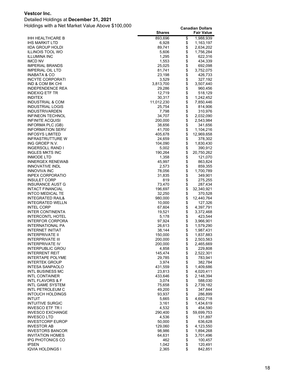#### Detailed Holdings at **December 31, 2021**

|                                      | <b>Shares</b>    |          | <b>Fair Value</b>      |
|--------------------------------------|------------------|----------|------------------------|
| IHH HEALTHCARE B                     | 893,696          | \$       | 1,988,939              |
| IHS MARKIT LTD                       | 6,928            | \$       | 1,163,197              |
| IIDA GROUP HOLDI                     | 89,741           | \$       | 2,634,202              |
| ILLINOIS TOOL WO                     | 5,606            | \$       | 1,756,284              |
| ILLUMINA INC                         | 1,295            | \$       | 622,316                |
| IMCD NV                              | 1,553            | \$       | 434,339                |
| <b>IMPERIAL BRANDS</b>               | 25,025           | \$       | 692,098                |
| IMPERIAL OIL LTD                     | 81,741           | \$       | 3,752,075              |
| INABATA & CO                         | 23,198           | \$       | 426,733                |
| INCYTE CORPORATI                     | 3,529            | \$       | 327,192                |
| IND & COM BK CHI                     | 3,813,700        | \$       | 3,507,440              |
| INDEPENDENCE REA                     | 29,286           | \$       | 960,456                |
| INDEXIQ ETF TR                       | 12,719           | \$       | 518,129                |
| <b>INDITEX</b>                       | 30,317           | \$       | 1,242,452              |
| INDUSTRIAL & COM                     | 11,012,230       | \$       | 7,850,446              |
| INDUSTRIAL LOGIS                     | 25,754           | \$       | 814,906                |
| INDUSTRIVARDEN                       | 7,798            | \$       | 310,976                |
| <b>INFINEON TECHNOL</b>              | 34,707           | \$       | 2,032,090              |
| <b>INFINITE ACQUISI</b>              | 200,000          | \$       | 2,543,984              |
| INFORMA PLC (GB)                     | 38,656           | \$       | 341,656                |
| <b>INFORMATION SERV</b>              | 41,700           | \$       | 1,104,216              |
| INFOSYS LIMITED                      | 405,678          | \$       | 12,969,658             |
| INFRASTRUTTURE W                     | 24,659           | \$       | 378,302                |
| ING GROEP N.V.                       | 104,090          | \$       | 1,830,430              |
| <b>INGERSOLL RAND I</b>              | 5,002            | \$       | 390,912                |
| <b>INGLES MKTS INC</b>               | 190,264          | \$       | 20,750,262             |
| <b>INMODE LTD</b>                    | 1,358            | \$       | 121,070                |
| INNERGEX RENEWAB                     | 45,997           | \$       | 863,824                |
| INNOVATIVE INDL                      | 2,573            | \$       | 859,355                |
| INNOVIVA INC                         | 78,056           | \$       | 1,700,789              |
| <b>INPEX CORPORATIO</b>              | 31,835           | \$       | 349,901                |
| <b>INSULET CORP</b>                  | 819              | \$       | 275,255                |
| INSURANCE AUST G                     | 73,470           | \$       | 287,434                |
| INTACT FINANCIAL                     | 196,697          | \$       | 32,340,921             |
| INTCO MEDICAL TE                     | 32,250           | \$       | 370,528                |
| INTEGRATED RAIL&                     | 980,000          | \$       | 12,440,764             |
| INTEGRATED WELLN                     | 10,000           | \$       | 127,326                |
| <b>INTEL CORP</b>                    | 67,604           | \$       | 4,397,791              |
| INTER CONTINENTA                     | 19,521           | \$       | 3,372,468              |
| <b>INTERCONTL HOTEL</b>              | 5,178            | \$<br>\$ | 423,544                |
| INTERFOR CORPORA<br>INTERNATIONAL PA | 97,924<br>26,613 | \$       | 3,966,901<br>1,579,290 |
| INTERNET INITIAT                     | 38,144           | \$       | 1,987,431              |
| INTERPRIVATE II                      | 150,000          | \$       | 1,837,883              |
| <b>INTERPRIVATE III</b>              | 200,000          | \$       | 2,503,563              |
| INTERPRIVATE IV                      | 200,000          | \$       | 2,465,669              |
| INTERPUBLIC GROU                     | 4,858            |          | 229,808                |
| INTERRENT REIT                       | 145,474          | \$<br>\$ | 2,522,301              |
| INTERTAPE POLYME                     | 29,785           | \$       | 783,941                |
| <b>INTERTEK GROUP</b>                | 3,974            | \$       | 382,784                |
| INTESA SANPAOLO                      | 431,559          | \$       | 1,409,686              |
| INTL BUSINESS MC                     | 23,813           |          | 4,020,411              |
| <b>INTL CONTAINER</b>                | 433,646          | \$       | 2,148,394              |
| INTL FLAVORS & F                     | 3,074            | \$       | 588,030                |
| INTL GAME SYSTEM                     | 75,658           |          | 2,739,182              |
| INTL PETROLEUM C                     | 49,200           | \$       | 347,844                |
| <b>INTOUCH HOLDINGS</b>              | 93,937           | \$       | 286,899                |
| <b>INTUIT</b>                        | 5,665            | \$       | 4,602,718              |
| <b>INTUITIVE SURGIC</b>              | 3,161            | \$       | 1,434,619              |
| INVESCO ETF TR I                     | 4,532            | \$       | 454,590                |
| INVESCO EXCHANGE                     | 290,400          | \$       | 59,699,753             |
| INVESCO LTD                          | 4,536            | \$       | 131,897                |
| INVESTCORP EUROP                     | 50,000           | \$       | 636,628                |
| <b>INVESTOR AB</b>                   | 129,060          |          | 4,123,550              |
| <b>INVESTORS BANCOR</b>              | 98,986           | \$       | 1,894,268              |
| INVITATION HOMES                     | 64,631           | \$       | 3,701,496              |
| IPG PHOTONICS CO                     | 462              | \$       | 100,457                |
| <b>IPSEN</b>                         | 1,042            | \$       | 120,491                |
| IQVIA HOLDINGS I                     | 2,365            | \$       | 842,851                |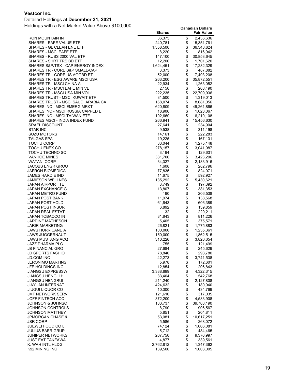#### Detailed Holdings at **December 31, 2021**

|                                                                  | <b>Shares</b>      |                                                  | <b>Fair Value</b>       |
|------------------------------------------------------------------|--------------------|--------------------------------------------------|-------------------------|
| IRON MOUNTAIN IN                                                 | 36,375             | \$                                               | 2,436,636               |
| ISHARES - EAFE VALUE ETF                                         | 240,781            | \$                                               | 15,351,761              |
| ISHARES - GL CLEAN ENE ETF                                       | 1,358,500          | \$                                               | 36,348,624              |
| ISHARES - MSCI EAFE ETF                                          | 8,220              | \$                                               | 816,942                 |
| ISHARES - RUSS 2000 VAL ETF                                      | 147,100            | \$                                               | 30,853,645              |
| ISHARES - SHRT TRS BD ETF                                        | 12,200             | \$<br>\$                                         | 1,701,620               |
| ISHARES S&P/TSX - CAP ENERGY INDEX                               | 1,624,451          | \$                                               | 17,282,329              |
| ISHARES TR - CORE S&P SMALL-CAP                                  | 3,373              | \$                                               | 487,882                 |
| ISHARES TR - CORE US AGGBD ET<br>ISHARES TR - ESG AWARE MSCI USA | 52,000<br>263,200  | \$                                               | 7,493,208<br>35,872,551 |
| ISHARES TR - MSCI CHINA A                                        | 22,934             | \$                                               | 1,263,052               |
| ISHARES TR - MSCI EAFE MIN VL                                    | 2,150              | \$                                               | 208,490                 |
| ISHARES TR - MSCI USA MIN VOL                                    | 222,235            | \$                                               | 22,709,936              |
| ISHARES TRUST - MSCI KUWAIT ETF                                  | 31,500             | \$                                               | 1,319,013               |
| ISHARES TRUST - MSCI SAUDI ARABIA CA                             | 168,074            | \$                                               | 8,681,056               |
| ISHARES INC - MSCI EMERG MRKT                                    | 620,809            | \$                                               | 49,261,866              |
| ISHARES INC - MSCI RUSSIA CAPPED E                               | 18,906             | \$                                               | 1,023,067               |
| ISHARES INC - MSCI TAIWAN ETF                                    | 192,660            |                                                  | 16,210,108              |
| ISHARES MSCI - INDIA INDEX FUND                                  | 266,941            | \$\$\$\$                                         | 15,456,630              |
| ISRAEL DISCOUNT                                                  | 27,641             |                                                  | 234,904                 |
| <b>ISTAR INC</b><br><b>ISUZU MOTORS</b>                          | 9,538<br>14,161    | \$                                               | 311,198<br>222,283      |
| <b>ITALGAS SPA</b>                                               | 19,225             | \$                                               | 167,131                 |
| <b>ITOCHU CORP</b>                                               | 33,044             | \$                                               | 1,275,148               |
| ITOCHU ENEX CO                                                   | 278,157            |                                                  | 3,041,987               |
| <b>ITOCHU TECHNO SO</b>                                          | 3,194              |                                                  | 129,631                 |
| <b>IVANHOE MINES</b>                                             | 331,706            | \$\$                                             | 3,423,206               |
| <b>IWATANI CORP</b>                                              | 34,327             | \$                                               | 2,183,916               |
| JACOBS ENGR GROU                                                 | 1,608              | \$                                               | 282,796                 |
| JAFRON BIOMEDICA                                                 | 77,835             | \$                                               | 824,071                 |
| JAMES HARDIE IND                                                 | 11,675             | <b>888888</b>                                    | 592,927                 |
| JAMIESON WELLNES                                                 | 135,292            |                                                  | 5,430,621               |
| JAPAN AIRPORT TE                                                 | 3,749              |                                                  | 197,392                 |
| JAPAN EXCHANGE G                                                 | 13,807<br>190      |                                                  | 381,353<br>206,538      |
| JAPAN METRO FUND<br>JAPAN POST BANK                              | 11,974             |                                                  | 138,568                 |
| JAPAN POST HOLD                                                  | 61,643             |                                                  | 606,389                 |
| JAPAN POST INSUR                                                 | 6,892              | \$\$\$                                           | 139,859                 |
| JAPAN REAL ESTAT                                                 | 32                 |                                                  | 229,211                 |
| JAPAN TOBACCO IN                                                 | 31,843             |                                                  | 811,226                 |
| JARDINE MATHESON                                                 | 5,405              | \$                                               | 375,571                 |
| JARIR MARKETING                                                  | 26,821             | \$                                               | 1,775,883               |
| JAWS HURRICANE A                                                 | 100,000            | \$\$                                             | 1,235,361               |
| <b>JAWS JUGGERNAUT</b>                                           | 150,000            |                                                  | 1,862,515               |
| JAWS MUSTANG ACQ<br>JAZZ PHARMA PLC                              | 310,226<br>755     | \$                                               | 3,820,654<br>121,499    |
| <b>JB FINANCIAL GRO</b>                                          | 27,684             |                                                  | 245,629                 |
| JD SPORTS FASHIO                                                 | 78,840             |                                                  | 293,780                 |
| <b>JD.COM INC</b>                                                | 42,273             |                                                  | 3,741,538               |
| <b>JERONIMO MARTINS</b>                                          | 5,978              |                                                  | 172,601                 |
| JFE HOLDINGS INC                                                 | 12,854             |                                                  | 206,843                 |
| JIANGSU EXPRESSW                                                 | 3,338,899          |                                                  | 4,322,315               |
| JIANGSU HENGLI H                                                 | 33,404             |                                                  | 542,768                 |
| <b>JIANGSU HENGRUI</b>                                           | 211,240            |                                                  | 2,127,808               |
| JIAYUAN INTERNAT                                                 | 424,632            |                                                  | 180,940                 |
| JIUGUI LIQUOR CO                                                 | 10,300             |                                                  | 434,769<br>317,035      |
| JMT NETWORK SERV<br>JOFF FINTECH ACQ                             | 121,610<br>372,200 |                                                  | 4,583,908               |
| JOHNSON & JOHNSO                                                 | 183,737            |                                                  | 39,703,190              |
| JOHNSON CONTROLS                                                 | 8,790              |                                                  | 906,567                 |
| JOHNSON MATTHEY                                                  | 5,851              |                                                  | 204,811                 |
| <b>JPMORGAN CHASE &amp;</b>                                      | 53,081             |                                                  | 10,617,251              |
| JSR CORP                                                         | 5,586              |                                                  | 268,072                 |
| JUEWEI FOOD CO L                                                 | 74,124             |                                                  | 1,006,081               |
| JULIUS BAER GRUP                                                 | 5,712              |                                                  | 484,465                 |
| JUNIPER NETWORKS                                                 | 207,750            | \$\$\$\$\$\$\$\$\$\$\$\$\$\$\$\$\$\$\$\$\$\$\$\$ | 9,370,997               |
| JUST EAT TAKEAWA                                                 | 4,877              |                                                  | 339,561                 |
| K. WAH INTL HLDG                                                 | 2,762,812          | \$                                               | 1,347,362               |
| K92 MINING INC                                                   | 139,500            | \$                                               | 1,003,005               |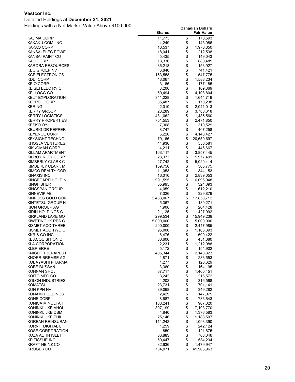#### Detailed Holdings at **December 31, 2021**

|                                            | <b>Shares</b>      |                   | <b>Fair Value</b>       |
|--------------------------------------------|--------------------|-------------------|-------------------------|
| KAJIMA CORP                                | 11,773             | \$                | 170,593                 |
| KAKAKU.COM. INC                            | 4,249              | \$                | 143,086                 |
| KAKAO CORP                                 | 16,537             | \$                | 1,976,850               |
| KANSAI ELEC POWE                           | 18,041             | \$                | 212,538                 |
| KANSAI PAINT CO<br>KAO CORP                | 5,435              | \$<br>\$          | 149,043                 |
| <b>KARORA RESOURCES</b>                    | 13,336<br>36,218   | \$                | 880,485<br>153,927      |
| <b>KBC GROEP NV</b>                        | 6,840              | \$                | 741,421                 |
| <b>KCE ELECTRONICS</b>                     | 163,558            | \$                | 547,775                 |
| KDDI CORP                                  | 43,067             | \$                | 1,588,234               |
| <b>KEIO CORP</b>                           | 3,186              | \$                | 177,185                 |
| KEISEI ELEC RY C                           | 3,206              | \$                | 109,369                 |
| KELLOGG CO                                 | 50,494             | \$                | 4,108,804               |
| <b>KELT EXPLORATION</b>                    | 341,228            | \$                | 1,644,719               |
| <b>KEPPEL CORP</b><br><b>KERING</b>        | 35,487<br>2,010    | \$<br>\$          | 170,238<br>2,041,013    |
| <b>KERRY GROUP</b>                         | 23,289             | \$                | 3,788,618               |
| <b>KERRY LOGISTICS</b>                     | 481,062            | \$                | 1,485,560               |
| <b>KERRY PROPERTIES</b>                    | 751,553            | \$                | 2,471,850               |
| KESKO OYJ                                  | 7,368              | \$                | 310,529                 |
| <b>KEURIG DR PEPPER</b>                    | 8,747              | \$                | 407,258                 |
| <b>KEYENCE CORP</b>                        | 5,226              | \$                | 4,143,427               |
| <b>KEYSIGHT TECHNOL</b>                    | 79,166             | \$                | 20,650,697              |
| <b>KHOSLA VENTURES</b>                     | 44,936             | \$                | 550,581                 |
| <b>KIKKOMAN CORP</b>                       | 4,211<br>163,117   | \$<br>\$          | 446,667                 |
| KILLAM APARTMENT<br>KILROY RLTY CORP       | 23,373             | \$                | 3,857,445<br>1,977,491  |
| KIMBERLY CLARK C                           | 27,742             | \$                | 5,020,414               |
| KIMBERLY CLARK M                           | 159,756            | \$                | 305,775                 |
| KIMCO REALTY COR                           | 11,053             | \$                | 344,153                 |
| KINAXIS INC                                | 16,010             | \$                | 2,839,053               |
| KINGBOARD HOLDIN                           | 991,595            | \$                | 6,096,948               |
| <b>KINGFISHER</b>                          | 55,995             | \$                | 324,093                 |
| KINGSPAN GROUP                             | 4,059              | \$                | 612,210                 |
| KINNEVIK AB                                | 7,326              | \$                | 329,879                 |
| KINROSS GOLD COR<br>KINTETSU GROUP H       | 2,433,067<br>5,367 | \$<br>\$          | 17,858,712<br>189,271   |
| KION GROUP AG                              | 1,908              | \$                | 264,428                 |
| KIRIN HOLDINGS C                           | 21,125             | \$                | 427,992                 |
| KIRKLAND LAKE GO                           | 299,534            | \$                | 15,949,239              |
| KIWETINOHK RES C                           | 5,000,000          | \$                | 5,000,000               |
| KISMET ACQ THREE                           | 200,000            | \$                | 2,447,985               |
| KISMET ACQ TWO C                           | 95,000             | \$                | 1,166,393               |
| KKR & CO INC                               | 6,476              | \$                | 609,422                 |
| <b>KL ACQUISITION C</b>                    | 36,600             | \$                | 451,680                 |
| <b>KLA CORPORATION</b><br><b>KLEPIERRE</b> | 2,231              | \$                | 1,212,088               |
| KNIGHT THERAPEUT                           | 5,172<br>405,344   | \$<br>$\ddot{\$}$ | 154,902<br>2,148,323    |
| KNORR BREMSE AG                            | 1,871              | \$                | 233,553                 |
| KOBAYASHI PHARMA                           | 1,277              |                   | 126,629                 |
| KOBE BUSSAN                                | 3,360              | \$\$\$\$          | 164,195                 |
| KOHNAN SHOJI                               | 37,717             |                   | 1,400,451               |
| KOITO MFG CO                               | 3,242              |                   | 216,572                 |
| <b>KOLON INDUSTRIES</b>                    | 4,202              | <b>\$\$\$\$\$</b> | 316,568                 |
| <b>KOMATSU</b>                             | 23,731             |                   | 701,141                 |
| KON KPN NV                                 | 89,068             |                   | 349,282<br>147,075      |
| KONAMI HOLDINGS<br>KONE CORP               | 2,429<br>8,687     |                   | 786,643                 |
| KONICA MINOLTA I                           | 168,241            | \$                | 967,020                 |
| KONINKLIJKE AHOL                           | 397,199            | $\ddot{\$}$       | 17,193,770              |
| KONINKLIJKE DSM                            | 4,840              | \$                | 1,376,583               |
| KONINKLIJKE PHIL                           | 25,146             | \$                | 1,183,507               |
| KOREAN REINSURAN                           | 111,242            | \$                | 1,093,390               |
| KORNIT DIGITAL L                           | 1,259              | \$                | 242,124                 |
| <b>KOSE CORPORATION</b>                    | 850                | \$                | 121,675                 |
| KOZA ALTIN ISLET                           | 63,883             | \$                | 703,046                 |
| <b>KP TISSUE INC</b>                       | 50,447             | $\ddot{\$}$<br>\$ | 534,234                 |
| <b>KRAFT HEINZ CO</b><br><b>KROGER CO</b>  | 32,636<br>734,071  | \$                | 1,479,947<br>41,966,963 |
|                                            |                    |                   |                         |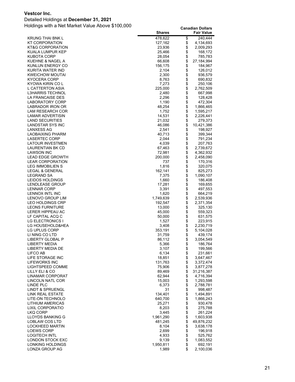#### Detailed Holdings at **December 31, 2021**

|                                             | <b>Shares</b>      |          | <b>Fair Value</b>      |
|---------------------------------------------|--------------------|----------|------------------------|
| <b>KRUNG THAI BNK L</b>                     | 478,622            | \$       | 240,444                |
| KT CORPORATION                              | 127,162            | \$       | 4,134,693              |
| <b>KT&amp;G CORPORATION</b>                 | 23,936             | \$       | 2,009,293              |
| KUALA LUMPUR KEP                            | 25,466             | \$       | 168,172                |
| <b>KUBOTA CORP</b>                          | 28,054             | \$       | 785,783                |
| KUEHNE & NAGEL A                            | 66,608             | \$       | 27,184,994             |
| KUNLUN ENERGY CO                            | 156,175            | \$       | 184,967                |
| KURITA WATER IND                            | 2,104              | \$       | 126,012                |
| <b>KWEICHOW MOUTAI</b>                      | 2,300              | \$       | 936,579                |
| KYOCERA CORP                                | 8,763              | \$       | 690,832                |
| KYOWA KIRIN CO L                            | 7,273              | \$<br>\$ | 250,106                |
| L CATTERTON ASIA<br><b>L3HARRIS TECHNOL</b> | 225,000<br>2,480   | \$       | 2,762,509              |
| LA FRANCAISE DES                            | 2,296              | \$       | 667,998<br>128,428     |
| LABORATORY CORP                             | 1,190              | \$       | 472,304                |
| LABRADOR IRON OR                            | 48,254             | \$       | 1,866,465              |
| LAM RESEARCH COR                            | 1,752              | \$       | 1,595,217              |
| LAMAR ADVERTISIN                            | 14,531             | \$       | 2,226,441              |
| <b>LAND SECURITIES</b>                      | 21,032             | \$       | 279,373                |
| LANDSTAR SYS INC                            | 46,086             | \$       | 10,421,386             |
| LANXESS AG                                  | 2,541              | \$       | 198,927                |
| LAOBAIXING PHARM                            | 40,713             | \$       | 399,344                |
| LASERTEC CORP                               | 2,044              | \$       | 791,234                |
| LATOUR INVESTMEN                            | 4,039              | \$       | 207,763                |
| LAURENTIAN BK CD                            | 67,463             | \$       | 2,739,672              |
| <b>LAWSON INC</b>                           | 72,981             |          | 4,362,932              |
| <b>LEAD EDGE GROWTH</b>                     | 200,000            | \$       | 2,458,090              |
| <b>LEAR CORPORATION</b>                     | 737                | \$       | 170,316                |
| LEG IMMOBILIEN S                            | 1,816              | \$       | 320,075                |
| LEGAL & GENERAL                             | 162,141            | \$       | 825,273                |
| LEGRAND SA                                  | 7,375              | \$       | 1,090,107              |
| LEIDOS HOLDINGS<br>LENDLEASE GROUP          | 1,660              | \$<br>\$ | 186,408                |
| <b>LENNAR CORP</b>                          | 17,281<br>3,391    | \$       | 169,655<br>497,553     |
| LENNOX INTL INC                             | 1,620              | \$       | 664,219                |
| LENOVO GROUP LIM                            | 1,749,639          | \$       | 2,539,936              |
| LEO HOLDINGS CRP                            | 192,547            | \$       | 2,371,354              |
| <b>LEONS FURNITURE</b>                      | 13,000             | \$       | 325,130                |
| LERER HIPPEAU AC                            | 45,000             | \$       | 559,323                |
| LF CAPITAL ACQ C                            | 50,000             | \$       | 631,575                |
| <b>LG ELECTRONICS I</b>                     | 1,527              | \$       | 223,915                |
| LG HOUSEHOLD&HEA                            | 3,408              | \$       | 2,230,719              |
| LG UPLUS CORP                               | 353,191            | \$       | 5,104,028              |
| LI NING CO LTD                              | 31,759             | \$       | 439,174                |
| LIBERTY GLOBAL P                            | 86,112             | \$       | 3,054,549              |
| LIBERTY MEDIA                               | 5,366              | \$       | 186,764                |
| LIBERTY MEDIA DE                            | 3,107              | \$       | 199,566                |
| LIFCO AB                                    | 6,134              | \$       | 231,661                |
| LIFE STORAGE INC                            | 18,851<br>131,763  | \$<br>\$ | 3,647,467              |
| LIFEWORKS INC<br>LIGHTSPEED COMME           | 75,906             | \$       | 3,372,474<br>3,877,278 |
| LILLY ELI & CO                              | 89,469             | \$       | 31,216,387             |
| <b>LINAMAR CORPORAT</b>                     | 62,944             | \$       | 4,716,394              |
| LINCOLN NATL COR                            | 15,003             | \$       | 1,293,598              |
| LINDE PLC                                   | 6,373              | \$       | 2,788,781              |
| LINDT & SPRUENGL                            | 31                 | \$       | 998,487                |
| <b>LINK REAL ESTATE</b>                     | 134,401            |          | 1,494,891              |
| LITE-ON TECHNOLO                            | 640,700            | \$       | 1,866,243              |
| LITHIUM AMERICAS                            | 25,271             | \$       | 930,478                |
| LIXIL CORPORATIO                            | 8,203              | \$       | 275,788                |
| <b>LKQ CORP</b>                             | 3,445              | \$       | 261,224                |
| LLOYDS BANKING G                            | 1,961,290          | \$       | 1,603,938              |
| LOBLAW COS LTD                              | 481,245            | \$       | 49,876,232             |
| LOCKHEED MARTIN                             | 8,104              | \$       | 3,638,178              |
| <b>LOEWS CORP</b>                           | 2,699              | \$       | 196,918                |
| LOGITECH INTL                               | 4,933              | \$       | 525,762                |
| LONDON STOCK EXC                            | 9,139              | \$<br>\$ | 1,083,552              |
| LONKING HOLDINGS<br>LONZA GROUP AG          | 1,950,811<br>1,989 | \$       | 692,191<br>2,100,036   |
|                                             |                    |          |                        |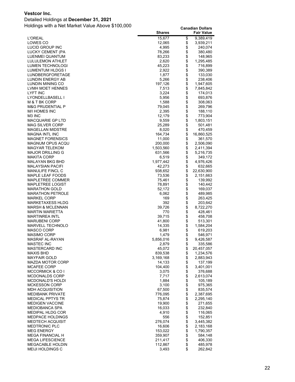#### Detailed Holdings at **December 31, 2021**

|                                                    | <b>Shares</b>     |          | <b>Fair Value</b>       |
|----------------------------------------------------|-------------------|----------|-------------------------|
| <b>L'OREAL</b>                                     | 15,677            | \$       | 9,389,419               |
| LOWES CO                                           | 12,065            | \$       | 3,939,211               |
| LUCID GROUP INC                                    | 4,995             | \$       | 240,074                 |
| LUCKY CEMENT (PA                                   | 78,266            | \$       | 380,480                 |
| LUENMEI QUANTUM                                    | 83,233<br>2,620   | \$<br>\$ | 148,965                 |
| LULULEMON ATHLET                                   |                   | \$       | 1,295,485               |
| LUMEN TECHNOLOGI<br>LUMENTUM HLDGS I               | 45,223<br>2,922   | \$       | 716,899<br>390,389      |
| LUNDBERGFORETAGE                                   | 1,877             | \$       | 133,030                 |
| <b>LUNDIN ENERGY AB</b>                            | 5,266             | \$       | 238,406                 |
| LUNDIN MINING CO                                   | 197,126           | \$       | 1,947,605               |
| LVMH MOET HENNES                                   | 7,513             | \$       | 7,845,842               |
| <b>LYFT INC</b>                                    | 3,224             | \$       | 174,013                 |
| LYONDELLBASELL I                                   | 5,956             | \$       | 693,876                 |
| M & T BK CORP                                      | 1,588             | \$       | 308,063                 |
| <b>M&amp;G PRUDENTIAL P</b>                        | 79,045            |          | 269,796                 |
| <b>M/I HOMES INC</b>                               | 2,395             | \$       | 188,110                 |
| M <sub>3</sub> INC                                 | 12,179            | \$       | 773,904                 |
| <b>MACQUARIE GP LTD</b>                            | 9,559             | \$       | 1,803,151               |
| <b>MAG SILVER CORP</b>                             | 25,289            | \$<br>\$ | 501,481                 |
| <b>MAGELLAN MIDSTRE</b><br><b>MAGNA INTL INC</b>   | 8,020<br>164,734  | \$       | 470,459<br>16,860,525   |
| <b>MAGNET FORENSICS</b>                            | 11,000            | \$       | 361,570                 |
| MAGNUM OPUS ACQU                                   | 200,000           | \$       | 2,506,090               |
| <b>MAGYAR TELEKOM</b>                              | 1,503,560         | \$       | 2,411,394               |
| <b>MAJOR DRILLING G</b>                            | 631,566           | \$       | 5,216,735               |
| <b>MAKITA CORP</b>                                 | 6,519             | \$       | 349,172                 |
| MALAYAN BKG BHD                                    | 1,977,442         | \$       | 4,976,426               |
| <b>MALAYSIAN PACIFI</b>                            | 42,273            | \$       | 632,665                 |
| <b>MANULIFE FINCL C</b>                            | 938,652           | \$       | 22,630,900              |
| <b>MAPLE LEAF FOODS</b>                            | 73,536            | \$       | 2,151,663               |
| MAPLETREE COMMER                                   | 75,461            | \$       | 139,992                 |
| <b>MAPLETREE LOGIST</b>                            | 78,891            | \$       | 140,442                 |
| <b>MARATHON GOLD</b>                               | 52,172            | \$<br>\$ | 169,037                 |
| <b>MARATHON PETROLE</b><br><b>MARKEL CORP</b>      | 6,062<br>169      | \$       | 489,985                 |
| MARKETAXESS HLDG                                   | 392               | \$       | 263,425<br>203,642      |
| <b>MARSH &amp; MCLENNAN</b>                        | 39,726            | \$       | 8,722,270               |
| <b>MARTIN MARIETTA</b>                             | 770               | \$       | 428,461                 |
| <b>MARTINREA INTL</b>                              | 39,715            | \$       | 458,708                 |
| <b>MARUBENI CORP</b>                               | 41,800            | \$       | 513,301                 |
| <b>MARVELL TECHNOLO</b>                            | 14,335            | \$       | 1,584,204               |
| MASCO CORP                                         | 6,981             | \$       | 619,203                 |
| <b>MASIMO CORP</b>                                 | 1,479             | \$       | 546,971                 |
| MASRAF AL-RAYAN                                    | 5,856,016         | \$       | 9,426,587               |
| <b>MASTEC INC</b>                                  | 2,879             | \$       | 335,586                 |
| MASTERCARD INC<br><b>MAXIS BHD</b>                 | 45,072<br>839,538 | \$       | 20,457,057<br>1,234,576 |
| <b>MAYFAIR GOLD</b>                                | 3,169,168         | \$<br>\$ | 2,883,943               |
| <b>MAZDA MOTOR CORP</b>                            | 14,133            | \$       | 137,199                 |
| <b>MCAFEE CORP</b>                                 | 104,400           | \$       | 3,401,001               |
| <b>MCCORMICK &amp; CO I</b>                        | 3,075             | \$       | 376,688                 |
| <b>MCDONALDS CORP</b>                              | 7,717             | \$       | 2,613,074               |
| <b>MCDONALD'S HOLDI</b>                            | 1,884             | \$       | 105,189                 |
| <b>MCKESSON CORP</b>                               | 3,100             | \$       | 975,365                 |
| <b>MDH ACQUISITION</b>                             | 67,500            | \$\$     | 835,574                 |
| <b>MEDIBANK PRIVATE</b>                            | 776,095           |          | 2,387,695               |
| <b>MEDICAL PPTYS TR</b>                            | 75,874            |          | 2,295,140               |
| <b>MEDIGEN VACCINE</b>                             | 19,900            | \$       | 271,655                 |
| <b>MEDIOBANCA SPA</b>                              | 16,033            |          | 232,840                 |
| <b>MEDIPAL HLDG COR</b><br><b>MEDPACE HOLDINGS</b> | 4,910<br>556      | \$       | 116,065<br>152,851      |
| <b>MEDTECH ACQUISIT</b>                            | 276,074           | \$       | 3,445,382               |
| <b>MEDTRONIC PLC</b>                               | 16,606            | \$       | 2,183,168               |
| <b>MEG ENERGY</b>                                  | 153,022           |          | 1,790,357               |
| <b>MEGA FINANCIAL H</b>                            | 359,907           | \$       | 584,148                 |
| <b>MEGA LIFESCIENCE</b>                            | 211,417           | \$       | 406,330                 |
| <b>MEGACABLE HOLDIN</b>                            | 112,867           | \$       | 485,978                 |
| MEIJI HOLDINGS C                                   | 3,493             | \$       | 262,842                 |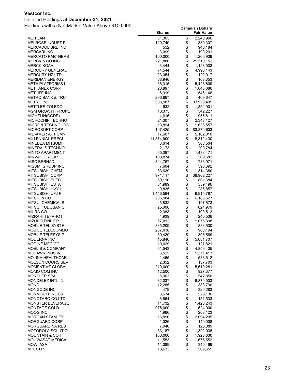#### Detailed Holdings at **December 31, 2021**

|                                                    | <b>Shares</b>    |          | <b>Fair Value</b>    |
|----------------------------------------------------|------------------|----------|----------------------|
| <b>MEITUAN</b>                                     | 61,365           | \$       | 2,240,996            |
| <b>MELROSE INDUST P</b>                            | 120,740          | \$       | 330,307              |
| MERCADOLIBRE INC                                   | 552              | \$       | 940,184              |
| <b>MERCARI INC</b>                                 | 3,099            | \$       | 199,201              |
| <b>MERCATO PARTNERS</b>                            | 100,000          | \$       | 1,266,939            |
| <b>MERCK &amp; CO INC</b>                          | 221,880          | \$       | 21,510,152           |
| <b>MERCK KGAA</b>                                  | 3,444            | \$       | 1,123,003            |
| <b>MERCURY GENERAL</b>                             | 74,544           | \$       | 4,996,143            |
| <b>MERCURY NZ LTD</b>                              | 23,054           | \$       | 122,017              |
| <b>MERIDIAN ENERGY</b>                             | 38,946           | \$       | 163,353              |
| <b>META PLATFORMS I</b>                            | 36,315           | \$       | 15,428,809           |
| <b>METHANEX CORP</b>                               | 20,897           | \$       | 1,045,686            |
| <b>METLIFE INC</b>                                 | 6,919            | \$       | 546,146              |
| <b>METRO BANK &amp; TRU</b>                        | 296,897          | \$       | 409,647              |
| <b>METRO INC</b>                                   | 503,987          | \$<br>\$ | 33,928,405           |
| <b>METTLER TOLEDO I</b><br><b>MGM GROWTH PROPE</b> | 632<br>10,375    | \$       | 1,354,901<br>542,227 |
| MICHELIN(CGDE)                                     | 4,616            | \$       | 955,811              |
| MICROCHIP TECHNO                                   | 21,307           | \$       | 2,343,127            |
| <b>MICRON TECHNOLOG</b>                            | 13,894           | \$       | 1,636,557            |
| <b>MICROSOFT CORP</b>                              | 197,425          | \$       | 83,870,603           |
| MID-AMER APT CMN                                   | 17,607           | \$       | 5,102,810            |
| <b>MILLENNIAL PRECI</b>                            | 11,874,900       | \$       | 8,312,430            |
| MINEBEA MITSUMI                                    | 8,614            | \$       | 308,504              |
| <b>MINERALS TECHNOL</b>                            | 2,173            | \$       | 200,784              |
| <b>MINTO APARTMENT</b>                             | 65,367           | \$       | 1,433,471            |
| <b>MIRVAC GROUP</b>                                | 100,874          | \$       | 269,582              |
| MISC BERHAD                                        | 344,767          | \$       | 736,971              |
| <b>MISUMI GROUP INC</b>                            | 7,604            | \$       | 393,692              |
| <b>MITSUBISHI CHEM</b>                             | 33,639           | \$       | 314,380              |
| <b>MITSUBISHI CORP</b>                             | 971,117          | \$       | 38,902,227           |
| <b>MITSUBISHI ELEC</b>                             | 50,110           | \$       | 801,684              |
| MITSUBISHI ESTAT                                   | 31,989           | \$       | 559,496              |
| MITSUBISHI HVY I                                   | 9,835            | \$       | 286,857              |
| MITSUBISHI UFJ F                                   | 1,446,584        |          | 9,915,767            |
| MITSUI & CO                                        | 206,984          | \$       | 6,183,527            |
| <b>MITSUI CHEMICALS</b>                            | 5,832            | \$       | 197,673              |
| MITSUI FUDOSAN C                                   | 25,006           | \$       | 624,979              |
| <b>MIURA CO</b>                                    | 2,383            | \$       | 103,512              |
| <b>MIZRAHI TEFAHOT</b>                             | 4,939            | \$       | 240,536              |
| <b>MIZUHO FINL GP</b>                              | 67,012           |          | 1,075,398            |
| <b>MOBILE TEL SYSTE</b>                            | 335,209          | \$       | 833,530              |
| MOBILE TELECOMMU                                   | 237,038          | \$       | 960,194              |
| <b>MOBILE TELESYS P</b>                            | 30,429           | \$       | 305,569              |
| <b>MODERNA INC</b>                                 | 15,840           | \$       | 5,081,707            |
| <b>MODINE MFG CO</b>                               | 10,029           | \$       | 127,821              |
| <b>MOELIS &amp; COMPANY</b>                        | 61,543           | \$<br>\$ | 4,859,405            |
| <b>MOHAWK INDS INC</b>                             | 5,525            | \$       | 1,271,417            |
| <b>MOLINA HEALTHCAR</b>                            | 1,465            |          | 588,612              |
| <b>MOLSON COORS BEV</b><br><b>MOMENTIVE GLOBAL</b> | 2,352<br>210,000 | \$       | 137,703              |
| MOMO COM INC                                       | 12,500           | \$       | 5,610,281<br>927,377 |
| <b>MONCLER SPA</b>                                 | 5,903            |          | 542,850              |
| MONDELEZ INTL IN                                   | 82,037           | \$       | 6,879,003            |
| <b>MONDI</b>                                       | 12,285           | \$       | 383,790              |
| MONGODB INC                                        | 479              |          | 320,283              |
| MONMOUTH RL EST                                    | 8,634            | \$       | 229,136              |
| <b>MONOTARO CO.LTD</b>                             | 6,664            | \$       | 151,533              |
| <b>MONSTER BEVERAGE</b>                            | 11,732           |          | 1,423,243            |
| <b>MONTAGE GOLD</b>                                | 975,000          | \$       | 624,000              |
| MOOG INC                                           | 1,986            | \$       | 203,123              |
| <b>MORGAN STANLEY</b>                              | 16,890           | \$       | 2,094,205            |
| <b>MORGUARD CORP</b>                               | 1,026            | \$       | 140,008              |
| <b>MORGUARD NA RES</b>                             | 7,040            | \$       | 125,089              |
| <b>MOTOROLA SOLUTIO</b>                            | 33,187           | \$       | 11,392,038           |
| <b>MOUNTAIN &amp; CO I</b>                         | 150,000          | \$       | 1,928,830            |
| MOUWASAT MEDICAL                                   | 11,553           | \$       | 675,552              |
| <b>MOWI ASA</b>                                    | 11,389           | \$       | 340,469              |
| <b>MPLX LP</b>                                     | 13,633           | \$       | 509,555              |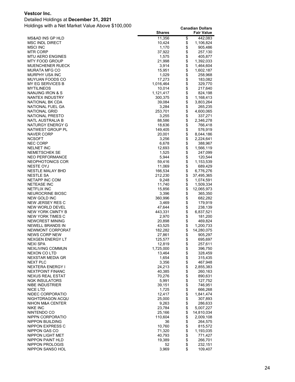#### Detailed Holdings at **December 31, 2021**

|                                            | <b>Shares</b>    |                                                  | <b>Fair Value</b>    |
|--------------------------------------------|------------------|--------------------------------------------------|----------------------|
| MS&AD INS GP HLD                           | 11,356           | \$                                               | 442,083              |
| <b>MSC INDL DIRECT</b>                     | 10,424           | \$                                               | 1,106,824            |
| MSCI INC                                   | 1,170            | \$                                               | 905,486              |
| MTR CORP                                   | 37,922           | \$                                               | 257,130              |
| MTU AERO ENGINES                           | 1,575            | \$                                               | 405,877              |
| MTY FOOD GROUP                             | 21,998           | \$                                               | 1,392,033            |
| MUENCHENER RUECK                           | 3,914            | \$                                               | 1,464,604            |
| MURATA MFG CO<br>MURPHY USA INC            | 15,951<br>1,029  | \$                                               | 1,602,187<br>258,968 |
| MUYUAN FOODS CO                            | 17,273           |                                                  | 183,082              |
| MY EG SERVICES B                           | 1,016,464        |                                                  | 329,770              |
| MYTILINEOS                                 | 10,014           | \$\$\$\$\$\$\$                                   | 217,640              |
| NANJING IRON & S                           | 1,121,417        |                                                  | 824,198              |
| NANTEX INDUSTRY                            | 300,375          |                                                  | 1,168,413            |
| NATIONAL BK CDA                            | 39,084           |                                                  | 3,803,264            |
| NATIONAL FUEL GA                           | 3,284            | \$<br>\$                                         | 265,235              |
| NATIONAL GRID                              | 253,701          |                                                  | 4,600,065            |
| NATIONAL PRESTO                            | 3,255            | \$\$\$\$                                         | 337,271              |
| NATL AUSTRALIA B                           | 88,586           |                                                  | 2,346,278            |
| NATURGY ENERGY G                           | 18,636           |                                                  | 766,418              |
| NATWEST GROUP PL                           | 149,405          |                                                  | 576,919              |
| <b>NAVER CORP</b>                          | 20,001           | \$                                               | 8,044,186            |
| <b>NCSOFT</b>                              | 3,256            |                                                  | 2,224,641            |
| <b>NEC CORP</b>                            | 6,678            | \$                                               | 388,967              |
| <b>NELNET INC</b><br>NEMETSCHEK SE         | 12,693<br>1,525  | \$\$\$\$                                         | 1,566,119            |
| NEO PERFORMANCE                            | 5,944            |                                                  | 247,099<br>120,544   |
| NEOPHOTONICS COR                           | 59,416           |                                                  | 1,153,539            |
| <b>NESTE OYJ</b>                           | 11,069           | \$                                               | 689,429              |
| NESTLE MALAY BHD                           | 166,534          | \$                                               | 6,776,276            |
| NESTLE SA                                  | 212,230          | \$                                               | 37,495,365           |
| NETAPP INC COM                             | 9,248            |                                                  | 1,074,591            |
| <b>NETEASE INC</b>                         | 11,740           |                                                  | 1,509,334            |
| NETFLIX INC                                | 15,856           | \$\$\$\$\$                                       | 12,065,973           |
| NEUROCRINE BIOSC                           | 3,396            |                                                  | 365,350              |
| NEW GOLD INC                               | 360,996          |                                                  | 682,282              |
| NEW JERSEY RES C                           | 3,469            | <b>88888888</b>                                  | 179,919              |
| NEW WORLD DEVEL                            | 47,644           |                                                  | 238,139              |
| NEW YORK CMNTY B                           | 443,331          |                                                  | 6,837,521            |
| NEW YORK TIMES C                           | 2,970            |                                                  | 181,200              |
| NEWCREST MINING<br><b>NEWELL BRANDS IN</b> | 20,898<br>43,525 |                                                  | 469,824<br>1,200,733 |
| NEWMONT CORPORAT                           | 182,282          |                                                  | 14,280,075           |
| <b>NEWS CORP NEW</b>                       | 27,861           |                                                  | 905,297              |
| NEXGEN ENERGY LT                           | 125,577          |                                                  | 695,697              |
| NEXI SPA                                   | 12,819           | \$                                               | 257,611              |
| <b>NEXLIVING COMMUN</b>                    | 1,725,000        |                                                  | 396,750              |
| NEXON CO LTD                               | 13,464           |                                                  | 328,459              |
| NEXSTAR MEDIA GR                           | 1,654            |                                                  | 315,435              |
| NEXT PLC                                   | 3,356            |                                                  | 467,948              |
| NEXTERA ENERGY I                           | 24,213           |                                                  | 2,855,383            |
| <b>NEXTPOINT FINANC</b>                    | 40,385           |                                                  | 260,163              |
| NEXUS REAL ESTAT                           | 70,276           |                                                  | 890,631              |
| <b>NGK INSULATORS</b>                      | 5,991            |                                                  | 127,752              |
| NIBE INDUSTRIER<br><b>NICE LTD</b>         | 39,151           |                                                  | 746,951              |
| NIDEC CORPORATIO                           | 1,725<br>12,417  |                                                  | 666,268<br>1,841,474 |
| NIGHTDRAGON ACQU                           | 25,000           |                                                  | 307,893              |
| NIHON M&A CENTER                           | 9,263            |                                                  | 286,633              |
| <b>NIKE INC</b>                            | 23,784           |                                                  | 5,007,227            |
| NINTENDO CO                                | 25,166           | \$\$\$\$\$\$\$\$\$\$\$\$\$\$\$\$\$\$\$\$\$\$\$\$ | 14,810,034           |
| NIPPN CORPORATIO                           | 110,604          |                                                  | 2,009,108            |
| NIPPON BUILDING                            | 36               |                                                  | 264,575              |
| NIPPON EXPRESS C                           | 10,760           |                                                  | 815,572              |
| NIPPON GAS CO                              | 71,320           |                                                  | 1,193,035            |
| NIPPON LIGHT MET                           | 40,793           |                                                  | 771,427              |
| NIPPON PAINT HLD                           | 19,389           |                                                  | 266,701              |
| NIPPON PROLOGIS                            | 52               | \$                                               | 232,151              |
| NIPPON SANSO HOL                           | 3,969            | \$                                               | 109,407              |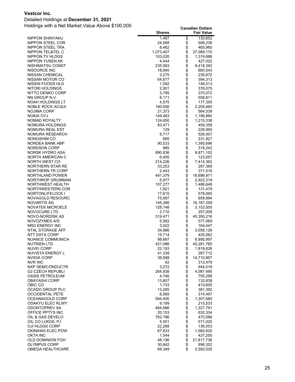#### Detailed Holdings at **December 31, 2021**

|                                         | <b>Shares</b>    |          | <b>Fair Value</b>  |
|-----------------------------------------|------------------|----------|--------------------|
| NIPPON SHINYAKU                         | 1,487            | \$       | 130,652            |
| NIPPON STEEL COR                        | 24,568           | \$       | 506,236            |
| NIPPON STEEL TRA                        | 8,462            | \$       | 465,960            |
| NIPPON TEL&TEL C                        | 1,073,407        | \$       | 37,089,170         |
| NIPPON TV HLDGS                         | 103,020          | \$       | 1,319,886          |
| NIPPON YUSEN KK                         | 4,444            | \$       | 427,022            |
| NISHIMATSU CONST                        | 235,563          | \$       | 9,418,392          |
| NISOURCE INC                            | 18,940           | \$       | 660,543            |
| NISSAN CHEMICAL                         | 3,275            | \$       | 239,972            |
| NISSAN MOTOR CO                         | 64,677           | \$       | 394,313            |
| NISSIN FOODS HLD<br>NITORI HOLDINGS     | 1,592            | \$<br>\$ | 146,513            |
| NITTO DENKO CORP                        | 2,001<br>3,795   | \$       | 378,075<br>370,072 |
| NN GROUP N.V.                           | 8,171            | \$       | 558,811            |
| NOAH HOLDINGS LT                        | 4,575            | \$       | 177,355            |
| NOBLE ROCK ACQUI                        | 180,000          | \$       | 2,205,460          |
| NOJIMA CORP                             | 21,373           | \$       | 564,539            |
| NOKIA OYJ                               | 149,483          | \$       | 1,196,880          |
| NOMAD ROYALTY                           | 124,650          | \$       | 1,215,338          |
| NOMURA HOLDINGS                         | 83,471           | \$       | 459,359            |
| NOMURA REAL EST                         | 129              | \$       | 228,950            |
| NOMURA RESEARCH                         | 9,717            | \$       | 526,007            |
| NONGSHIM CO                             | 685              | \$       | 231,827            |
| NORDEA BANK ABP                         | 90,533           | \$       | 1,395,696          |
| NORDSON CORP                            | 985              | \$       | 318,242            |
| NORSK HYDRO ASA                         | 890,836          | \$       | 8,871,102          |
| NORTH AMERICAN C                        | 6,405            | \$       | 123,057            |
| NORTH WEST CO                           | 214,226          | \$       | 7,414,362          |
| NORTHERN STAR RE                        | 33,253           | \$       | 287,369            |
| NORTHERN TR CORP                        | 2,443            | \$       | 371,516            |
| NORTHLAND POWER                         | 491,379          | \$       | 18,696,971         |
| NORTHROP GRUMMAN                        | 5,977            | \$       | 2,922,319          |
| NORTHWEST HEALTH<br>NORTHWESTERN COR    | 107,277<br>1,821 | \$<br>\$ | 1,488,648          |
| NORTONLIFELOCK I                        | 17,615           | \$       | 131,479<br>578,065 |
| NOVAGOLD RESOURC                        | 75,997           | \$       | 658,894            |
| NOVARTIS AG                             | 145,266          | \$       | 16,167,259         |
| NOVATEK MICROELE                        | 128,148          | \$       | 3,153,505          |
| NOVOCURE LTD                            | 2,710            | \$       | 257,009            |
| NOVO-NORDISK AS                         | 319,471          | \$       | 45,350,216         |
| NOVOZYMES A/S                           | 5,562            | \$       | 577,069            |
| NRG ENERGY INC                          | 3,022            | \$       | 164,447            |
| NTAL STORAGE AFF                        | 34,986           | \$       | 3,058,126          |
| NTT DATA CORP                           | 15,714           | \$       | 425,062            |
| NUANCE COMMUNICA                        | 98,687           | \$       | 6,895,997          |
| NUTRIEN LTD                             | 421,086          | \$       | 40,281,765         |
| NUVEI CORP                              | 22,193           | \$       | 1,819,826          |
| NUVISTA ENERGY L                        | 41,338           | \$       | 287,712            |
| NVIDIA CORP                             | 39,598           | \$       | 14,710,857         |
| NVR INC                                 | 42               | \$       | 313,479            |
| NXP SEMICONDUCTR                        | 3,272            | \$       | 944,019            |
| <b>02 CZECH REPUBLI</b>                 | 264,838          | \$<br>\$ | 4,087,495          |
| OASIS PETROLEUM<br><b>OBAYASHI CORP</b> | 4,746<br>13,607  |          | 755,299<br>132,839 |
| OBIC CO                                 | 1,733            | \$       | 410,605            |
| OCADO GROUP PLC                         | 13,285           | \$       | 381,392            |
| <b>OCCIDENTAL PETE</b>                  | 8,585            |          | 314,497            |
| OCEANAGOLD CORP                         | 594,400          | \$       | 1,307,680          |
| ODAKYU ELEC RLWY                        | 9,199            | \$       | 215,533            |
| ODONTOPREV SA                           | 464,686          | \$       | 1,327,791          |
| OFFICE PPTYS INC                        | 20,153           | \$       | 632,334            |
| OIL & GAS DEVELO                        | 762,786          | \$       | 470,566            |
| OIL CO LUKOIL PJ                        | 5,051            | \$       | 571,025            |
| OJI HLDGS CORP                          | 22,268           | \$       | 136,053            |
| OKINAWA ELEC POW                        | 67,833           | \$       | 1,082,620          |
| OKTA INC                                | 1,544            | \$       | 437,200            |
| <b>OLD DOMINION FGH</b>                 | 48,196           | \$       | 21,817,736         |
| OLYMPUS CORP                            | 30,842           | \$       | 896,352            |
| OMEGA HEALTHCARE                        | 69,349           | \$       | 2,592,030          |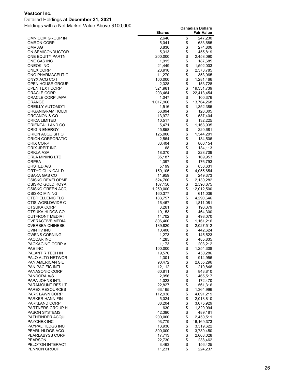#### Detailed Holdings at **December 31, 2021**

| \$<br>2,646<br>247,230<br>OMNICOM GROUP IN<br>\$<br><b>OMRON CORP</b><br>5,041<br>633,685<br>\$<br>OMV AG<br>3,830<br>274,806<br>\$<br>ON SEMICONDUCTOR<br>5,313<br>455,819<br>\$<br>ONE EQUITY PARTN<br>200,000<br>2,458,090<br>\$<br>ONE GAS INC<br>1,915<br>187,685<br>\$<br><b>ONEOK INC</b><br>21,449<br>1,592,003<br>\$<br>ONEX CORP<br>23,910<br>2,373,785<br>\$<br>11,270<br>ONO PHARMACEUTIC<br>353,065<br>\$<br>ONYX ACQ CO I<br>100,000<br>1,281,466<br>\$<br>OPEN HOUSE GROUP<br>2,328<br>153,728<br>\$<br>19,331,739<br>OPEN TEXT CORP<br>321,981<br>\$<br>ORACLE CORP<br>203,464<br>22,413,454<br>\$<br>ORACLE CORP JAPA<br>100,376<br>1,047<br>\$<br>1,017,966<br>ORANGE<br>13,764,268<br>\$<br>OREILLY AUTOMOTI<br>1,516<br>1,352,385<br>$\ddot{\$}$<br>ORGANIGRAM HOLDI<br>56,894<br>126,305<br>\$<br>537,404<br>ORGANON & CO<br>13,972<br>\$<br>ORICA LIMITED<br>10,517<br>132,225<br>\$<br>ORIENTAL LAND CO<br>5,471<br>1,163,935<br>\$<br><b>ORIGIN ENERGY</b><br>45,858<br>220,681<br>\$<br>ORION ACQUISITIO<br>125,000<br>1,544,201<br>\$<br>ORION CORPORATIO<br>2,564<br>134,506<br>\$<br>ORIX CORP<br>33,404<br>860,154<br>\$<br>ORIX JREIT INC<br>68<br>134,113<br>\$<br>ORKLA ASA<br>18,070<br>228,709<br>\$<br>ORLA MINING LTD<br>35,187<br>169,953<br>\$<br><b>ORPEA</b><br>1,397<br>176,793<br>\$<br>ORSTED A/S<br>5,199<br>838,631<br>\$<br>ORTHO CLINICAL D<br>150,105<br>4,055,654<br>\$<br>OSAKA GAS CO<br>11,959<br>249,373<br>\$<br>OSISKO DEVELOPME<br>524,700<br>2,130,282<br>\$<br>OSISKO GOLD ROYA<br>167,150<br>2,596,675<br>\$<br>OSISKO GREEN ACQ<br>1,250,000<br>12,012,500<br>\$<br>OSISKO MINING<br>160,377<br>611,036<br>\$<br>OTE(HELLENIC TLC<br>183,757<br>4,290,646<br>\$<br>OTIS WORLDWIDE C<br>16,467<br>1,811,081<br>\$<br>OTSUKA CORP<br>3,261<br>196,379<br>\$<br>OTSUKA HLDGS CO<br>10,153<br>464,300<br>\$<br><b>OUTFRONT MEDIA I</b><br>14,702<br>498,070<br>\$<br><b>OVERACTIVE MEDIA</b><br>806,400<br>1,161,216<br>OVERSEA-CHINESE<br>189,820<br>2,027,512<br>\$<br><b>OVINTIV INC</b><br>10,400<br>442,624<br>\$<br><b>OWENS CORNING</b><br>1,273<br>145,523<br>\$<br>PACCAR INC<br>4,285<br>485,835<br>\$<br>PACKAGING CORP A<br>1,173<br>203,212<br>PAE INC<br>100,000<br>\$<br>1,254,308<br>19,576<br>PALANTIR TECH IN<br>450,286<br>\$<br>1,301<br>914,956<br>PALO ALTO NETWOR<br>\$\$<br><b>PAN AMERICAN SIL</b><br>90,472<br>2,855,296<br>12,112<br><b>PAN PACIFIC INTL</b><br>210,846<br>PANASONIC CORP<br>60,811<br>843,810<br>\$\$<br>2,956<br>PANDORA A/S<br>465,517<br>1,023<br>172,470<br>PAPA JOHNS INTL<br>22,827<br>561,316<br>PARAMOUNT RES LT<br>\$<br><b>PAREX RESOURCES</b><br>63,165<br>1,364,996<br>PARK LAWN CORP<br>112,938<br>4,691,219<br>\$<br><b>PARKER HANNIFIN</b><br>5,024<br>2,018,810<br>\$<br>88,204<br>PARKLAND CORP<br>3,075,929<br>\$<br>630<br>1,320,994<br>PARTNERS GROUP H<br><b>PASON SYSTEMS</b><br>42,390<br>489,181<br>\$<br>2,450,511<br>PATHFINDER ACQUI<br>200,000<br>16, 169, 373<br><b>PAYCHEX INC</b><br>93,779<br>\$<br>PAYPAL HLDGS INC<br>13,936<br>3,319,622<br>\$\$<br>3,789,450<br>PEARL HLDGS ACQ<br>300,000<br>17,713<br>PEARLABYSS CORP<br>2,603,028<br>22,730<br><b>PEARSON</b><br>238,462<br>\$<br>3,463<br>156,425<br>PELOTON INTERACT |              | <b>Shares</b> | <b>Fair Value</b> |
|-------------------------------------------------------------------------------------------------------------------------------------------------------------------------------------------------------------------------------------------------------------------------------------------------------------------------------------------------------------------------------------------------------------------------------------------------------------------------------------------------------------------------------------------------------------------------------------------------------------------------------------------------------------------------------------------------------------------------------------------------------------------------------------------------------------------------------------------------------------------------------------------------------------------------------------------------------------------------------------------------------------------------------------------------------------------------------------------------------------------------------------------------------------------------------------------------------------------------------------------------------------------------------------------------------------------------------------------------------------------------------------------------------------------------------------------------------------------------------------------------------------------------------------------------------------------------------------------------------------------------------------------------------------------------------------------------------------------------------------------------------------------------------------------------------------------------------------------------------------------------------------------------------------------------------------------------------------------------------------------------------------------------------------------------------------------------------------------------------------------------------------------------------------------------------------------------------------------------------------------------------------------------------------------------------------------------------------------------------------------------------------------------------------------------------------------------------------------------------------------------------------------------------------------------------------------------------------------------------------------------------------------------------------------------------------------------------------------------------------------------------------------------------------------------------------------------------------------------------------------------------------------------------------------------------------------------------------------------------------------------------------------------------------------------------------------------------------------------------------------------------------------------------------------------------------------------------------------------------------------------------------------|--------------|---------------|-------------------|
|                                                                                                                                                                                                                                                                                                                                                                                                                                                                                                                                                                                                                                                                                                                                                                                                                                                                                                                                                                                                                                                                                                                                                                                                                                                                                                                                                                                                                                                                                                                                                                                                                                                                                                                                                                                                                                                                                                                                                                                                                                                                                                                                                                                                                                                                                                                                                                                                                                                                                                                                                                                                                                                                                                                                                                                                                                                                                                                                                                                                                                                                                                                                                                                                                                                                   |              |               |                   |
|                                                                                                                                                                                                                                                                                                                                                                                                                                                                                                                                                                                                                                                                                                                                                                                                                                                                                                                                                                                                                                                                                                                                                                                                                                                                                                                                                                                                                                                                                                                                                                                                                                                                                                                                                                                                                                                                                                                                                                                                                                                                                                                                                                                                                                                                                                                                                                                                                                                                                                                                                                                                                                                                                                                                                                                                                                                                                                                                                                                                                                                                                                                                                                                                                                                                   |              |               |                   |
|                                                                                                                                                                                                                                                                                                                                                                                                                                                                                                                                                                                                                                                                                                                                                                                                                                                                                                                                                                                                                                                                                                                                                                                                                                                                                                                                                                                                                                                                                                                                                                                                                                                                                                                                                                                                                                                                                                                                                                                                                                                                                                                                                                                                                                                                                                                                                                                                                                                                                                                                                                                                                                                                                                                                                                                                                                                                                                                                                                                                                                                                                                                                                                                                                                                                   |              |               |                   |
|                                                                                                                                                                                                                                                                                                                                                                                                                                                                                                                                                                                                                                                                                                                                                                                                                                                                                                                                                                                                                                                                                                                                                                                                                                                                                                                                                                                                                                                                                                                                                                                                                                                                                                                                                                                                                                                                                                                                                                                                                                                                                                                                                                                                                                                                                                                                                                                                                                                                                                                                                                                                                                                                                                                                                                                                                                                                                                                                                                                                                                                                                                                                                                                                                                                                   |              |               |                   |
|                                                                                                                                                                                                                                                                                                                                                                                                                                                                                                                                                                                                                                                                                                                                                                                                                                                                                                                                                                                                                                                                                                                                                                                                                                                                                                                                                                                                                                                                                                                                                                                                                                                                                                                                                                                                                                                                                                                                                                                                                                                                                                                                                                                                                                                                                                                                                                                                                                                                                                                                                                                                                                                                                                                                                                                                                                                                                                                                                                                                                                                                                                                                                                                                                                                                   |              |               |                   |
|                                                                                                                                                                                                                                                                                                                                                                                                                                                                                                                                                                                                                                                                                                                                                                                                                                                                                                                                                                                                                                                                                                                                                                                                                                                                                                                                                                                                                                                                                                                                                                                                                                                                                                                                                                                                                                                                                                                                                                                                                                                                                                                                                                                                                                                                                                                                                                                                                                                                                                                                                                                                                                                                                                                                                                                                                                                                                                                                                                                                                                                                                                                                                                                                                                                                   |              |               |                   |
|                                                                                                                                                                                                                                                                                                                                                                                                                                                                                                                                                                                                                                                                                                                                                                                                                                                                                                                                                                                                                                                                                                                                                                                                                                                                                                                                                                                                                                                                                                                                                                                                                                                                                                                                                                                                                                                                                                                                                                                                                                                                                                                                                                                                                                                                                                                                                                                                                                                                                                                                                                                                                                                                                                                                                                                                                                                                                                                                                                                                                                                                                                                                                                                                                                                                   |              |               |                   |
|                                                                                                                                                                                                                                                                                                                                                                                                                                                                                                                                                                                                                                                                                                                                                                                                                                                                                                                                                                                                                                                                                                                                                                                                                                                                                                                                                                                                                                                                                                                                                                                                                                                                                                                                                                                                                                                                                                                                                                                                                                                                                                                                                                                                                                                                                                                                                                                                                                                                                                                                                                                                                                                                                                                                                                                                                                                                                                                                                                                                                                                                                                                                                                                                                                                                   |              |               |                   |
|                                                                                                                                                                                                                                                                                                                                                                                                                                                                                                                                                                                                                                                                                                                                                                                                                                                                                                                                                                                                                                                                                                                                                                                                                                                                                                                                                                                                                                                                                                                                                                                                                                                                                                                                                                                                                                                                                                                                                                                                                                                                                                                                                                                                                                                                                                                                                                                                                                                                                                                                                                                                                                                                                                                                                                                                                                                                                                                                                                                                                                                                                                                                                                                                                                                                   |              |               |                   |
|                                                                                                                                                                                                                                                                                                                                                                                                                                                                                                                                                                                                                                                                                                                                                                                                                                                                                                                                                                                                                                                                                                                                                                                                                                                                                                                                                                                                                                                                                                                                                                                                                                                                                                                                                                                                                                                                                                                                                                                                                                                                                                                                                                                                                                                                                                                                                                                                                                                                                                                                                                                                                                                                                                                                                                                                                                                                                                                                                                                                                                                                                                                                                                                                                                                                   |              |               |                   |
|                                                                                                                                                                                                                                                                                                                                                                                                                                                                                                                                                                                                                                                                                                                                                                                                                                                                                                                                                                                                                                                                                                                                                                                                                                                                                                                                                                                                                                                                                                                                                                                                                                                                                                                                                                                                                                                                                                                                                                                                                                                                                                                                                                                                                                                                                                                                                                                                                                                                                                                                                                                                                                                                                                                                                                                                                                                                                                                                                                                                                                                                                                                                                                                                                                                                   |              |               |                   |
|                                                                                                                                                                                                                                                                                                                                                                                                                                                                                                                                                                                                                                                                                                                                                                                                                                                                                                                                                                                                                                                                                                                                                                                                                                                                                                                                                                                                                                                                                                                                                                                                                                                                                                                                                                                                                                                                                                                                                                                                                                                                                                                                                                                                                                                                                                                                                                                                                                                                                                                                                                                                                                                                                                                                                                                                                                                                                                                                                                                                                                                                                                                                                                                                                                                                   |              |               |                   |
|                                                                                                                                                                                                                                                                                                                                                                                                                                                                                                                                                                                                                                                                                                                                                                                                                                                                                                                                                                                                                                                                                                                                                                                                                                                                                                                                                                                                                                                                                                                                                                                                                                                                                                                                                                                                                                                                                                                                                                                                                                                                                                                                                                                                                                                                                                                                                                                                                                                                                                                                                                                                                                                                                                                                                                                                                                                                                                                                                                                                                                                                                                                                                                                                                                                                   |              |               |                   |
|                                                                                                                                                                                                                                                                                                                                                                                                                                                                                                                                                                                                                                                                                                                                                                                                                                                                                                                                                                                                                                                                                                                                                                                                                                                                                                                                                                                                                                                                                                                                                                                                                                                                                                                                                                                                                                                                                                                                                                                                                                                                                                                                                                                                                                                                                                                                                                                                                                                                                                                                                                                                                                                                                                                                                                                                                                                                                                                                                                                                                                                                                                                                                                                                                                                                   |              |               |                   |
|                                                                                                                                                                                                                                                                                                                                                                                                                                                                                                                                                                                                                                                                                                                                                                                                                                                                                                                                                                                                                                                                                                                                                                                                                                                                                                                                                                                                                                                                                                                                                                                                                                                                                                                                                                                                                                                                                                                                                                                                                                                                                                                                                                                                                                                                                                                                                                                                                                                                                                                                                                                                                                                                                                                                                                                                                                                                                                                                                                                                                                                                                                                                                                                                                                                                   |              |               |                   |
|                                                                                                                                                                                                                                                                                                                                                                                                                                                                                                                                                                                                                                                                                                                                                                                                                                                                                                                                                                                                                                                                                                                                                                                                                                                                                                                                                                                                                                                                                                                                                                                                                                                                                                                                                                                                                                                                                                                                                                                                                                                                                                                                                                                                                                                                                                                                                                                                                                                                                                                                                                                                                                                                                                                                                                                                                                                                                                                                                                                                                                                                                                                                                                                                                                                                   |              |               |                   |
|                                                                                                                                                                                                                                                                                                                                                                                                                                                                                                                                                                                                                                                                                                                                                                                                                                                                                                                                                                                                                                                                                                                                                                                                                                                                                                                                                                                                                                                                                                                                                                                                                                                                                                                                                                                                                                                                                                                                                                                                                                                                                                                                                                                                                                                                                                                                                                                                                                                                                                                                                                                                                                                                                                                                                                                                                                                                                                                                                                                                                                                                                                                                                                                                                                                                   |              |               |                   |
|                                                                                                                                                                                                                                                                                                                                                                                                                                                                                                                                                                                                                                                                                                                                                                                                                                                                                                                                                                                                                                                                                                                                                                                                                                                                                                                                                                                                                                                                                                                                                                                                                                                                                                                                                                                                                                                                                                                                                                                                                                                                                                                                                                                                                                                                                                                                                                                                                                                                                                                                                                                                                                                                                                                                                                                                                                                                                                                                                                                                                                                                                                                                                                                                                                                                   |              |               |                   |
|                                                                                                                                                                                                                                                                                                                                                                                                                                                                                                                                                                                                                                                                                                                                                                                                                                                                                                                                                                                                                                                                                                                                                                                                                                                                                                                                                                                                                                                                                                                                                                                                                                                                                                                                                                                                                                                                                                                                                                                                                                                                                                                                                                                                                                                                                                                                                                                                                                                                                                                                                                                                                                                                                                                                                                                                                                                                                                                                                                                                                                                                                                                                                                                                                                                                   |              |               |                   |
|                                                                                                                                                                                                                                                                                                                                                                                                                                                                                                                                                                                                                                                                                                                                                                                                                                                                                                                                                                                                                                                                                                                                                                                                                                                                                                                                                                                                                                                                                                                                                                                                                                                                                                                                                                                                                                                                                                                                                                                                                                                                                                                                                                                                                                                                                                                                                                                                                                                                                                                                                                                                                                                                                                                                                                                                                                                                                                                                                                                                                                                                                                                                                                                                                                                                   |              |               |                   |
|                                                                                                                                                                                                                                                                                                                                                                                                                                                                                                                                                                                                                                                                                                                                                                                                                                                                                                                                                                                                                                                                                                                                                                                                                                                                                                                                                                                                                                                                                                                                                                                                                                                                                                                                                                                                                                                                                                                                                                                                                                                                                                                                                                                                                                                                                                                                                                                                                                                                                                                                                                                                                                                                                                                                                                                                                                                                                                                                                                                                                                                                                                                                                                                                                                                                   |              |               |                   |
|                                                                                                                                                                                                                                                                                                                                                                                                                                                                                                                                                                                                                                                                                                                                                                                                                                                                                                                                                                                                                                                                                                                                                                                                                                                                                                                                                                                                                                                                                                                                                                                                                                                                                                                                                                                                                                                                                                                                                                                                                                                                                                                                                                                                                                                                                                                                                                                                                                                                                                                                                                                                                                                                                                                                                                                                                                                                                                                                                                                                                                                                                                                                                                                                                                                                   |              |               |                   |
|                                                                                                                                                                                                                                                                                                                                                                                                                                                                                                                                                                                                                                                                                                                                                                                                                                                                                                                                                                                                                                                                                                                                                                                                                                                                                                                                                                                                                                                                                                                                                                                                                                                                                                                                                                                                                                                                                                                                                                                                                                                                                                                                                                                                                                                                                                                                                                                                                                                                                                                                                                                                                                                                                                                                                                                                                                                                                                                                                                                                                                                                                                                                                                                                                                                                   |              |               |                   |
|                                                                                                                                                                                                                                                                                                                                                                                                                                                                                                                                                                                                                                                                                                                                                                                                                                                                                                                                                                                                                                                                                                                                                                                                                                                                                                                                                                                                                                                                                                                                                                                                                                                                                                                                                                                                                                                                                                                                                                                                                                                                                                                                                                                                                                                                                                                                                                                                                                                                                                                                                                                                                                                                                                                                                                                                                                                                                                                                                                                                                                                                                                                                                                                                                                                                   |              |               |                   |
|                                                                                                                                                                                                                                                                                                                                                                                                                                                                                                                                                                                                                                                                                                                                                                                                                                                                                                                                                                                                                                                                                                                                                                                                                                                                                                                                                                                                                                                                                                                                                                                                                                                                                                                                                                                                                                                                                                                                                                                                                                                                                                                                                                                                                                                                                                                                                                                                                                                                                                                                                                                                                                                                                                                                                                                                                                                                                                                                                                                                                                                                                                                                                                                                                                                                   |              |               |                   |
|                                                                                                                                                                                                                                                                                                                                                                                                                                                                                                                                                                                                                                                                                                                                                                                                                                                                                                                                                                                                                                                                                                                                                                                                                                                                                                                                                                                                                                                                                                                                                                                                                                                                                                                                                                                                                                                                                                                                                                                                                                                                                                                                                                                                                                                                                                                                                                                                                                                                                                                                                                                                                                                                                                                                                                                                                                                                                                                                                                                                                                                                                                                                                                                                                                                                   |              |               |                   |
|                                                                                                                                                                                                                                                                                                                                                                                                                                                                                                                                                                                                                                                                                                                                                                                                                                                                                                                                                                                                                                                                                                                                                                                                                                                                                                                                                                                                                                                                                                                                                                                                                                                                                                                                                                                                                                                                                                                                                                                                                                                                                                                                                                                                                                                                                                                                                                                                                                                                                                                                                                                                                                                                                                                                                                                                                                                                                                                                                                                                                                                                                                                                                                                                                                                                   |              |               |                   |
|                                                                                                                                                                                                                                                                                                                                                                                                                                                                                                                                                                                                                                                                                                                                                                                                                                                                                                                                                                                                                                                                                                                                                                                                                                                                                                                                                                                                                                                                                                                                                                                                                                                                                                                                                                                                                                                                                                                                                                                                                                                                                                                                                                                                                                                                                                                                                                                                                                                                                                                                                                                                                                                                                                                                                                                                                                                                                                                                                                                                                                                                                                                                                                                                                                                                   |              |               |                   |
|                                                                                                                                                                                                                                                                                                                                                                                                                                                                                                                                                                                                                                                                                                                                                                                                                                                                                                                                                                                                                                                                                                                                                                                                                                                                                                                                                                                                                                                                                                                                                                                                                                                                                                                                                                                                                                                                                                                                                                                                                                                                                                                                                                                                                                                                                                                                                                                                                                                                                                                                                                                                                                                                                                                                                                                                                                                                                                                                                                                                                                                                                                                                                                                                                                                                   |              |               |                   |
|                                                                                                                                                                                                                                                                                                                                                                                                                                                                                                                                                                                                                                                                                                                                                                                                                                                                                                                                                                                                                                                                                                                                                                                                                                                                                                                                                                                                                                                                                                                                                                                                                                                                                                                                                                                                                                                                                                                                                                                                                                                                                                                                                                                                                                                                                                                                                                                                                                                                                                                                                                                                                                                                                                                                                                                                                                                                                                                                                                                                                                                                                                                                                                                                                                                                   |              |               |                   |
|                                                                                                                                                                                                                                                                                                                                                                                                                                                                                                                                                                                                                                                                                                                                                                                                                                                                                                                                                                                                                                                                                                                                                                                                                                                                                                                                                                                                                                                                                                                                                                                                                                                                                                                                                                                                                                                                                                                                                                                                                                                                                                                                                                                                                                                                                                                                                                                                                                                                                                                                                                                                                                                                                                                                                                                                                                                                                                                                                                                                                                                                                                                                                                                                                                                                   |              |               |                   |
|                                                                                                                                                                                                                                                                                                                                                                                                                                                                                                                                                                                                                                                                                                                                                                                                                                                                                                                                                                                                                                                                                                                                                                                                                                                                                                                                                                                                                                                                                                                                                                                                                                                                                                                                                                                                                                                                                                                                                                                                                                                                                                                                                                                                                                                                                                                                                                                                                                                                                                                                                                                                                                                                                                                                                                                                                                                                                                                                                                                                                                                                                                                                                                                                                                                                   |              |               |                   |
|                                                                                                                                                                                                                                                                                                                                                                                                                                                                                                                                                                                                                                                                                                                                                                                                                                                                                                                                                                                                                                                                                                                                                                                                                                                                                                                                                                                                                                                                                                                                                                                                                                                                                                                                                                                                                                                                                                                                                                                                                                                                                                                                                                                                                                                                                                                                                                                                                                                                                                                                                                                                                                                                                                                                                                                                                                                                                                                                                                                                                                                                                                                                                                                                                                                                   |              |               |                   |
|                                                                                                                                                                                                                                                                                                                                                                                                                                                                                                                                                                                                                                                                                                                                                                                                                                                                                                                                                                                                                                                                                                                                                                                                                                                                                                                                                                                                                                                                                                                                                                                                                                                                                                                                                                                                                                                                                                                                                                                                                                                                                                                                                                                                                                                                                                                                                                                                                                                                                                                                                                                                                                                                                                                                                                                                                                                                                                                                                                                                                                                                                                                                                                                                                                                                   |              |               |                   |
|                                                                                                                                                                                                                                                                                                                                                                                                                                                                                                                                                                                                                                                                                                                                                                                                                                                                                                                                                                                                                                                                                                                                                                                                                                                                                                                                                                                                                                                                                                                                                                                                                                                                                                                                                                                                                                                                                                                                                                                                                                                                                                                                                                                                                                                                                                                                                                                                                                                                                                                                                                                                                                                                                                                                                                                                                                                                                                                                                                                                                                                                                                                                                                                                                                                                   |              |               |                   |
|                                                                                                                                                                                                                                                                                                                                                                                                                                                                                                                                                                                                                                                                                                                                                                                                                                                                                                                                                                                                                                                                                                                                                                                                                                                                                                                                                                                                                                                                                                                                                                                                                                                                                                                                                                                                                                                                                                                                                                                                                                                                                                                                                                                                                                                                                                                                                                                                                                                                                                                                                                                                                                                                                                                                                                                                                                                                                                                                                                                                                                                                                                                                                                                                                                                                   |              |               |                   |
|                                                                                                                                                                                                                                                                                                                                                                                                                                                                                                                                                                                                                                                                                                                                                                                                                                                                                                                                                                                                                                                                                                                                                                                                                                                                                                                                                                                                                                                                                                                                                                                                                                                                                                                                                                                                                                                                                                                                                                                                                                                                                                                                                                                                                                                                                                                                                                                                                                                                                                                                                                                                                                                                                                                                                                                                                                                                                                                                                                                                                                                                                                                                                                                                                                                                   |              |               |                   |
|                                                                                                                                                                                                                                                                                                                                                                                                                                                                                                                                                                                                                                                                                                                                                                                                                                                                                                                                                                                                                                                                                                                                                                                                                                                                                                                                                                                                                                                                                                                                                                                                                                                                                                                                                                                                                                                                                                                                                                                                                                                                                                                                                                                                                                                                                                                                                                                                                                                                                                                                                                                                                                                                                                                                                                                                                                                                                                                                                                                                                                                                                                                                                                                                                                                                   |              |               |                   |
|                                                                                                                                                                                                                                                                                                                                                                                                                                                                                                                                                                                                                                                                                                                                                                                                                                                                                                                                                                                                                                                                                                                                                                                                                                                                                                                                                                                                                                                                                                                                                                                                                                                                                                                                                                                                                                                                                                                                                                                                                                                                                                                                                                                                                                                                                                                                                                                                                                                                                                                                                                                                                                                                                                                                                                                                                                                                                                                                                                                                                                                                                                                                                                                                                                                                   |              |               |                   |
|                                                                                                                                                                                                                                                                                                                                                                                                                                                                                                                                                                                                                                                                                                                                                                                                                                                                                                                                                                                                                                                                                                                                                                                                                                                                                                                                                                                                                                                                                                                                                                                                                                                                                                                                                                                                                                                                                                                                                                                                                                                                                                                                                                                                                                                                                                                                                                                                                                                                                                                                                                                                                                                                                                                                                                                                                                                                                                                                                                                                                                                                                                                                                                                                                                                                   |              |               |                   |
|                                                                                                                                                                                                                                                                                                                                                                                                                                                                                                                                                                                                                                                                                                                                                                                                                                                                                                                                                                                                                                                                                                                                                                                                                                                                                                                                                                                                                                                                                                                                                                                                                                                                                                                                                                                                                                                                                                                                                                                                                                                                                                                                                                                                                                                                                                                                                                                                                                                                                                                                                                                                                                                                                                                                                                                                                                                                                                                                                                                                                                                                                                                                                                                                                                                                   |              |               |                   |
|                                                                                                                                                                                                                                                                                                                                                                                                                                                                                                                                                                                                                                                                                                                                                                                                                                                                                                                                                                                                                                                                                                                                                                                                                                                                                                                                                                                                                                                                                                                                                                                                                                                                                                                                                                                                                                                                                                                                                                                                                                                                                                                                                                                                                                                                                                                                                                                                                                                                                                                                                                                                                                                                                                                                                                                                                                                                                                                                                                                                                                                                                                                                                                                                                                                                   |              |               |                   |
|                                                                                                                                                                                                                                                                                                                                                                                                                                                                                                                                                                                                                                                                                                                                                                                                                                                                                                                                                                                                                                                                                                                                                                                                                                                                                                                                                                                                                                                                                                                                                                                                                                                                                                                                                                                                                                                                                                                                                                                                                                                                                                                                                                                                                                                                                                                                                                                                                                                                                                                                                                                                                                                                                                                                                                                                                                                                                                                                                                                                                                                                                                                                                                                                                                                                   |              |               |                   |
|                                                                                                                                                                                                                                                                                                                                                                                                                                                                                                                                                                                                                                                                                                                                                                                                                                                                                                                                                                                                                                                                                                                                                                                                                                                                                                                                                                                                                                                                                                                                                                                                                                                                                                                                                                                                                                                                                                                                                                                                                                                                                                                                                                                                                                                                                                                                                                                                                                                                                                                                                                                                                                                                                                                                                                                                                                                                                                                                                                                                                                                                                                                                                                                                                                                                   |              |               |                   |
|                                                                                                                                                                                                                                                                                                                                                                                                                                                                                                                                                                                                                                                                                                                                                                                                                                                                                                                                                                                                                                                                                                                                                                                                                                                                                                                                                                                                                                                                                                                                                                                                                                                                                                                                                                                                                                                                                                                                                                                                                                                                                                                                                                                                                                                                                                                                                                                                                                                                                                                                                                                                                                                                                                                                                                                                                                                                                                                                                                                                                                                                                                                                                                                                                                                                   |              |               |                   |
|                                                                                                                                                                                                                                                                                                                                                                                                                                                                                                                                                                                                                                                                                                                                                                                                                                                                                                                                                                                                                                                                                                                                                                                                                                                                                                                                                                                                                                                                                                                                                                                                                                                                                                                                                                                                                                                                                                                                                                                                                                                                                                                                                                                                                                                                                                                                                                                                                                                                                                                                                                                                                                                                                                                                                                                                                                                                                                                                                                                                                                                                                                                                                                                                                                                                   |              |               |                   |
|                                                                                                                                                                                                                                                                                                                                                                                                                                                                                                                                                                                                                                                                                                                                                                                                                                                                                                                                                                                                                                                                                                                                                                                                                                                                                                                                                                                                                                                                                                                                                                                                                                                                                                                                                                                                                                                                                                                                                                                                                                                                                                                                                                                                                                                                                                                                                                                                                                                                                                                                                                                                                                                                                                                                                                                                                                                                                                                                                                                                                                                                                                                                                                                                                                                                   |              |               |                   |
|                                                                                                                                                                                                                                                                                                                                                                                                                                                                                                                                                                                                                                                                                                                                                                                                                                                                                                                                                                                                                                                                                                                                                                                                                                                                                                                                                                                                                                                                                                                                                                                                                                                                                                                                                                                                                                                                                                                                                                                                                                                                                                                                                                                                                                                                                                                                                                                                                                                                                                                                                                                                                                                                                                                                                                                                                                                                                                                                                                                                                                                                                                                                                                                                                                                                   |              |               |                   |
|                                                                                                                                                                                                                                                                                                                                                                                                                                                                                                                                                                                                                                                                                                                                                                                                                                                                                                                                                                                                                                                                                                                                                                                                                                                                                                                                                                                                                                                                                                                                                                                                                                                                                                                                                                                                                                                                                                                                                                                                                                                                                                                                                                                                                                                                                                                                                                                                                                                                                                                                                                                                                                                                                                                                                                                                                                                                                                                                                                                                                                                                                                                                                                                                                                                                   |              |               |                   |
|                                                                                                                                                                                                                                                                                                                                                                                                                                                                                                                                                                                                                                                                                                                                                                                                                                                                                                                                                                                                                                                                                                                                                                                                                                                                                                                                                                                                                                                                                                                                                                                                                                                                                                                                                                                                                                                                                                                                                                                                                                                                                                                                                                                                                                                                                                                                                                                                                                                                                                                                                                                                                                                                                                                                                                                                                                                                                                                                                                                                                                                                                                                                                                                                                                                                   |              |               |                   |
|                                                                                                                                                                                                                                                                                                                                                                                                                                                                                                                                                                                                                                                                                                                                                                                                                                                                                                                                                                                                                                                                                                                                                                                                                                                                                                                                                                                                                                                                                                                                                                                                                                                                                                                                                                                                                                                                                                                                                                                                                                                                                                                                                                                                                                                                                                                                                                                                                                                                                                                                                                                                                                                                                                                                                                                                                                                                                                                                                                                                                                                                                                                                                                                                                                                                   |              |               |                   |
|                                                                                                                                                                                                                                                                                                                                                                                                                                                                                                                                                                                                                                                                                                                                                                                                                                                                                                                                                                                                                                                                                                                                                                                                                                                                                                                                                                                                                                                                                                                                                                                                                                                                                                                                                                                                                                                                                                                                                                                                                                                                                                                                                                                                                                                                                                                                                                                                                                                                                                                                                                                                                                                                                                                                                                                                                                                                                                                                                                                                                                                                                                                                                                                                                                                                   |              |               |                   |
|                                                                                                                                                                                                                                                                                                                                                                                                                                                                                                                                                                                                                                                                                                                                                                                                                                                                                                                                                                                                                                                                                                                                                                                                                                                                                                                                                                                                                                                                                                                                                                                                                                                                                                                                                                                                                                                                                                                                                                                                                                                                                                                                                                                                                                                                                                                                                                                                                                                                                                                                                                                                                                                                                                                                                                                                                                                                                                                                                                                                                                                                                                                                                                                                                                                                   |              |               |                   |
|                                                                                                                                                                                                                                                                                                                                                                                                                                                                                                                                                                                                                                                                                                                                                                                                                                                                                                                                                                                                                                                                                                                                                                                                                                                                                                                                                                                                                                                                                                                                                                                                                                                                                                                                                                                                                                                                                                                                                                                                                                                                                                                                                                                                                                                                                                                                                                                                                                                                                                                                                                                                                                                                                                                                                                                                                                                                                                                                                                                                                                                                                                                                                                                                                                                                   |              |               |                   |
|                                                                                                                                                                                                                                                                                                                                                                                                                                                                                                                                                                                                                                                                                                                                                                                                                                                                                                                                                                                                                                                                                                                                                                                                                                                                                                                                                                                                                                                                                                                                                                                                                                                                                                                                                                                                                                                                                                                                                                                                                                                                                                                                                                                                                                                                                                                                                                                                                                                                                                                                                                                                                                                                                                                                                                                                                                                                                                                                                                                                                                                                                                                                                                                                                                                                   |              |               |                   |
|                                                                                                                                                                                                                                                                                                                                                                                                                                                                                                                                                                                                                                                                                                                                                                                                                                                                                                                                                                                                                                                                                                                                                                                                                                                                                                                                                                                                                                                                                                                                                                                                                                                                                                                                                                                                                                                                                                                                                                                                                                                                                                                                                                                                                                                                                                                                                                                                                                                                                                                                                                                                                                                                                                                                                                                                                                                                                                                                                                                                                                                                                                                                                                                                                                                                   |              |               |                   |
|                                                                                                                                                                                                                                                                                                                                                                                                                                                                                                                                                                                                                                                                                                                                                                                                                                                                                                                                                                                                                                                                                                                                                                                                                                                                                                                                                                                                                                                                                                                                                                                                                                                                                                                                                                                                                                                                                                                                                                                                                                                                                                                                                                                                                                                                                                                                                                                                                                                                                                                                                                                                                                                                                                                                                                                                                                                                                                                                                                                                                                                                                                                                                                                                                                                                   |              |               |                   |
|                                                                                                                                                                                                                                                                                                                                                                                                                                                                                                                                                                                                                                                                                                                                                                                                                                                                                                                                                                                                                                                                                                                                                                                                                                                                                                                                                                                                                                                                                                                                                                                                                                                                                                                                                                                                                                                                                                                                                                                                                                                                                                                                                                                                                                                                                                                                                                                                                                                                                                                                                                                                                                                                                                                                                                                                                                                                                                                                                                                                                                                                                                                                                                                                                                                                   |              |               |                   |
|                                                                                                                                                                                                                                                                                                                                                                                                                                                                                                                                                                                                                                                                                                                                                                                                                                                                                                                                                                                                                                                                                                                                                                                                                                                                                                                                                                                                                                                                                                                                                                                                                                                                                                                                                                                                                                                                                                                                                                                                                                                                                                                                                                                                                                                                                                                                                                                                                                                                                                                                                                                                                                                                                                                                                                                                                                                                                                                                                                                                                                                                                                                                                                                                                                                                   |              |               |                   |
|                                                                                                                                                                                                                                                                                                                                                                                                                                                                                                                                                                                                                                                                                                                                                                                                                                                                                                                                                                                                                                                                                                                                                                                                                                                                                                                                                                                                                                                                                                                                                                                                                                                                                                                                                                                                                                                                                                                                                                                                                                                                                                                                                                                                                                                                                                                                                                                                                                                                                                                                                                                                                                                                                                                                                                                                                                                                                                                                                                                                                                                                                                                                                                                                                                                                   |              |               |                   |
|                                                                                                                                                                                                                                                                                                                                                                                                                                                                                                                                                                                                                                                                                                                                                                                                                                                                                                                                                                                                                                                                                                                                                                                                                                                                                                                                                                                                                                                                                                                                                                                                                                                                                                                                                                                                                                                                                                                                                                                                                                                                                                                                                                                                                                                                                                                                                                                                                                                                                                                                                                                                                                                                                                                                                                                                                                                                                                                                                                                                                                                                                                                                                                                                                                                                   |              |               |                   |
|                                                                                                                                                                                                                                                                                                                                                                                                                                                                                                                                                                                                                                                                                                                                                                                                                                                                                                                                                                                                                                                                                                                                                                                                                                                                                                                                                                                                                                                                                                                                                                                                                                                                                                                                                                                                                                                                                                                                                                                                                                                                                                                                                                                                                                                                                                                                                                                                                                                                                                                                                                                                                                                                                                                                                                                                                                                                                                                                                                                                                                                                                                                                                                                                                                                                   |              |               |                   |
|                                                                                                                                                                                                                                                                                                                                                                                                                                                                                                                                                                                                                                                                                                                                                                                                                                                                                                                                                                                                                                                                                                                                                                                                                                                                                                                                                                                                                                                                                                                                                                                                                                                                                                                                                                                                                                                                                                                                                                                                                                                                                                                                                                                                                                                                                                                                                                                                                                                                                                                                                                                                                                                                                                                                                                                                                                                                                                                                                                                                                                                                                                                                                                                                                                                                   |              |               |                   |
|                                                                                                                                                                                                                                                                                                                                                                                                                                                                                                                                                                                                                                                                                                                                                                                                                                                                                                                                                                                                                                                                                                                                                                                                                                                                                                                                                                                                                                                                                                                                                                                                                                                                                                                                                                                                                                                                                                                                                                                                                                                                                                                                                                                                                                                                                                                                                                                                                                                                                                                                                                                                                                                                                                                                                                                                                                                                                                                                                                                                                                                                                                                                                                                                                                                                   |              |               |                   |
|                                                                                                                                                                                                                                                                                                                                                                                                                                                                                                                                                                                                                                                                                                                                                                                                                                                                                                                                                                                                                                                                                                                                                                                                                                                                                                                                                                                                                                                                                                                                                                                                                                                                                                                                                                                                                                                                                                                                                                                                                                                                                                                                                                                                                                                                                                                                                                                                                                                                                                                                                                                                                                                                                                                                                                                                                                                                                                                                                                                                                                                                                                                                                                                                                                                                   | PENNON GROUP | 11,231        | \$<br>224,237     |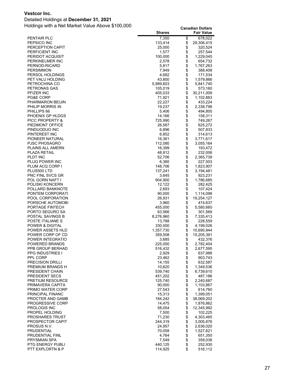#### Detailed Holdings at **December 31, 2021**

|                                                | <b>Shares</b>     |               | <b>Fair Value</b>      |
|------------------------------------------------|-------------------|---------------|------------------------|
| <b>PENTAIR PLC</b>                             | 7,350             | \$            | 678,022                |
| PEPSICO INC                                    | 133,414           | \$            | 29,306,415             |
| PERCEPTION CAPIT                               | 25,000            | \$            | 320,524                |
| PERFICIENT INC                                 | 1,577             | \$            | 257,544                |
| PERIDOT ACQUISIT                               | 100,000           | \$<br>\$      | 1,229,045              |
| PERKINELMER INC<br>PERNOD-RICARD               | 2,578<br>5,817    | \$            | 654,732<br>1,767,263   |
| <b>PERSIMMON</b>                               | 7,949             | \$            | 388,408                |
| PERSOL HOLDINGS                                | 4,682             | \$            | 171,534                |
| PET VALU HOLDING                               | 43,800            | \$            | 1,579,866              |
| PETROCHINA CO                                  | 5,989,603         | \$            | 5,841,740              |
| <b>PETRONAS GAS</b>                            | 105,019           | \$            | 573,160                |
| PFIZER INC                                     | 405,033           | \$            | 30,211,009             |
| PG&E CORP                                      | 71,921            | \$            | 1,102,883              |
| PHARMARON BEIJIN                               | 22,227            | \$            | 433,224                |
| PHILIP MORRIS IN                               | 19,237            | \$            | 2,338,798              |
| PHILLIPS 66<br>PHOENIX GP HLDGS                | 5,406<br>14,166   | \$<br>\$      | 494,800                |
| PICC PROPERTY &                                | 725,990           | \$            | 158,311<br>749,267     |
| PIEDMONT OFFICE                                | 26,587            | \$            | 625,272                |
| PINDUODUO INC                                  | 6,896             | \$            | 507,833                |
| PINTEREST INC                                  | 6,852             | \$            | 314,613                |
| PIONEER NATURAL                                | 16,361            | \$            | 3,771,617              |
| <b>PJSC PHOSAGRO</b>                           | 112,080           | \$            | 3,055,164              |
| PLAINS ALL AMERN                               | 16,399            | \$            | 193,472                |
| <b>PLAZA RETAIL</b>                            | 48,912            | \$            | 232,006                |
| PLDT INC                                       | 52,706            | \$            | 2,365,739              |
| PLUG POWER INC                                 | 6,380             | \$            | 227,503                |
| PLUM ACQ CORP I                                | 148,706           | \$            | 1,823,907              |
| PLUS500 LTD<br>PNC FINL SVCS GR                | 137,241<br>3,645  | \$<br>\$      | 3,194,481<br>923,231   |
| POL GORN NAFT I                                | 904,900           | \$            | 1,786,685              |
| POLISKI KONCERN                                | 12,122            | \$            | 282,425                |
| POLLARD BANKNOTE                               | 2,693             | \$            | 107,424                |
| PONTEM CORPORATI                               | 90,000            | \$            | 1,114,098              |
| POOL CORPORATION                               | 26,931            | \$            | 19,254,127             |
| PORSCHE AUTOMOBI                               | 3,960             | \$            | 474,637                |
| PORTAGE FINTECH                                | 455,000           | \$            | 5,580,660              |
| PORTO SEGURO SA                                | 63,566            | \$            | 301,569                |
| POSTAL SAVINGS B                               | 8,276,960         | \$            | 7,335,413              |
| POSTE ITALIANE S<br><b>POWER &amp; DIGITAL</b> | 13,788<br>330,000 | \$<br>\$      | 228,559<br>4,199,026   |
| POWER ASSETS HLD                               | 1,357,730         | \$            | 10,690,944             |
| POWER CORP OF CD                               | 359,508           | \$            | 15,205,391             |
| POWER INTEGRATIO                               | 3,685             | \$            | 432,376                |
| POWERED BRANDS                                 | 225,000           | \$            | 2,782,404              |
| PPB GROUP BERHAD                               | 516,432           | \$            | 2,677,595              |
| <b>PPG INDUSTRIES I</b>                        | 2,929             | \$            | 637,988                |
| PPL CORP                                       | 23,462            | \$            | 903,743                |
| <b>PRECISION DRILLI</b>                        | 14,155            | \$\$\$\$      | 632,587                |
| PREMIUM BRANDS H<br>PRESIDENT CHAIN            | 10,620<br>539,740 |               | 1,349,536<br>6,739,610 |
| PRESIDENT SECS                                 | 451,202           |               | 487,186                |
| <b>PRETIUM RESOURCE</b>                        | 125,740           |               | 2,240,687              |
| PRIMAVERA CAPITA                               | 90,000            | $\frac{3}{9}$ | 1,103,867              |
| PRIMO WATER CORP                               | 27,543            | $\ddot{\$}$   | 614,760                |
| PRINCIPAL FINANC                               | 15,313            | \$            | 1,399,051              |
| PROCTER AND GAMB                               | 184,242           | \$            | 38,069,202             |
| <b>PROGRESSIVE CORP</b>                        | 14,475            | \$            | 1,876,862              |
| <b>PROLOGIS INC</b>                            | 58,054            | $\ddot{\$}$   | 12,345,992             |
| PROPEL HOLDING                                 | 7,500             |               | 102,225                |
| <b>PROSHARES TRUST</b><br>PROSPECTOR CAPIT     | 71,230<br>244,319 | \$\$          | 4,303,465<br>3,005,876 |
| PROSUS N.V.                                    | 24,957            |               | 2,636,020              |
| PRUDENTIAL                                     | 70,058            |               | 1,527,621              |
| PRUDENTIAL FINL                                | 4,764             | \$\$          | 651,350                |
| PRYSMIAN SPA                                   | 7,549             | \$            | 359,038                |
| PTG ENERGY PUBLI                               | 440,125           | \$            | 252,930                |
| PTT EXPLORTN & P                               | 114,925           | \$            | 516,112                |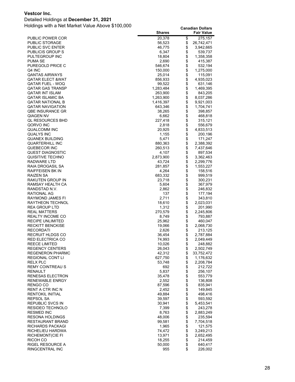#### Detailed Holdings at **December 31, 2021**

|                                            | <b>Shares</b>      |              | <b>Fair Value</b>      |
|--------------------------------------------|--------------------|--------------|------------------------|
| PUBLIC POWER COR                           | 20,378             | \$           | 275,157                |
| <b>PUBLIC STORAGE</b>                      | 56,523             | \$           | 26,742,471             |
| PUBLIC SVC ENTER                           | 46,775             | \$           | 3,942,665              |
| <b>PUBLICIS GROUP S</b>                    | 6,347              | \$           | 539,737                |
| PULTEGROUP INC                             | 18,804             | \$           | 1,358,358              |
| PUMA SE                                    | 2,690              | \$           | 415,387                |
| PUREGOLD PRICE C                           | 546,674            | \$           | 532,194                |
| Q4 INC<br><b>QANTAS AIRWAYS</b>            | 150,000            | \$           | 1,275,000              |
| QATAR ELECT &WAT                           | 25,014<br>856,933  | \$           | 115,091<br>4,935,023   |
| QATAR FUEL - WOQ                           | 99,522             | \$           | 631,146                |
| QATAR GAS TRANSP                           | 1,283,484          | \$           | 1,469,395              |
| QATAR INT ISLAM                            | 263,900            | \$           | 843,205                |
| QATAR ISLAMIC BA                           | 1,263,900          | \$           | 8,037,286              |
| QATAR NATIONAL B                           | 1,416,397          | \$           | 9,921,003              |
| <b>QATAR NAVIGATION</b>                    | 643,346            | \$           | 1,704,741              |
| QBE INSURANCE GR                           | 38,265             | \$           | 398,857                |
| QIAGEN NV                                  | 6,662              | \$           | 468,818                |
| QL RESOURCES BHD                           | 227,418            | \$           | 315,121                |
| QORVO INC                                  | 2,818              | \$           | 556,679                |
| QUALCOMM INC                               | 20,925             |              | 4,833,513              |
| QUALYS INC                                 | 1,155              | \$           | 200,196                |
| <b>QUANEX BUILDING</b>                     | 5,471              | \$<br>\$     | 171,247                |
| <b>QUARTERHILL INC</b><br>QUEBECOR INC     | 880,363<br>260,513 | \$           | 2,388,392<br>7,437,646 |
| QUEST DIAGNOSTIC                           | 4,107              | \$           | 897,534                |
| QUISITIVE TECHNO                           | 2,873,900          | \$           | 3,362,463              |
| RADWARE LTD                                | 43,724             | \$           | 2,299,776              |
| RAIA DROGASIL SA                           | 281,857            | \$           | 1,553,227              |
| RAIFFEISEN BK IN                           | 4,264              |              | 158,516                |
| RAIZEN SA                                  | 683,332            | \$           | 999,519                |
| RAKUTEN GROUP IN                           | 23,718             |              | 300,231                |
| RAMSAY HEALTH CA                           | 5,604              | \$\$         | 367,979                |
| RANDSTAD N.V.                              | 2,862              |              | 246,832                |
| RATIONAL AG                                | 137                | \$           | 177,194                |
| RAYMOND JAMES FI                           | 2,711              | \$<br>\$     | 343,810                |
| RAYTHEON TECHNOL<br>REA GROUP LTD          | 18,610<br>1,312    | \$           | 2,023,031<br>201,990   |
| <b>REAL MATTERS</b>                        | 270,579            | \$           | 2,245,806              |
| REALTY INCOME CO                           | 8,749              | \$           | 793,887                |
| RECIPE UNLIMITED                           | 25,962             | \$           | 460,047                |
| <b>RECKITT BENCKISE</b>                    | 19,066             | \$           | 2,068,730              |
| <b>RECORDATI</b>                           | 2,626              | \$           | 213,125                |
| <b>RECRUIT HLDGS CO</b>                    | 36,454             | \$           | 2,787,884              |
| RED ELECTRICA CO                           | 74,993             | \$           | 2,049,449              |
| <b>REECE LIMITED</b>                       | 10,026             | \$           | 248,882                |
| <b>REGENCY CENTERS</b>                     | 26,043             | \$           | 2,502,749              |
| <b>REGENERON PHARMC</b>                    | 42,312             | \$           | 33,752,472             |
| REGIONAL CONT LI<br>RELX PLC               | 627,750<br>53,748  | \$<br>\$     | 1,176,632              |
| <b>REMY COINTREAU S</b>                    | 692                |              | 2,208,784<br>212,722   |
| RENAULT                                    | 5,837              | \$\$         | 256,107                |
| RENESAS ELECTRON                           | 35,478             |              | 553,779                |
| RENEWABLE ENRGY                            | 2,552              |              | 136,808                |
| RENGO CO                                   | 87,596             | \$\$         | 835,941                |
| RENT A CTR INC N                           | 2,452              |              | 149,845                |
| <b>RENTOKIL INITIAL</b>                    | 49,884             |              | 498,416                |
| REPSOL SA                                  | 39,597             |              | 593,592                |
| REPUBLIC SVCS IN                           | 30,941             |              | 5,453,541              |
| RESIDEO TECHNOLO                           | 7,399              |              | 243,278                |
| <b>RESMED INC</b>                          | 8,763              | \$\$\$\$\$\$ | 2,883,249              |
| <b>RESONA HOLDINGS</b><br>RESTAURANT BRAND | 48,006<br>99,581   | \$           | 235,594<br>7,704,518   |
| RICHARDS PACKAGI                           | 1,965              |              | 121,575                |
| RICHELIEU HARDWA                           | 74,472             | \$           | 3,249,213              |
| RICHEMONT(CIE FI                           | 13,971             | \$           | 2,652,495              |
| RICOH CO                                   | 18,255             | \$           | 214,459                |
| RIGEL RESOURCE A                           | 50,000             | \$           | 640,417                |
| RINGCENTRAL INC                            | 955                | \$           | 226,002                |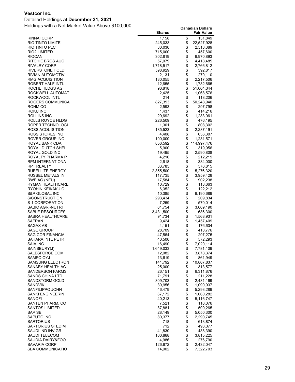#### Detailed Holdings at **December 31, 2021**

|                                            | <b>Shares</b>       |          | <b>Fair Value</b>      |
|--------------------------------------------|---------------------|----------|------------------------|
| <b>RINNAI CORP</b>                         | 1,158               | \$       | 131,849                |
| <b>RIO TINTO LIMITE</b>                    | 245,033             | \$       | 22,527,928             |
| RIO TINTO PLC<br>RIO2 LIMITED              | 30,030<br>715,000   | \$<br>\$ | 2,513,389<br>457,600   |
| <b>RIOCAN</b>                              | 302,819             | \$       | 6,970,893              |
| RITCHIE BROS AUC                           | 57,079              | \$       | 4,418,485              |
| <b>RIVALRY CORP</b>                        | 1,718,517           | \$       | 2,766,812              |
| RIVERSTONE HOLDI                           | 598,929             | \$       | 392,817                |
| RIVIAN AUTOMOTIV                           | 2,131               | \$       | 279,110                |
| <b>RMG ACQUISITION</b><br>ROBERT HALF INTL | 180,055<br>12,655   | \$       | 2,217,506<br>1,782,665 |
| ROCHE HLDGS AG                             | 96,818              | \$<br>\$ | 51,064,344             |
| ROCKWELL AUTOMAT                           | 2,425               | \$       | 1,068,576              |
| ROCKWOOL INTL                              | 214                 | \$<br>\$ | 118,206                |
| ROGERS COMMUNICA                           | 827,393             |          | 50,248,940             |
| ROHM CO                                    | 2,593<br>1,437      | \$<br>\$ | 297,798                |
| ROKU INC<br>ROLLINS INC                    | 29,692              | \$       | 414,216<br>1,283,061   |
| ROLLS ROYCE HLDG                           | 226,509             | \$       | 476,195                |
| ROPER TECHNOLOGI                           | 1,301               | \$       | 808,302                |
| ROSS ACQUISITION                           | 185,523             | \$       | 2,287,191              |
| ROSS STORES INC                            | 4,408               | \$       | 636,307                |
| ROVER GROUP INC                            | 100,000             | \$       | 1,231,571              |
| ROYAL BANK CDA                             | 856,592             | \$<br>\$ | 114,997,476            |
| ROYAL DUTCH SHEL<br>ROYAL GOLD INC         | 5,900<br>19,495     | \$       | 319,956<br>2,590,808   |
| ROYALTY PHARMA P                           | 4,216               | \$       | 212,219                |
| RPM INTERNATIONA                           | 2,618               | \$       | 334,000                |
| <b>RPT REALTY</b>                          | 33,785              | \$       | 576,815                |
| RUBELLITE ENERGY                           | 2,355,500           | \$<br>\$ | 5,276,320              |
| RUSSEL METALS IN                           | 117,735             |          | 3,959,428              |
| RWE AG (NEU)<br>RYMAN HEALTHCARE           | 17,584<br>10,729    | \$<br>\$ | 902,238<br>113,663     |
| RYOHIN KEIKAKU C                           | 6,352               | \$       | 122,212                |
| S&P GLOBAL INC                             | 10,385              | \$       | 6,190,689              |
| S/CONSTRUCTION                             | 293,434             | \$       | 209,834                |
| S-1 CORPORATION                            | 7,259               |          | 570,014                |
| SABIC AGRI-NUTRI                           | 61,754              | \$       | 3,669,190              |
| SABLE RESOURCES<br>SABRA HEALTHCARE        | 3,431,500<br>91,734 | \$<br>\$ | 686,300<br>1,568,931   |
| SAFRAN                                     | 9,424               | \$       | 1,457,409              |
| SAGAX AB                                   | 4,151               | \$       | 176,634                |
| <b>SAGE GROUP</b>                          | 28,709              | \$       | 418,776                |
| SAGICOR FINANCIA                           | 47,564              | \$       | 297,275                |
| <b>SAHARA INTL PETR</b>                    | 40,500              | \$       | 572,293                |
| SAIA INC<br>SAINSBURY(J)                   | 16,490<br>1,649,033 | \$<br>\$ | 7,020,114<br>7,781,109 |
| SALESFORCE.COM                             | 12,082              | \$       | 3,878,374              |
| SAMPO OYJ                                  | 13,619              | \$       | 861,949                |
| <b>SAMSUNG ELECTRON</b>                    | 141,792             | \$       | 10,867,837             |
| SANABY HEALTH AC                           | 25,000              |          | 313,577                |
| <b>SANDERSON FARMS</b>                     | 26,151              | \$       | 6,311,876              |
| SANDS CHINA LTD                            | 71,791<br>309,703   | \$       | 211,228                |
| SANDSTORM GOLD<br><b>SANDVIK</b>           | 30,956              | \$\$     | 2,431,169<br>1,090,937 |
| SANFILIPPO JOHN                            | 46,479              |          | 5,293,289              |
| <b>SANKI ENGINEERIN</b>                    | 67,172              | \$       | 1,060,282              |
| SANOFI                                     | 40,213              | \$       | 5,116,747              |
| SANTEN PHARM. CO                           | 7,521               | \$       | 116,076                |
| <b>SANTOS LIMITED</b>                      | 87,881              | \$       | 509,265                |
| SAP SE<br>SAPUTO INC                       | 28,149<br>80,377    | \$\$     | 5,050,300<br>2,290,745 |
| SARTORIUS                                  | 718                 |          | 613,874                |
| SARTORIUS STEDIM                           | 712                 | \$       | 493,377                |
| SAUDI IND INV GR                           | 41,830              | \$       | 438,390                |
| SAUDI TELECOM                              | 100,888             | \$       | 3,815,225              |
| SAUDIA DAIRY&FOO                           | 4,986               | \$       | 276,790                |
| SAVARIA CORP<br><b>SBA COMMUNICATIO</b>    | 126,672<br>14,902   | \$<br>\$ | 2,432,047<br>7,322,703 |
|                                            |                     |          |                        |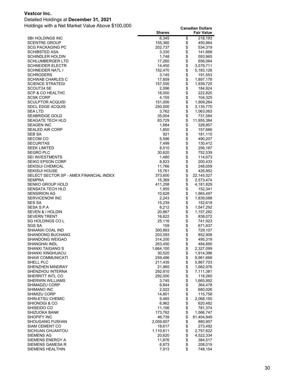#### Detailed Holdings at **December 31, 2021**

|                                                   | <b>Shares</b>      |          | <b>Fair Value</b>    |
|---------------------------------------------------|--------------------|----------|----------------------|
| SBI HOLDINGS INC                                  | 6,345              | \$       | 218,193              |
| <b>SCENTRE GROUP</b>                              | 155,360            | \$       | 450,864              |
| <b>SCG PACKAGING PC</b>                           | 202,737            | \$       | 534,319              |
| <b>SCHIBSTED ASA</b>                              | 3,330              | \$       | 141,668              |
| <b>SCHINDLER HOLDIN</b>                           | 1,748              | \$       | 593,965              |
| <b>SCHLUMBERGER LTD</b>                           | 17,260             | \$       | 656,064              |
| <b>SCHNEIDER ELECTR</b>                           | 14,450             | \$<br>\$ | 3,579,711            |
| <b>SCHNEIDER NATL I</b><br><b>SCHRODERS</b>       | 152,470<br>3,145   | \$       | 5,183,126<br>191,553 |
| <b>SCHWAB CHARLES C</b>                           | 17,859             | \$       | 1,897,178            |
| <b>SCIENCE STRATEGI</b>                           | 157,500            | \$       | 1,939,725            |
| SCOUT24 SE                                        | 2,096              | \$       | 184,924              |
| SCP & CO HEALTHC                                  | 18,000             | \$       | 222,820              |
| <b>SCSK CORP</b>                                  | 4,155              | \$       | 104,325              |
| <b>SCULPTOR ACQUISI</b>                           | 151,000            | \$       | 1,909,264            |
| <b>SDCL EDGE ACQUIS</b>                           | 250,000            |          | 3,135,770            |
| SEA LTD                                           | 3,762              | \$       | 1,063,063            |
| <b>SEABRIDGE GOLD</b>                             | 35,004             | \$       | 731,584              |
| <b>SEAGATE TECH HLD</b>                           | 83,729             | \$       | 11,955,384           |
| <b>SEAGEN INC</b><br><b>SEALED AIR CORP</b>       | 1,684              | \$<br>\$ | 328,857              |
| SEB SA                                            | 1,850<br>921       | \$       | 157,666<br>181,115   |
| <b>SECOM CO</b>                                   | 5,596              | \$       | 490,207              |
| <b>SECURITAS</b>                                  | 7,499              | \$       | 130,412              |
| <b>SEEK LIMITED</b>                               | 8,510              | \$       | 256,187              |
| <b>SEGRO PLC</b>                                  | 30,620             | \$       | 752,539              |
| <b>SEI INVESTMENTS</b>                            | 1,480              | \$       | 114,673              |
| <b>SEIKO EPSON CORP</b>                           | 8,823              | \$       | 200,433              |
| <b>SEKISUI CHEMICAL</b>                           | 11,766             | \$       | 248,059              |
| <b>SEKISUI HOUSE</b>                              | 15,761             | \$       | 426,852              |
| SELECT SECTOR SP - AMEX FINANCIAL INDEX           | 373,600            | \$       | 22, 145, 527         |
| <b>SEMPRA</b>                                     | 15,369             | \$       | 2,573,474            |
| <b>SENKO GROUP HOLD</b><br>SENSATA TECH HLD       | 411,258<br>1,955   | \$       | 4,181,829<br>152,341 |
| <b>SENSIRION AG</b>                               | 10,628             | \$       | 1,965,497            |
| SERVICENOW INC                                    | 2,243              | \$       | 1,839,088            |
| <b>SES SA</b>                                     | 15,239             | \$       | 152,618              |
| SESA S.P.A                                        | 6,212              | \$       | 1,547,292            |
| SEVEN & I HOLDIN                                  | 20,867             | \$       | 1,157,282            |
| <b>SEVERN TRENT</b>                               | 16,622             | \$       | 838,072              |
| SG HOLDINGS CO L                                  | 25,116             | \$       | 741,923              |
| SGS SA                                            | 159                | \$       | 671,637              |
| SHAANXI COAL IND                                  | 300,863            | \$<br>\$ | 729,107              |
| <b>SHANDONG BUCHANG</b><br><b>SHANDONG WEIGAO</b> | 203,593<br>314,200 | \$       | 852,908<br>495,319   |
| SHANGHAI INDL                                     | 263,450            | \$       | 484,890              |
| <b>SHANXI TAIGANG S</b>                           | 1,664,100          |          | 2,327,099            |
| <b>SHANXI XINGHUACU</b>                           | 30,520             | \$       | 1,914,396            |
| <b>SHAW COMMUNICATI</b>                           | 259,486            | \$       | 9,961,668            |
| SHELL PLC                                         | 211,435            |          | 5,867,703            |
| SHENZHEN MINDRAY                                  | 21,985             | \$\$     | 1,662,976            |
| SHENZHOU INTERNA                                  | 292,810            |          | 7,111,381            |
| SHERRITT INTL CO                                  | 292,000            | \$<br>\$ | 118,260              |
| <b>SHERWIN WILLIAMS</b>                           | 3,745              |          | 1,665,892            |
| <b>SHIMADZU CORP</b><br>SHIMANO INC               | 6,844<br>2,022     | \$\$\$\$ | 364,478<br>680,026   |
| <b>SHIMIZU CORP</b>                               | 14,801             |          | 115,758              |
| <b>SHIN-ETSU CHEMIC</b>                           | 9,465              |          | 2,068,150            |
| SHIONOGI & CO                                     | 6,962              | \$       | 620,482              |
| SHISEIDO CO                                       | 11,106             | \$       | 781,374              |
| SHIZUOKA BANK                                     | 173,762            | \$       | 1,566,747            |
| <b>SHOPIFY INC</b>                                | 46,739             | \$       | 81,404,849           |
| <b>SHOUGANG FUSHAN</b>                            | 2,059,607          | \$       | 880,957              |
| <b>SIAM CEMENT CO</b>                             | 18,617             | \$       | 273,492              |
| SICHUAN CHUANTOU                                  | 1,110,611          |          | 2,757,622            |
| <b>SIEMENS AG</b>                                 | 20,620<br>11,876   | \$\$     | 4,522,334            |
| SIEMENS ENERGY A<br>SIEMENS GAMESA R              | 6,873              | \$       | 384,517<br>208,019   |
| SIEMENS HEALTHIN                                  | 7,913              | \$       | 748,154              |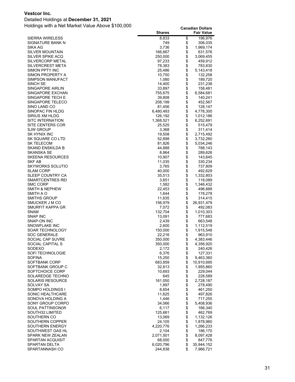#### Detailed Holdings at **December 31, 2021**

|                                          | <b>Shares</b>       |          | <b>Fair Value</b>     |
|------------------------------------------|---------------------|----------|-----------------------|
| SIERRA WIRELESS                          | 8,833               | \$       | 196,976               |
| SIGNATURE BANK N                         | 749                 | \$       | 306,035               |
| SIKA AG                                  | 3,736               | \$       | 1,969,174             |
| SILVER MOUNTAIN                          | 166,667             | \$       | 631,576               |
| SILVER SPIKE ACQ                         | 250,000             | \$       | 3,069,455             |
| SILVERCORP METAL                         | 97,233              | \$       | 459,912               |
| SILVERCREST META                         | 78,383              | \$       | 783,830               |
| SIMON PPTY INC                           | 25,486              | \$       | 5,143,418             |
| SIMON PROPERTY A                         | 10,750              | \$       | 132,258               |
| SIMPSON MANUFACT                         | 1,080               | \$       | 189,720               |
| SINCH SE                                 | 14,400              | \$       | 231,238               |
| SINGAPORE AIRLIN                         | 33,897              | \$       | 158,481               |
| SINGAPORE EXCHAN                         | 755,675             | \$       | 6,584,681             |
| SINGAPORE TECH E                         | 39,808              | \$       | 140,241               |
| SINGAPORE TELECO                         | 208,199             | \$       | 452,567               |
| SINO LAND CO                             | 81,456              | \$       | 128,147               |
| SINOPAC FIN HLDG                         | 6,480,493           | \$       | 4,778,300             |
| SIRIUS XM HLDG                           | 126,192             | \$       | 1,012,186             |
| <b>SITC INTERNATION</b>                  | 1,368,521           | \$       | 6,252,691             |
| SITE CENTERS COR                         | 25,525              | \$       | 515,479               |
| <b>SJW GROUP</b>                         | 3,368               | \$       | 311,414               |
| SK HYNIX INC                             | 19,508              | \$       | 2,715,492             |
| SK SQUARE CO LTD                         | 52,898              | \$       | 3,732,260             |
| <b>SK TELECOM</b>                        | 81,826              | \$       | 5,034,246             |
| SKAND ENSKILDA B                         | 44,888              | \$       | 788,143               |
| SKANSKA SE                               | 8,864               | \$       | 289,626               |
| <b>SKEENA RESOURCES</b>                  | 10,907              | \$       | 143,645               |
| SKF AB                                   | 11,035              | \$       | 330,234               |
| <b>SKYWORKS SOLUTIO</b>                  | 3,765               | \$       | 737,809               |
| <b>SLAM CORP</b>                         | 40,000              | \$       | 492,629               |
| SLEEP COUNTRY CA                         | 35,513              | \$       | 1,332,803             |
| SMARTCENTRES REI                         | 3,651               | \$       | 118,089               |
| <b>SMC CORP</b>                          | 1,582               | \$<br>\$ | 1,346,432             |
| <b>SMITH &amp; NEPHEW</b>                | 22,453              | \$       | 496,888               |
| SMITH A O                                | 1,644               |          | 178,278               |
| SMITHS GROUP<br>SMUCKER J M CO           | 11,635<br>156,979   | \$<br>\$ | 314,415<br>26,931,479 |
| SMURFIT KAPPA GR                         | 7,072               | \$       | 492,083               |
| <b>SNAM</b>                              | 132,704             | \$       | 1,010,303             |
| <b>SNAP INC</b>                          | 13,091              | \$       | 777,683               |
| SNAP-ON INC                              | 2,439               | \$       | 663,548               |
| <b>SNOWFLAKE INC</b>                     | 2,600               | \$       | 1,112,519             |
| <b>SOAR TECHNOLOGY</b>                   | 150,000             | \$       | 1,915,548             |
| <b>SOC GENERALE</b>                      | 22,216              | \$       | 963,910               |
| SOCIAL CAP SUVRE                         | 350,000             | \$       | 4,383,446             |
| SOCIAL CAPITAL S                         | 350,000             | \$       | 4,356,920             |
| SODEXO                                   | 2,172               | \$       | 240,426               |
| <b>SOFI TECHNOLOGIE</b>                  | 6,376               | \$       | 127,331               |
| <b>SOFINA</b>                            | 15,250              | \$       | 9,463,360             |
| SOFTBANK CORP                            | 683,859             | \$       | 10,910,695            |
| SOFTBANK GROUP C                         | 32,813              | \$       | 1,955,860             |
| SOFTCHOICE CORP                          | 10,693              | \$       | 229,044               |
| SOLAREDGE TECHNO                         | 645                 | \$       | 228,589               |
| <b>SOLARIS RESOURCE</b>                  | 161,050             | \$       | 2,728,187             |
| SOLVAY SA                                | 1,897               | \$       | 278,490               |
| SOMPO HOLDINGS I                         | 8,654               | \$       | 461,250               |
| SONIC HEALTHCARE                         | 11,625              | \$       | 497,826               |
| SONOVA HOLDING A                         | 1,446               | \$\$     | 717,255               |
| SONY GROUP CORPO                         | 34,066              |          | 5,408,936             |
| SOUL PATTINSON(W                         | 6,117               |          | 166,340               |
| SOUTH32 LIMITED                          | 125,661             | \$       | 462,769               |
| SOUTHERN CO                              | 13,069              | \$       | 1,132,126             |
| SOUTHERN COPPER                          | 24,105              |          | 1,878,960             |
| SOUTHERN ENERGY                          | 4,220,776           | \$       | 1,266,233             |
| SOUTHWEST GAS HL                         | 2,104               | \$       | 186,170               |
| <b>SPARK NEW ZEALAN</b>                  | 2,071,501           | \$       | 8,097,428             |
| SPARTAN ACQUISIT<br><b>SPARTAN DELTA</b> | 68,000<br>6,020,796 | \$<br>\$ | 847,776<br>35,944,152 |
| SPARTANNASH CO                           | 244,838             | \$       | 7,966,721             |
|                                          |                     |          |                       |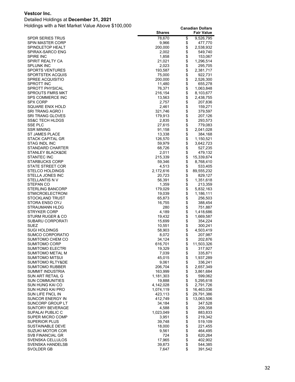#### Detailed Holdings at **December 31, 2021**

|                                      | <b>Shares</b>    |            | <b>Fair Value</b>  |
|--------------------------------------|------------------|------------|--------------------|
| <b>SPDR SERIES TRUS</b>              | 78,670           | \$         | 9,526,795          |
| SPIN MASTER CORP                     | 9,966            | \$         | 477,770            |
| SPINDLETOP HEALT                     | 200,000          | \$         | 2,538,932          |
| SPIRAX-SARCO ENG                     | 2,002            | \$         | 549,740            |
| <b>SPIRE INC</b>                     | 1,858            | \$         | 153,067            |
| SPIRIT REALTY CA                     | 21,021           | \$         | 1,296,514          |
| SPLUNK INC                           | 2,023            | \$         | 295,705            |
| <b>SPORTS VENTURES</b>               | 193,587          | \$         | 2,381,717          |
| SPORTSTEK ACQUIS                     | 75,000           | \$         | 922,731            |
| SPREE ACQUISITIO                     | 200,000          | \$         | 2,526,300          |
| <b>SPROTT INC</b>                    | 11,480           | \$         | 655,278            |
| SPROTT PHYSICAL                      | 76,371           | \$         | 1,063,848          |
| SPROUTS FMRS MKT                     | 216,154          | \$         | 8,103,677          |
| SPS COMMERCE INC                     | 13,563           | \$         | 2,438,755          |
| SPX CORP                             | 2,757            | \$         | 207,836            |
| SQUARE ENIX HOLD                     | 2,461            | \$         | 159,271            |
| SRI TRANG AGRO I                     | 321,746          | \$         | 379,597            |
| SRI TRANG GLOVES                     | 179,913          | \$         | 207,126            |
| <b>SS&amp;C TECH HLDGS</b>           | 2,835            | \$         | 293,573            |
| SSE PLC                              | 27,615           | \$         | 779,083            |
| <b>SSR MINING</b>                    | 91,158           | \$         | 2,041,028          |
| ST JAMES PLACE                       | 13,338           | \$         | 384,168            |
| STACK CAPITAL GR                     | 126,570          | \$         | 1,150,521          |
| <b>STAG INDL INC</b>                 | 59,979           | \$         | 3,642,723          |
| STANDARD CHARTER                     | 68,726           | \$         | 527,235            |
| STANLEY BLACK&DE                     | 2,011            | \$         | 479,132            |
| <b>STANTEC INC</b>                   | 215,339          | \$         | 15,339,674         |
| <b>STARBUCKS CORP</b>                | 59,346           | \$         | 8,768,410          |
| <b>STATE STREET COR</b>              | 4,513            | \$         | 533,405            |
| <b>STELCO HOLDINGS</b>               | 2,172,616        | \$         | 89,555,232         |
| STELLA JONES INC                     | 20,723           | \$         | 829,127            |
| STELLANTIS N V                       | 56,391           | \$         | 1,351,618          |
| STEPAN CO                            | 1,359            | \$         | 213,359            |
| STERLING BANCORP                     | 179,029          | \$<br>\$   | 5,832,163          |
| STMICROELECTRONI                     | 19,039           |            | 1,186,111          |
| STOCKLAND TRUST<br>STORA ENSO OYJ    | 65,873<br>16,755 | \$<br>\$   | 256,503<br>388,454 |
| STRAUMANN HLDG                       | 280              | \$         | 751,887            |
| <b>STRYKER CORP</b>                  | 4,189            | \$         | 1,418,686          |
| STURM RUGER & CO                     | 19,432           | \$         | 1,669,587          |
| SUBARU CORPORATI                     | 15,699           | \$         | 354,224            |
| SUEZ                                 | 10,551           | \$         | 300,241            |
| SUGI HOLDINGS                        | 58,903           | \$         | 4,503,419          |
| SUMCO CORPORATIO                     | 8,072            | \$         | 207,987            |
| SUMITOMO CHEM CO                     | 34,124           | \$         | 202,876            |
| SUMITOMO CORP                        | 616,701          | \$         | 11,503,326         |
| SUMITOMO ELECTRI                     | 19,329           | \$         | 317,927            |
| SUMITOMO METAL M                     | 7,039            | \$         | 335,871            |
| SUMITOMO MITSUI                      | 45,015           | \$         | 1,937,289          |
| <b>SUMITOMO RLTY&amp;DE</b>          | 9,061            |            | 336,241            |
| <b>SUMITOMO RUBBER</b>               | 206,704          | \$         | 2,657,349          |
| SUMMIT INDUSTRIA                     | 163,999          | \$         | 3,861,684          |
| SUN ART RETAIL G                     | 1,181,303        | \$         | 599,062            |
| SUN COMMUNITIES                      | 19,888           | \$         | 5,295,618          |
| SUN HUNG KAI CO                      | 4,142,028        | \$         | 2,791,726          |
| SUN HUNG KAI PRO                     | 1,074,119        | \$         | 16,463,036         |
| SUN LIFE FNCL IN                     | 423,113          | \$         | 29,791,386         |
| SUNCOR ENERGY IN                     | 412,749          | \$         | 13,063,506         |
| SUNCORP GROUP LT                     | 34,184           | \$         | 347,528            |
| SUNTORY BEVERAGE                     | 4,588            | \$         | 209,358            |
| SUPALAI PUBLIC C                     | 1,023,049        | \$         | 883,833            |
| SUPER MICRO COMP                     | 3,951            |            | 219,342            |
| SUPERIOR PLUS                        | 39,748           |            | 519,109            |
| <b>SUSTAINABLE DEVE</b>              | 18,000           |            | 221,455            |
| SUZUKI MOTOR COR                     | 9,561            |            | 464,495            |
| SVB FINANCIAL GR                     | 724              | \$\$\$\$\$ | 620,264<br>402,902 |
| SVENSKA CELLULOS<br>SVENSKA HANDELSB | 17,965<br>39,873 | \$         | 544,385            |
| SVOLDER GB                           | 7,647            | \$         | 391,542            |
|                                      |                  |            |                    |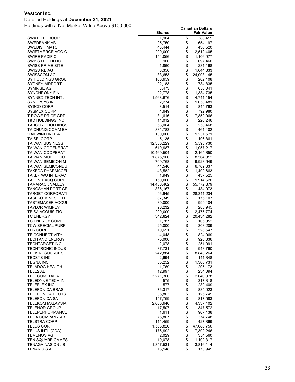#### Detailed Holdings at **December 31, 2021**

|                                                 | <b>Shares</b>     |              | <b>Fair Value</b>    |
|-------------------------------------------------|-------------------|--------------|----------------------|
| <b>SWATCH GROUP</b>                             | 1,904             | \$           | 388,419              |
| SWEDBANK AB                                     | 25,750            | \$           | 654,197              |
| SWEDISH MATCH                                   | 43,444            | \$           | 436,520              |
| SWIFTMERGE ACQ C                                | 200,000           | \$           | 2,512,405            |
| <b>SWIRE PACIFIC</b>                            | 154,056           | \$           | 1,106,977            |
| SWISS LIFE HLDG                                 | 900               | \$           | 697,460              |
| <b>SWISS PRIME SITE</b>                         | 1,860             | \$           | 231,168              |
| SWISS RE AG                                     | 8,350             | \$           | 1,044,833            |
| SWISSCOM AG                                     | 33,653            | \$           | 24,008,145           |
| SY HOLDINGS GROU                                | 160,959           | \$           | 202,108              |
| <b>SYDNEY AIRPORT</b>                           | 92,183            | \$           | 734,835              |
| SYMRISE AG                                      | 3,473             | \$           | 650,041              |
| <b>SYNCHRONY FINL</b>                           | 22,778            | \$           | 1,334,735            |
| <b>SYNNEX TECH INTL</b>                         | 1,568,676         | \$           | 4,741,154            |
| SYNOPSYS INC                                    | 2,274             | \$           | 1,058,481            |
| SYSCO CORP                                      | 8,514             | \$           | 844,763              |
| <b>SYSMEX CORP</b>                              | 4,649             | \$           | 792,980              |
| <b>T ROWE PRICE GRP</b>                         | 31,616            | \$           | 7,852,966            |
| T&D HOLDINGS INC                                | 14,012            | \$           | 226,246              |
| <b>TABCORP HOLDINGS</b>                         | 56,064            | \$           | 258,468              |
| <b>TAICHUNG COMM BA</b>                         | 831,783           | \$           | 461,402              |
| 'TAILWIND INTL A                                | 100,000           | \$           | 1,231,571            |
| <b>TAISEI CORP</b>                              | 5,135             | \$           | 196,861              |
| <b>TAIWAN BUSINESS</b>                          | 12,380,229        | \$           | 5,595,730            |
| <b>TAIWAN COGENERAT</b>                         | 610,987           | \$           | 1,057,217            |
| <b>TAIWAN COOPERATI</b>                         | 10,469,504        | \$           | 12,164,850           |
| <b>TAIWAN MOBILE CO</b>                         | 1,875,966         | \$           | 8,564,812            |
| TAIWAN SEMICON M                                | 709,768           | \$           | 19,928,949           |
| <b>TAIWAN SEMICONDU</b>                         | 44,546            | \$           | 6,769,637            |
| TAKEDA PHARMACEU                                | 43,582            | \$           | 1,499,663            |
| TAKE-TWO INTERAC                                | 1,949             | \$           | 437,525              |
| TALON 1 ACQ CORP                                | 150,000           | \$           | 1,914,620            |
| <b>TAMARACK VALLEY</b>                          | 14,486,462        | \$           | 55,772,879           |
| TANGSHAN PORT GR                                | 886,167           | \$           | 484,073              |
| <b>TARGET CORPORATI</b>                         | 96,945            | \$           | 28,341,234           |
| TASEKO MINES LTD                                | 67,349            | \$           | 175,107              |
| TASTEMAKER ACQUI                                | 80,000            | \$           | 999,404              |
| <b>TAYLOR WIMPEY</b>                            | 96,232            | \$           | 288,945              |
| TB SA ACQUISITIO                                | 200,000           | \$           | 2,475,774            |
| <b>TC ENERGY</b>                                | 342,824           | \$           | 20,434,282           |
| <b>TC ENERGY CORP</b>                           | 1,787             | \$           | 105,052              |
| <b>TCW SPECIAL PURP</b>                         | 25,000            | \$           | 308,209              |
| <b>TDK CORP</b>                                 | 10,691            | \$           | 526,547              |
| <b>TE CONNECTIVITY</b>                          | 4,048             | \$<br>\$     | 824,969              |
| <b>TECH AND ENERGY</b><br><b>TECHTARGET INC</b> | 75,000<br>2,078   | \$           | 920,836<br>251,091   |
|                                                 |                   |              |                      |
| TECHTRONIC INDUS<br><b>TECK RESOURCES L</b>     | 37,731<br>242,884 | \$           | 948,760<br>8,848,264 |
| <b>TECSYS INC</b>                               | 2,694             | \$           | 141,848              |
| <b>TEGNA INC</b>                                | 55,252            |              | 1,300,731            |
| <b>TELADOC HEALTH</b>                           | 1,769             | \$\$         | 205,173              |
| TELE2 AB                                        | 12,997            |              | 234,094              |
| <b>TELECOM ITALIA</b>                           | 3,271,366         | \$           | 2,040,378            |
| <b>TELEDYNE TECH IN</b>                         | 575               |              | 317,318              |
| <b>TELEFLEX INC</b>                             | 577               | \$<br>\$     | 239,409              |
| <b>TELEFONICA BRASI</b>                         | 76,317            |              | 834,023              |
| <b>TELEFONICA DEUTS</b>                         | 35,863            | <b>88888</b> | 125,749              |
| <b>TELEFONICA SA</b>                            | 147,759           |              | 817,583              |
| <b>TELEKOM MALAYSIA</b>                         | 2,600,946         |              | 4,337,402            |
| <b>TELENOR GROUP</b>                            | 17,507            |              | 347,572              |
| TELEPERFORMANCE                                 | 1,611             |              | 907,138              |
| TELIA COMPANY AB                                | 75,867            | \$           | 374,748              |
| <b>TELSTRA CORP</b>                             | 111,459           | \$           | 427,869              |
| <b>TELUS CORP</b>                               | 1,563,826         | \$           | 47,088,750           |
| TELUS INTL (CDA)                                | 176,992           | \$           | 7,392,246            |
| TEMENOS AG                                      | 2,029             | \$           | 354,560              |
| TEN SQUARE GAMES                                | 10,078            | \$           | 1,102,317            |
| TENAGA NASIONL B                                | 1,347,531         | \$           | 3,816,114            |
| <b>TENARIS S A</b>                              | 13,148            | \$           | 173,945              |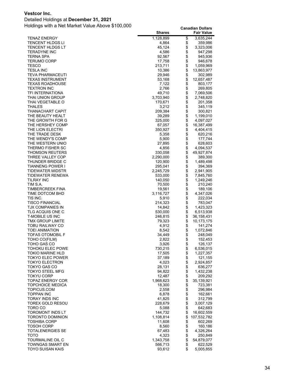#### Detailed Holdings at **December 31, 2021**

|                                             | <b>Shares</b>      |          | <b>Fair Value</b>      |
|---------------------------------------------|--------------------|----------|------------------------|
| <b>TENAZ ENERGY</b>                         | 1,128,899          | \$       | 3,635,244              |
| TENCENT HLDGS LI                            | 4,864              | \$       | 359,986                |
| TENCENT HLDGS LT                            | 45,124             | \$       | 3,323,006              |
| TERADYNE INC                                | 4,586              | \$       | 947,298                |
| TERNA SPA<br>TERUMO CORP                    | 92,567<br>17,758   | \$<br>\$ | 945,936<br>946,678     |
| TESCO                                       | 213,711            | \$       | 1,059,969              |
| TESLA INC                                   | 10,386             | \$       | 13,863,977             |
| TEVA PHARMACEUTI                            | 29,946             |          | 302,989                |
| TEXAS INSTRUMENT                            | 53,168             | \$\$\$\$ | 12,657,487             |
| <b>TEXAS ROADHOUSE</b>                      | 7,122              |          | 803,177                |
| TEXTRON INC                                 | 2,766              |          | 269,805                |
| TFI INTERNATIONA                            | 49,710             | \$       | 7,069,506              |
| THAI UNION GROUP                            | 3,703,940          | \$       | 2,748,820              |
| THAI VEGETABLE O                            | 170,671            | \$       | 201,358                |
| THALES                                      | 3,212              | \$       | 345,119                |
| THANACHART CAPIT<br>THE BEAUTY HEALT        | 209,384<br>39,289  | \$       | 300,821<br>1,199,010   |
| THE GROWTH FOR G                            | 325,000            | \$       | 4,097,027              |
| THE HERSHEY COMP                            | 67,057             | \$       | 16,387,499             |
| THE LION ELECTRI                            | 350,927            | \$       | 4,404,415              |
| THE TRADE DESK                              | 5,358              | \$       | 620,216                |
| THE WENDY'S COMP                            | 5,900              | \$       | 177,744                |
| THE WESTERN UNIO                            | 27,895             | \$       | 628,603                |
| THERMO FISHER SC                            | 4,856              | \$       | 4,094,537              |
| THOMSON REUTERS                             | 330,058            | \$       | 49,927,874             |
| THREE VALLEY COP                            | 2,290,000          | \$       | 389,300                |
| THUNDER BRIDGE C<br>TIANNENG POWER I        | 120,900<br>295,041 | \$<br>\$ | 1,489,498<br>394,369   |
| TIDEWATER MIDSTR                            | 2,245,729          | \$       | 2,941,905              |
| TIDEWATER RENEWA                            | 533,000            | \$       | 7,845,760              |
| TILRAY INC                                  | 140,050            | \$       | 1,249,246              |
| TIM S.A.                                    | 70,500             | \$       | 210,240                |
| TIMBERCREEK FINA                            | 19,561             | \$<br>\$ | 189,106                |
| TIME DOTCOM BHD                             | 3,116,727          |          | 4,347,026              |
| TIS INC.                                    | 5,910              | \$       | 222,034                |
| <b>TISCO FINANCIAL</b>                      | 214,323            | \$<br>\$ | 783,047                |
| TJX COMPANIES IN<br>TLG ACQUIS ONE C        | 14,842<br>530,000  | \$       | 1,423,323<br>6,513,938 |
| T-MOBILE US INC                             | 246,815            |          | 36, 158, 431           |
| TMX GROUP LIMITE                            | 79,323             | \$       | 10,173,175             |
| TOBU RAILWAY CO                             | 4,912              | \$       | 141,274                |
| <b>TOEI ANIMATION</b>                       | 8,542              | \$       | 1,072,846              |
| <b>TOFAS OTOMOBIL F</b>                     | 34,449             | \$       | 248,049                |
| TOHO CO(FILM)                               | 2,822              | \$       | 152,453                |
| TOHO GAS CO                                 | 3,926              | \$       | 126,137                |
| TOHOKU ELEC POWE<br>TOKIO MARINE HLD        | 730,215            | \$<br>\$ | 6,536,015              |
| <b>TOKYO ELEC POWER</b>                     | 17,505<br>37,189   | \$       | 1,227,357<br>121,155   |
| <b>TOKYO ELECTRON</b>                       | 4,023              |          | 2,924,857              |
| TOKYO GAS CO                                | 28,131             | \$\$     | 636,277                |
| TOKYO STEEL MFG                             | 94,822             |          | 1,432,238              |
| TOKYU CORP                                  | 12,487             |          | 209,292                |
| <b>TOPAZ ENERGY COR</b>                     | 1,968,623          | \$\$\$\$ | 35,139,921             |
| TOPCHOICE MEDICA                            | 18,300             |          | 723,381                |
| TOPICUS.COM                                 | 2,558              |          | 296,984                |
| TOPPAN INC                                  | 6,878              | \$       | 162,661                |
| TORAY INDS INC<br>TOREX GOLD RESOU          | 41,825<br>228,679  | \$       | 312,799<br>3,007,129   |
| TORO CO                                     | 5,088              | \$       | 642,683                |
| TOROMONT INDS LT                            | 144,732            | \$       | 16,602,559             |
| TORONTO DOMINION                            | 1,108,814          | \$       | 107,532,782            |
| <b>TOSHIBA CORP</b>                         | 11,608             | \$       | 602,269                |
| TOSOH CORP                                  | 8,560              | \$       | 160,186                |
| TOTALENERGIES SE                            | 67,483             | \$       | 4,326,264              |
| тото                                        | 4,323              |          | 250,849                |
| TOURMALINE OIL C                            | 1,343,758          | \$<br>\$ | 54,879,077             |
| TOWNGAS SMART EN<br><b>TOYO SUISAN KAIS</b> | 566,713<br>93,612  | \$       | 622,529<br>5,005,855   |
|                                             |                    |          |                        |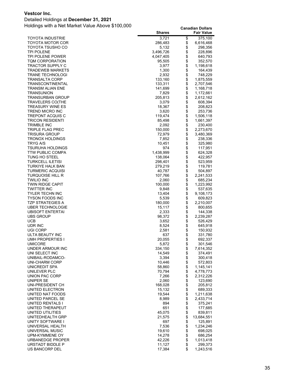#### Detailed Holdings at **December 31, 2021**

|                         | <b>Shares</b> |                | <b>Fair Value</b> |
|-------------------------|---------------|----------------|-------------------|
| TOYOTA INDUSTRIE        | 3,721         | \$             | 375,100           |
| TOYOTA MOTOR COR        | 286,483       | \$             | 6,616,468         |
| TOYOTA TSUSHO CO        | 5,132         | \$             | 298,356           |
| TPI POLENE              | 3,496,726     | \$             | 228,896           |
| TPI POLENE POWER        | 4,047,405     | \$             | 640,793           |
| TQM CORPORATION         | 95,505        | \$             | 352,570           |
| TRACTOR SUPPLY C        | 3,977         | \$             | 1,198,618         |
| TRADEWEB MARKETS        | 1,300         | \$             | 164,439           |
| TRANE TECHNOLOGI        | 2,932         | \$             | 748,229           |
| TRANSALTA CORP          | 133,160       | \$             | 1,875,559         |
| TRANSCONTINENTAL        | 133,311       | \$             | 2,707,546         |
| TRANSM ALIAN ENE        | 141,699       | \$             | 1,168,718         |
| TRANSUNION              | 7,829         | \$             | 1,172,661         |
| TRANSURBAN GROUP        | 205,813       | \$             | 2,612,162         |
| TRAVELERS CO(THE        | 3,079         | \$             | 608,394           |
| TREASURY WINE ES        | 18,367        | \$             | 208,823           |
| TREND MICRO INC         | 3,620         | \$             | 253,736           |
| TREPONT ACQUIS C        | 119,474       | \$             | 1,506,118         |
| TRICON RESIDENTI        | 85,498        | \$             | 1,661,397         |
| TRIMBLE INC             | 2,092         | \$             | 230,400           |
| TRIPLE FLAG PREC        | 150,000       | \$             | 2,273,670         |
| TRISURA GROUP           | 72,979        | \$             | 3,480,369         |
| TRONOX HOLDINGS         | 7,852         | \$             | 238,336           |
| TRYG A/S                | 10,451        | \$             | 325,980           |
| TSURUHA HOLDINGS        | 974           | \$             | 117,951           |
| <b>TTW PUBLIC COMPA</b> | 1,438,999     | \$             | 624,328           |
| TUNG HO STEEL           | 138,064       | \$             | 422,957           |
| TURKCELL ILETISI        | 298,401       | \$             | 523,959           |
| TURKIYE HALK BAN        | 279,219       |                | 119,781           |
| TURMERIC ACQUISI        | 40,787        | \$\$           | 504,897           |
| TURQUOISE HILL R        | 107,766       |                | 2,241,533         |
| TWILIO INC              | 2,060         | \$             | 685,234           |
| TWIN RIDGE CAPIT        | 100,000       | \$             | 1,223,992         |
| TWITTER INC             | 9,848         | \$             | 537,635           |
| TYLER TECHN INC         | 13,404        | \$             | 9,108,173         |
| TYSON FOODS INC         | 5,539         | \$             | 609,823           |
| TZP STRATEGIES A        | 180,000       | \$             | 2,210,007         |
| <b>UBER TECHNOLOGIE</b> | 15,117        | \$             | 800,655           |
| UBISOFT ENTERTAI        | 2,333         | \$             | 144,338           |
| UBS GROUP               | 98,372        | \$             | 2,239,287         |
| UCB                     | 3,652         | \$             | 526,429           |
| UDR INC                 | 8,524         | \$             | 645,918           |
| UGI CORP                | 2,581         | \$             | 150,932           |
| ULTA BEAUTY INC         | 637           | \$             | 331,780           |
| UMH PROPERTIES I        | 20,055        | \$             | 692,337           |
| UMICORE                 | 5,872         | \$             | 301,546           |
| UNDER ARMOUR INC        | 334,150       |                | 7,614,352         |
| UNI SELECT INC          | 14,549        |                | 374,491           |
| UNIBAIL-RODAMCO-        | 3,394         |                | 300,418           |
| UNI-CHARM CORP          | 10,446        | <b>8888888</b> | 572,803           |
| UNICREDIT SPA           | 58,860        |                | 1,145,141         |
| UNILEVER PLC            | 70,794        |                | 4,778,773         |
| UNION PAC CORP          | 7,266         |                | 2,312,226         |
| UNIPER SE               | 2,060         |                | 123,690           |
| UNI-PRESIDENT CH        | 168,028       |                | 205,812           |
| UNITED ELECTRON         | 15,132        | \$\$\$\$\$\$   | 689,333           |
| UNITED NAT FOODS        | 19,544        |                | 1,211,638         |
| UNITED PARCEL SE        | 8,989         |                | 2,433,714         |
| UNITED RENTALS I        | 894           |                | 375,241           |
| UNITED THERAPEUT        | 651           |                | 177,685           |
| UNITED UTILITIES        | 45,075        |                | 839,811           |
| UNITEDHEALTH GRP        | 21,575        | \$\$\$\$       | 13,684,551        |
| UNITY SOFTWARE I        | 697           |                | 125,891           |
| UNIVERSAL HEALTH        | 7,536         |                | 1,234,246         |
| UNIVERSAL MUSIC         | 19,610        |                | 698,025           |
| UPM-KYMMENE OY          | 14,278        | \$\$\$\$       | 686,254           |
| URBANEDGE PROPER        | 42,226        |                | 1,013,418         |
| URSTADT BIDDLE P        | 11,127        | \$             | 299,373           |
| US BANCORP DEL          | 17,384        | \$             | 1,243,516         |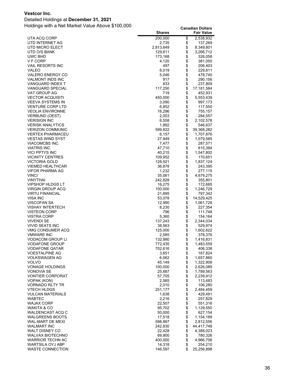Detailed Holdings at **December 31, 2021**

|                                             | <b>Shares</b>     |                   | <b>Fair Value</b>    |
|---------------------------------------------|-------------------|-------------------|----------------------|
| UTA ACQ CORP                                | 200,000           | \$                | 2,538,932            |
| UTD INTERNET AG                             | 2,735             | \$                | 137,269              |
| UTD MICRO ELECT                             | 2,813,649         | \$                | 8,349,801            |
| UTD O/S BANK                                | 129,611           | \$                | 3,266,712            |
| UWC BHD                                     | 173,168           | \$                | 326,058              |
| V F CORP                                    | 4,120             | \$                | 381,050              |
| <b>VAIL RESORTS INC</b>                     | 497               | \$<br>\$          | 206,403              |
| VALEO<br>VALERO ENERGY CO                   | 6,019<br>5,046    | \$                | 229,811<br>478,740   |
| VALMONT INDS INC                            | 917               | \$                | 290,156              |
| <b>VANGUARD INDEX T</b>                     | 833               |                   | 237,809              |
| <b>VANGUARD SPECIAL</b>                     | 117,250           | \$                | 17,181,584           |
| VAT GROUP AG                                | 719               | \$                | 452,931              |
| <b>VECTOR ACQUISITI</b>                     | 450,000           | \$                | 5,553,439            |
| VEEVA SYSTEMS IN                            | 3,090             | \$                | 997,173              |
| <b>VENTURE CORP LTD</b>                     | 6,852             | \$                | 117,550              |
| <b>VEOLIA ENVIRONNE</b>                     | 16,296            | \$                | 755,157              |
| VERBUND (OEST)                              | 2,003             | \$                | 284,557              |
| <b>VERISIGN INC</b>                         | 6,558             | \$                | 2,102,578            |
| <b>VERISK ANALYTICS</b>                     | 1,892             | \$                | 546,637              |
| <b>VERIZON COMMUNIC</b>                     | 599,822           | \$                | 39,368,282           |
| <b>VERTEX PHARMACEU</b>                     | 6,157             | \$                | 1,707,876            |
| <b>VESTAS WIND SYST</b>                     | 27,949            | \$                | 1,079,585            |
| <b>VIACOMCBS INC</b>                        | 7,477             | \$                | 287,571              |
| <b>VIATRIS INC</b><br><b>VICI PPTYS INC</b> | 47,710            | \$<br>$\ddot{\$}$ | 815,384              |
| <b>VICINITY CENTRES</b>                     | 40,215<br>109,952 | \$                | 1,547,802<br>170,651 |
| <b>VICTORIA GOLD</b>                        | 128,921           | \$                | 1,837,124            |
| <b>VIEMED HEALTHCAR</b>                     | 36,878            |                   | 243,395              |
| VIFOR PHARMA AG                             | 1,232             | \$                | 277,115              |
| <b>VINCI</b>                                | 35,061            | \$                | 4,679,275            |
| <b>VINYTHAI</b>                             | 242,828           | \$                | 355,801              |
| <b>VIPSHOP HLDGS LT</b>                     | 16,275            | \$                | 172,685              |
| <b>VIRGIN GROUP ACQ</b>                     | 100,000           | \$                | 1,246,729            |
| <b>VIRTU FINANCIAL</b>                      | 21,895            | \$                | 797,342              |
| VISA INC                                    | 53,078            | \$                | 14,529,425           |
| VISCOFAN SA                                 | 12,990            | \$                | 1,061,728            |
| <b>VISHAY INTERTECH</b>                     | 8,230             | \$                | 227,354              |
| <b>VISTEON CORP</b>                         | 796               | \$                | 111,748              |
| VISTRA CORP<br>VIVENDI SE                   | 5,360<br>137,243  | \$<br>\$          | 154,164<br>2,344,034 |
| VIVID SEATS INC                             | 38,563            | \$                | 529,974              |
| VMG CONSUMER ACQ                            | 125,000           | \$                | 1,602,622            |
| <b>VMWARE INC</b>                           | 2,585             | \$                | 378,376              |
| VODACOM GROUP LI                            | 132,980           | \$                | 1,416,831            |
| <b>VODAFONE GROUP</b>                       | 772,435           | \$                | 1,483,559            |
| VODAFONE QATAR                              | 702,616           | \$                | 406,338              |
| VOESTALPINE AG                              | 3,651             | $\ddot{\$}$       | 167,824              |
| VOLKSWAGEN AG                               | 6,062             | \$                | 1,657,860            |
| <b>VOLVO</b>                                | 45,149            | \$<br>\$          | 1,322,908            |
| <b>VONAGE HOLDINGS</b>                      | 100,000           |                   | 2,626,089            |
| VONOVIA SE                                  | 25,687            | \$                | 1,789,563            |
| <b>VONTIER CORPORAT</b>                     | 57,705            |                   | 2,239,912            |
| VOPAK (KON)<br><b>VORNADO RLTY TR</b>       | 2,565<br>2,010    | \$                | 113,483<br>106,280   |
| <b>VTECH HLDGS</b>                          | 251,177           | \$                | 2,484,459            |
| <b>VULCAN MATERIALS</b>                     | 1,638             | \$                | 429,491              |
| <b>WABTEC</b>                               | 2,216             | \$                | 257,829              |
| WAJAX CORP                                  | 22,507            | \$                | 551,316              |
| WAKITA & CO                                 | 95,702            | \$                | 1,129,550            |
| <b>WALDENCAST ACQ C</b>                     | 50,000            | $\ddot{\$}$       | 627,154              |
| <b>WALGREENS BOOTS</b>                      | 17,518            | \$                | 1,154,189            |
| WAL-MART DE MEXI                            | 598,867           | \$                | 2,812,556            |
| <b>WALMART INC</b>                          | 242,830           | \$                | 44,417,748           |
| <b>WALT DISNEY CO</b>                       | 22,428            | \$                | 4,388,023            |
| <b>WALVAX BIOTECHNO</b>                     | 69,900            | \$                | 780,326              |
| <b>WARRIOR TECHN AC</b>                     | 400,000           | $\ddot{\$}$       | 4,966,706            |
| <b>WARTSILA OYJ ABP</b><br>WASTE CONNECTION | 14,318            | \$<br>\$          | 254,210              |
|                                             | 146,597           |                   | 25,256,898           |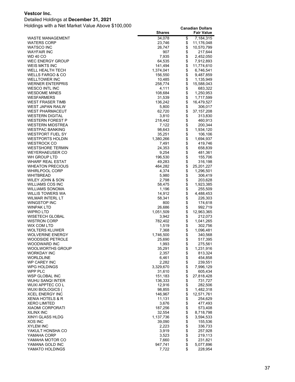#### Detailed Holdings at **December 31, 2021**

|                                     | <b>Shares</b>     |             | <b>Fair Value</b>      |
|-------------------------------------|-------------------|-------------|------------------------|
| WASTE MANAGEMENT                    | 34,078            | \$          | 7,184,315              |
| WATERS CORP                         | 23,746            | \$          | 11,176,048             |
| WATSCO INC                          | 26,747            | \$          | 10,570,799             |
| WAYFAIR INC                         | 907               | \$          | 217,644                |
| WD 40 CO                            | 7,935             | \$          | 2,452,050              |
| WEC ENERGY GROUP                    | 64,535            | \$          | 7,912,893              |
| WEIS MKTS INC                       | 141,494           | \$          | 11,774,610             |
| WELL HEALTH TECH                    | 1,374,041         | \$          | 6,746,541              |
| WELLS FARGO & CO<br>WELLTOWER INC   | 156,550<br>10,485 | \$<br>\$    | 9,487,859<br>1,135,949 |
| <b>WERNER ENTERPRIS</b>             | 258,774           | \$          | 15,588,043             |
| WESCO INTL INC                      | 4,111             | \$          | 683,322                |
| WESDOME MINES                       | 108,684           | \$          | 1,250,953              |
| <b>WESFARMERS</b>                   | 31,539            | \$          | 1,717,599              |
| WEST FRASER TIMB                    | 136,242           | \$          | 16,479,527             |
| WEST JAPAN RAILW                    | 5,800             | \$          | 306,017                |
| <b>WEST PHARMACEUT</b>              | 62,720            | \$          | 37, 157, 208           |
| <b>WESTERN DIGITAL</b>              | 3,810             | \$          | 313,830                |
| WESTERN FOREST P                    | 218,442           | \$          | 460,913                |
| WESTERN MIDSTREA                    | 7,122             | \$          | 200,344                |
| WESTPAC BANKING                     | 98,643            |             | 1,934,120              |
| WESTPORT FUEL SY                    | 35,251            | \$          | 106,106                |
| WESTPORTS HOLDIN                    | 1,380,266         | \$          | 1,694,937              |
| WESTROCK CO                         | 7,491             | \$          | 419,746                |
| WESTSHORE TERMIN                    | 24,353            | \$<br>\$    | 658,839                |
| WEYERHAEUSER CO<br>WH GROUP LTD     | 9,254<br>196,530  | \$          | 481,361<br>155,706     |
| WHARF REAL ESTAT                    | 49,283            | \$          | 316,198                |
| <b>WHEATON PRECIOUS</b>             | 464,282           | \$          | 25,201,227             |
| <b>WHIRLPOOL CORP</b>               | 4,374             | \$          | 1,296,501              |
| WHITBREAD                           | 5,980             | \$          | 306,419                |
| WILEY JOHN & SON                    | 2,798             |             | 203,628                |
| WILLIAMS COS INC                    | 58,475            | \$\$        | 1,923,385              |
| WILLIAMS SONOMA                     | 1,196             |             | 255,509                |
| WILLIS TOWERS WA                    | 14,912            | \$          | 4,488,453              |
| WILMAR INTERL LT                    | 58,341            | \$          | 226,303                |
| WINGSTOP INC                        | 800               | \$          | 174,618                |
| WINPAK LTD                          | 26,686            | \$          | 992,719                |
| WIPRO LTD                           | 1,051,509         | \$          | 12,963,365             |
| WISETECH GLOBAL<br>WISTRON CORP     | 3,942<br>782,402  | \$          | 212,073<br>1,041,265   |
| WIX COM LTD                         | 1,519             | \$          | 302,756                |
| WOLTERS KLUWER                      | 7,368             | \$          | 1,096,481              |
| WOLVERINE ENERGY                    | 1,746,500         | \$          | 340,568                |
| WOODSIDE PETROLE                    | 25,690            | \$          | 517,395                |
| WOODWARD INC                        | 1,993             | \$          | 275,561                |
| WOOLWORTHS GROUP                    | 35,291            | \$          | 1,231,916              |
| WORKDAY INC                         | 2,357             | \$          | 813,324                |
| WORLDLINE                           | 6,461             | \$          | 454,858                |
| WP CAREY INC                        | 2,282             | \$          | 239,551                |
| WPG HOLDINGS                        | 3,329,670         | \$          | 7,996,129              |
| WPP PLC                             | 31,610            | $\ddot{\$}$ | 605,434                |
| <b>WSP GLOBAL INC</b>               | 151,183           | \$          | 27,818,428             |
| WUHU SANQI INTER<br>WUXI APPTEC COL | 136,333<br>12,916 | \$<br>\$    | 731,727<br>282,506     |
| WUXI BIOLOGICS (                    | 98,855            | \$          | 1,482,318              |
| XCEL ENERGY INC                     | 146,967           | \$          | 12,571,761             |
| XENIA HOTELS & R                    | 11,131            | \$          | 254,629                |
| XERO LIMITED                        | 3,676             | \$          | 477,493                |
| XIAOMI CORPORATI                    | 187,256           | \$          | 573,408                |
| XILINX INC                          | 32,554            | \$          | 8,718,798              |
| XINYI GLASS HLDG                    | 1,137,736         | \$          | 3,594,533              |
| XOS INC                             | 39,090            | \$          | 155,536                |
| XYLEM INC                           | 2,223             | \$          | 336,733                |
| YAKULT HONSHA CO                    | 3,919             |             | 257,928                |
| YAMAHA CORP                         | 3,523             | \$          | 219,113                |
| YAMAHA MOTOR CO                     | 7,660             |             | 231,821                |
| YAMANA GOLD INC                     | 947,741           | \$<br>\$    | 5,077,896              |
| YAMATO HOLDINGS                     | 7,722             |             | 228,954                |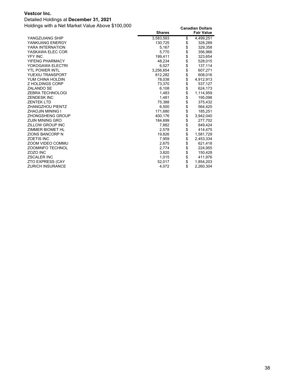#### Detailed Holdings at **December 31, 2021**

|                         | <b>Shares</b> | <b>Fair Value</b> |
|-------------------------|---------------|-------------------|
| YANGZIJIANG SHIP        | 3,583,593     | \$<br>4,499,251   |
| YANKUANG ENERGY         | 130,725       | \$<br>328,289     |
| YARA INTERNATION        | 5,167         | \$<br>329,358     |
| YASKAWA ELEC COR        | 5.770         | \$<br>356.966     |
| <b>YFY INC</b>          | 199,411       | \$<br>323,654     |
| YIFENG PHARMACY         | 48,234        | \$<br>528,015     |
| YOKOGAWA ELECTRI        | 6.027         | \$<br>137.114     |
| <b>YTL POWER INTL</b>   | 3,256,654     | \$<br>607.271     |
| YUEXIU TRANSPORT        | 812,282       | \$<br>608,016     |
| YUM CHINA HOLDIN        | 78,038        | \$<br>4,912,913   |
| <b>Z HOLDINGS CORP</b>  | 73,370        | \$<br>537,127     |
| <b>ZALANDO SE</b>       | 6.108         | \$<br>624.173     |
| <b>ZEBRA TECHNOLOGI</b> | 1,483         | \$<br>1,114,959   |
| <b>ZENDESK INC</b>      | 1.481         | \$<br>195,098     |
| <b>ZENTEK LTD</b>       | 75,388        | \$<br>375,432     |
| ZHANGZHOU PIENTZ        | 6.500         | \$<br>564.425     |
| <b>ZHAOJIN MINING I</b> | 171,680       | \$<br>185,251     |
| ZHONGSHENG GROUP        | 400.176       | \$<br>3,942,040   |
| <b>ZIJIN MINING GRO</b> | 184,699       | \$<br>277,702     |
| ZILLOW GROUP INC        | 7,882         | \$<br>849,424     |
| ZIMMER BIOMET HL        | 2,578         | \$<br>414,475     |
| <b>ZIONS BANCORP N</b>  | 19.826        | \$<br>1,581,729   |
| <b>ZOETIS INC</b>       | 7,959         | \$<br>2,453,334   |
| ZOOM VIDEO COMMU        | 2,675         | \$<br>621,418     |
| <b>ZOOMINFO TECHNOL</b> | 2.774         | \$<br>224.955     |
| <b>ZOZO INC</b>         | 3,820         | \$<br>150,428     |
| <b>ZSCALER INC</b>      | 1.015         | \$<br>411,976     |
| <b>ZTO EXPRESS (CAY</b> | 52,017        | \$<br>1,854,203   |
| <b>ZURICH INSURANCE</b> | 4,072         | \$<br>2,260,304   |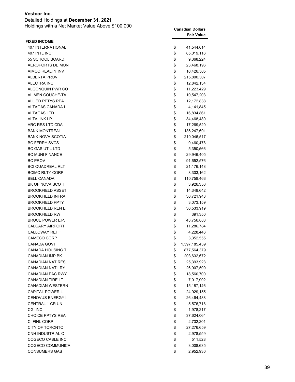| Detailed Holdings at December 31, 2021           |                         |
|--------------------------------------------------|-------------------------|
| Holdings with a Net Market Value Above \$100,000 | <b>Canadian Dollars</b> |
|                                                  |                         |

|                          | <b>Fair Value</b>   |
|--------------------------|---------------------|
| <b>FIXED INCOME</b>      |                     |
| <b>407 INTERNATIONAL</b> | \$<br>41,544,614    |
| 407 INTL INC             | \$<br>85,019,116    |
| 55 SCHOOL BOARD          | \$<br>9,368,224     |
| AEROPORTS DE MON         | \$<br>23,468,196    |
| AIMCO REALTY INV         | \$<br>10,426,505    |
| <b>ALBERTA PROV</b>      | \$<br>215,800,307   |
| ALECTRA INC              | \$<br>12,842,134    |
| ALGONQUIN PWR CO         | \$<br>11,223,429    |
| ALIMEN.COUCHE-TA         | \$<br>10,547,203    |
| ALLIED PPTYS REA         | \$<br>12,172,838    |
| ALTAGAS CANADA I         | \$<br>4,141,845     |
| <b>ALTAGAS LTD</b>       | \$<br>16,834,861    |
| <b>ALTALINK LP</b>       | \$<br>34,468,480    |
| ARC RES LTD CDA          | \$<br>17,269,520    |
| <b>BANK MONTREAL</b>     | \$<br>136,247,601   |
| <b>BANK NOVA SCOTIA</b>  | \$<br>210,046,517   |
| <b>BC FERRY SVCS</b>     | \$<br>9,460,478     |
| <b>BC GAS UTIL LTD</b>   | \$<br>5,350,566     |
| <b>BC MUNI FINANCE</b>   | \$<br>29,946,405    |
| <b>BC PROV</b>           | \$<br>91,652,576    |
| <b>BCI QUADREAL RLT</b>  | \$<br>21,176,148    |
| <b>BCIMC RLTY CORP</b>   | \$<br>8,303,162     |
| <b>BELL CANADA</b>       | \$<br>110,758,463   |
| BK OF NOVA SCOTI         | \$<br>3,926,356     |
| <b>BROOKFIELD ASSET</b>  | \$<br>14,348,642    |
| <b>BROOKFIELD INFRA</b>  | \$<br>36,721,943    |
| <b>BROOKFIELD PPTY</b>   | \$<br>3,073,159     |
| <b>BROOKFIELD REN E</b>  | \$<br>36,533,919    |
| <b>BROOKFIELD RW</b>     | \$<br>391,350       |
| <b>BRUCE POWER L.P.</b>  | \$<br>43,756,888    |
| <b>CALGARY AIRPORT</b>   | \$<br>11,286,784    |
| <b>CALLOWAY REIT</b>     | \$<br>4,228,446     |
| <b>CAMECO CORP</b>       | \$<br>3,352,555     |
| <b>CANADA GOVT</b>       | \$<br>1,397,185,439 |
| <b>CANADA HOUSING T</b>  | \$<br>877,564,379   |
| <b>CANADIAN IMP BK</b>   | \$<br>203,632,672   |
| <b>CANADIAN NAT RES</b>  | \$<br>25,393,923    |
| <b>CANADIAN NATL RY</b>  | \$<br>26,907,599    |
| <b>CANADIAN PAC RWY</b>  | \$<br>18,560,700    |
| <b>CANADIAN TIRE LT</b>  | \$<br>7,017,992     |
| <b>CANADIAN WESTERN</b>  | \$<br>15, 187, 146  |
| <b>CAPITAL POWER L</b>   | \$<br>24,929,155    |
| <b>CENOVUS ENERGY I</b>  | \$<br>26,464,488    |
| <b>CENTRAL 1 CR UN</b>   | \$<br>5,576,718     |
| <b>CGI INC</b>           | \$<br>1,978,217     |
| <b>CHOICE PPTYS REA</b>  | \$<br>37,624,064    |
| CI FINL CORP             | \$<br>2,732,201     |
| <b>CITY OF TORONTO</b>   | \$<br>27,276,659    |
| CNH INDUSTRIAL C         | \$<br>2,978,559     |
| COGECO CABLE INC         | \$<br>511,528       |
| COGECO COMMUNICA         | \$<br>3,008,635     |
| <b>CONSUMERS GAS</b>     | \$<br>2,952,930     |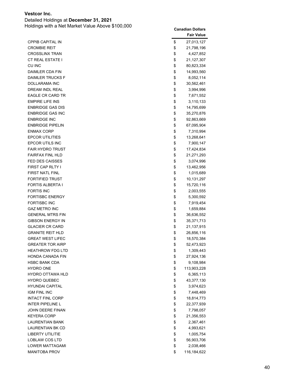Detailed Holdings at **December 31, 2021**

|                         | <b>Fair Value</b> |
|-------------------------|-------------------|
| <b>CPPIB CAPITAL IN</b> | \$<br>27,013,127  |
| <b>CROMBIE REIT</b>     | \$<br>21,798,196  |
| <b>CROSSLINX TRAN</b>   | \$<br>4,427,852   |
| <b>CT REAL ESTATE I</b> | \$<br>21,127,307  |
| CU INC                  | \$<br>80,823,334  |
| DAIMLER CDA FIN         | \$<br>14,993,560  |
| <b>DAIMLER TRUCKS F</b> | \$<br>8,052,114   |
| DOLLARAMA INC           | \$<br>30,562,461  |
| DREAM INDL REAL         | \$<br>3,994,996   |
| <b>EAGLE CR CARD TR</b> | \$<br>7,671,552   |
| <b>EMPIRE LIFE INS</b>  | \$<br>3,110,133   |
| <b>ENBRIDGE GAS DIS</b> | \$<br>14,795,699  |
| <b>ENBRIDGE GAS INC</b> | \$<br>35,270,876  |
| <b>ENBRIDGE INC</b>     | \$<br>92,863,669  |
| <b>ENBRIDGE PIPELIN</b> | \$<br>67,095,904  |
| <b>ENMAX CORP</b>       | \$<br>7,310,994   |
| <b>EPCOR UTILITIES</b>  | \$<br>13,268,641  |
| <b>EPCOR UTILS INC</b>  | \$<br>7,900,147   |
| <b>FAIR HYDRO TRUST</b> | \$<br>17,424,834  |
| <b>FAIRFAX FINL HLD</b> | \$<br>21,271,293  |
| <b>FED DES CAISSES</b>  | \$<br>3,074,996   |
| <b>FIRST CAP RLTY I</b> | \$<br>13,462,956  |
| <b>FIRST NATL FINL</b>  | \$<br>1,015,689   |
| <b>FORTIFIED TRUST</b>  | \$<br>10,131,297  |
| <b>FORTIS ALBERTA I</b> | \$<br>15,720,116  |
| <b>FORTIS INC</b>       | \$<br>2,003,555   |
| <b>FORTISBC ENERGY</b>  | \$<br>5,300,592   |
| <b>FORTISBC INC</b>     | \$<br>7,919,454   |
| <b>GAZ METRO INC</b>    | \$<br>1,659,884   |
| <b>GENERAL MTRS FIN</b> | \$<br>36,636,552  |
| <b>GIBSON ENERGY IN</b> | \$<br>35,371,713  |
| <b>GLACIER CR CARD</b>  | \$<br>21,137,915  |
| <b>GRANITE REIT HLD</b> | \$<br>26,856,116  |
| <b>GREAT WEST LIFEC</b> | \$<br>18,570,384  |
| <b>GREATER TOR AIRP</b> | \$<br>52,473,923  |
| <b>HEATHROW FDG LTD</b> | \$<br>1,309,443   |
| HONDA CANADA FIN        | \$<br>27,924,136  |
| <b>HSBC BANK CDA</b>    | \$<br>9,108,984   |
| <b>HYDRO ONE</b>        | \$<br>113,903,228 |
| <b>HYDRO OTTAWA HLD</b> | \$<br>6,365,113   |
| <b>HYDRO QUEBEC</b>     | \$<br>43,377,130  |
| <b>HYUNDAI CAPITAL</b>  | \$<br>3,974,623   |
| IGM FINL INC            | \$<br>7,448,469   |
| <b>INTACT FINL CORP</b> | \$<br>18,814,773  |
| <b>INTER PIPELINE L</b> | \$<br>22,377,939  |
| <b>JOHN DEERE FINAN</b> | \$<br>7,798,057   |
| <b>KEYERA CORP</b>      | \$<br>21,356,553  |
| <b>LAURENTIAN BANK</b>  | \$<br>2,367,461   |
| LAURENTIAN BK CD        | \$<br>4,993,621   |
| <b>LIBERTY UTILITIE</b> | \$<br>1,005,754   |
| LOBLAW COS LTD          | \$<br>56,903,706  |
| <b>LOWER MATTAGAMI</b>  | \$<br>2,038,466   |
| <b>MANITOBA PROV</b>    | \$<br>116,184,622 |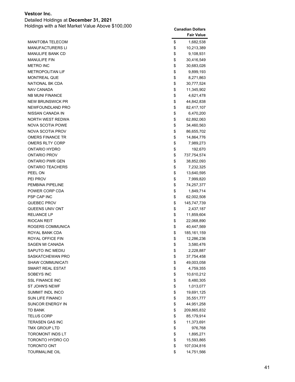Detailed Holdings at **December 31, 2021**

|                         | <b>Fair Value</b>   |
|-------------------------|---------------------|
| <b>MANITOBA TELECOM</b> | \$<br>1,682,538     |
| <b>MANUFACTURERS LI</b> | \$<br>10,213,389    |
| MANULIFE BANK CD        | \$<br>9,108,931     |
| <b>MANULIFE FIN</b>     | \$<br>30,416,549    |
| <b>METRO INC</b>        | \$<br>30,683,026    |
| <b>METROPOLITAN LIF</b> | \$<br>9,899,193     |
| <b>MONTREAL QUE</b>     | \$<br>8,271,863     |
| NATIONAL BK CDA         | \$<br>30,777,524    |
| <b>NAV CANADA</b>       | \$<br>11,345,902    |
| <b>NB MUNI FINANCE</b>  | \$<br>4,621,478     |
| <b>NEW BRUNSWICK PR</b> | \$<br>44,842,838    |
| NEWFOUNDLAND PRO        | \$<br>82,417,107    |
| NISSAN CANADA IN        | \$<br>6,470,200     |
| NORTH WEST REDWA        | \$<br>62,892,063    |
| <b>NOVA SCOTIA POWE</b> | \$<br>34,460,563    |
| <b>NOVA SCOTIA PROV</b> | \$<br>86,655,702    |
| <b>OMERS FINANCE TR</b> | \$<br>14,864,776    |
| <b>OMERS RLTY CORP</b>  | \$<br>7,989,273     |
| ONTARIO HYDRO           | \$<br>192,670       |
| <b>ONTARIO PROV</b>     | \$<br>737,754,574   |
| <b>ONTARIO PWR GEN</b>  | \$<br>38,852,093    |
| <b>ONTARIO TEACHERS</b> | \$<br>7,232,325     |
| PEEL ON                 | \$<br>13,640,595    |
| PEI PROV                | \$<br>7,999,820     |
| PEMBINA PIPELINE        | \$<br>74,257,377    |
| POWER CORP CDA          | \$<br>1,849,714     |
| PSP CAP INC             | \$<br>62,002,508    |
| QUEBEC PROV             | \$<br>145,747,739   |
| QUEENS UNIV ONT         | \$<br>2,437,187     |
| <b>RELIANCE LP</b>      | \$<br>11,859,604    |
| RIOCAN REIT             | \$<br>22,068,890    |
| ROGERS COMMUNICA        | \$<br>40,447,569    |
| ROYAL BANK CDA          | \$<br>185, 161, 159 |
| ROYAL OFFICE FIN        | \$<br>12,286,236    |
| SAGEN MI CANADA         | \$<br>3,580,476     |
| SAPUTO INC MEDIU        | \$<br>2,228,887     |
| SASKATCHEWAN PRO        | \$<br>37,754,458    |
| SHAW COMMUNICATI        | \$<br>49,003,058    |
| <b>SMART REAL ESTAT</b> | \$<br>4,759,355     |
| SOBEYS INC              | \$<br>10,610,212    |
| <b>SSL FINANCE INC</b>  | \$<br>8,480,305     |
| ST JOHN'S NEWF          | \$<br>1,013,077     |
| <b>SUMMIT INDL INCO</b> | \$<br>19,691,125    |
| <b>SUN LIFE FINANCI</b> | \$<br>35,551,777    |
| SUNCOR ENERGY IN        | \$<br>44,951,258    |
| <b>TD BANK</b>          | \$<br>209,865,832   |
| <b>TELUS CORP</b>       | \$<br>85,179,914    |
| TERASEN GAS INC         | \$<br>11,373,691    |
| TMX GROUP LTD           | \$<br>976,768       |
| <b>TOROMONT INDS LT</b> | \$<br>1,895,271     |
| TORONTO HYDRO CO        | \$<br>15,593,865    |
| <b>TORONTO ONT</b>      | \$<br>107,034,816   |
| <b>TOURMALINE OIL</b>   | \$<br>14,751,566    |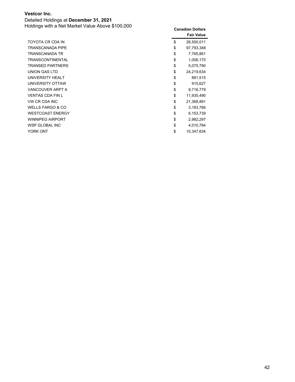Detailed Holdings at **December 31, 2021** Holdings with a Net Market Value Above \$100,000 **Canadian Dollars**

|                             | <b>Fair Value</b> |
|-----------------------------|-------------------|
| TOYOTA CR CDA IN            | \$<br>26,500,011  |
| <b>TRANSCANADA PIPE</b>     | \$<br>97,793,348  |
| <b>TRANSCANADA TR</b>       | \$<br>7,765,861   |
| <b>TRANSCONTINENTAL</b>     | \$<br>1,006,170   |
| <b>TRANSED PARTNERS</b>     | \$<br>5,075,790   |
| UNION GAS LTD               | \$<br>24,219,634  |
| UNIVERSITY HEALT            | \$<br>881,515     |
| UNIVERSITY OTTAW            | \$<br>915,627     |
| VANCOUVER ARPT A            | \$<br>9,716,779   |
| <b>VENTAS CDA FIN L</b>     | \$<br>11,935,490  |
| VW CR CDA INC               | \$<br>21,368,891  |
| <b>WELLS FARGO &amp; CO</b> | \$<br>3,183,766   |
| <b>WESTCOAST ENERGY</b>     | \$<br>6,153,739   |
| <b>WINNIPEG AIRPORT</b>     | \$<br>2,982,297   |
| <b>WSP GLOBAL INC</b>       | \$<br>4,010,784   |
| <b>YORK ONT</b>             | \$<br>10.347.634  |